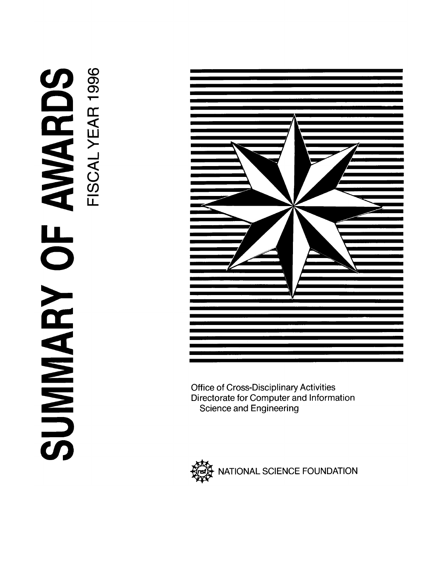# AVARDS SUMARY OF



**Office of Cross-Disciplinary Activities** Directorate for Computer and Information **Science and Engineering** 

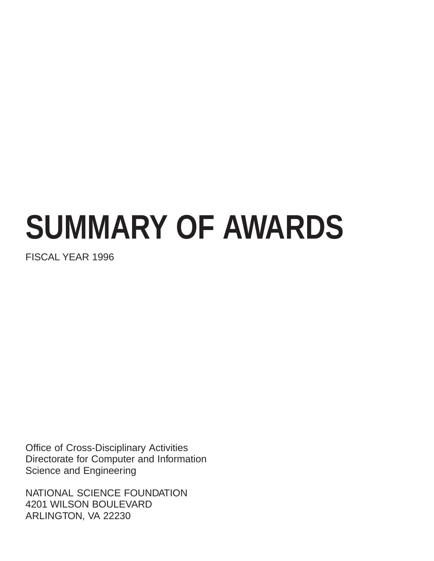# **SUMMARY OF AWARDS**

FISCAL YEAR 1996

Office of Cross-Disciplinary Activities Directorate for Computer and Information Science and Engineering

NATIONAL SCIENCE FOUNDATION 4201 WILSON BOULEVARD ARLINGTON, VA 22230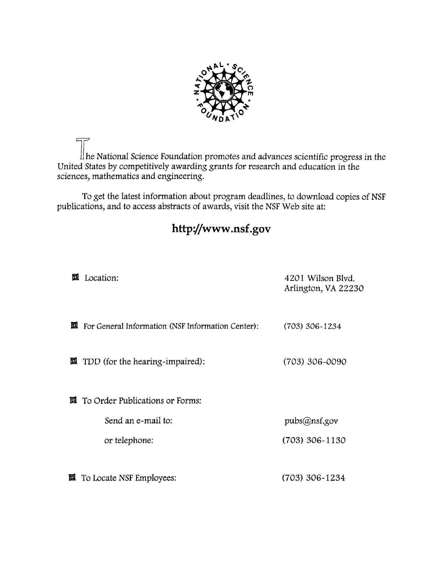

 $\mathbf u$  he National Science Foundation promotes and advances scientific progress in the United States by competitively awarding grants for research and education in the sciences, mathematics and engineering.

To get the latest information about program deadlines, to download copies of NSF publications, and to access abstracts of awards, visit the NSF Web site at:

# http://www.nsf.gov

| 回 | Location:                                                        | 4201 Wilson Blvd.<br>Arlington, VA 22230 |
|---|------------------------------------------------------------------|------------------------------------------|
| 囸 | For General Information (NSF Information Center):                | $(703)$ 306-1234                         |
|   | <b><math>\blacksquare</math></b> TDD (for the hearing-impaired): | (703) 306-0090                           |
|   | $\mathbf{\Xi}$ To Order Publications or Forms:                   |                                          |
|   | Send an e-mail to:                                               | pubs@nsf.gov                             |
|   | or telephone:                                                    | $(703)$ 306-1130                         |
| 囸 | To Locate NSF Employees:                                         | (703) 306-1234                           |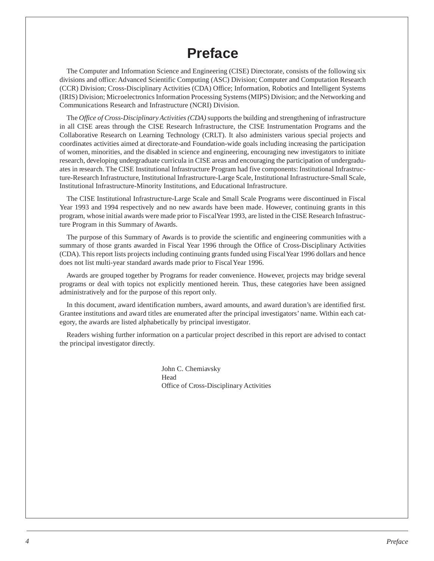# **Preface**

<span id="page-3-0"></span>The Computer and Information Science and Engineering (CISE) Directorate, consists of the following six divisions and office: Advanced Scientific Computing (ASC) Division; Computer and Computation Research (CCR) Division; Cross-Disciplinary Activities (CDA) Office; Information, Robotics and Intelligent Systems (IRIS) Division; Microelectronics Information Processing Systems (MIPS) Division; and the Networking and Communications Research and Infrastructure (NCRI) Division.

The *Office of Cross-Disciplinary Activities (CDA)* supports the building and strengthening of infrastructure in all CISE areas through the CISE Research Infrastructure, the CISE Instrumentation Programs and the Collaborative Research on Learning Technology (CRLT). It also administers various special projects and coordinates activities aimed at directorate-and Foundation-wide goals including increasing the participation of women, minorities, and the disabled in science and engineering, encouraging new investigators to initiate research, developing undergraduate curricula in CISE areas and encouraging the participation of undergraduates in research. The CISE Institutional Infrastructure Program had five components: Institutional Infrastructure-Research Infrastructure, Institutional Infrastructure-Large Scale, Institutional Infrastructure-Small Scale, Institutional Infrastructure-Minority Institutions, and Educational Infrastructure.

The CISE Institutional Infrastructure-Large Scale and Small Scale Programs were discontinued in Fiscal Year 1993 and 1994 respectively and no new awards have been made. However, continuing grants in this program, whose initial awards were made prior to Fiscal Year 1993, are listed in the CISE Research Infrastructure Program in this Summary of Awards.

The purpose of this Summary of Awards is to provide the scientific and engineering communities with a summary of those grants awarded in Fiscal Year 1996 through the Office of Cross-Disciplinary Activities (CDA). This report lists projects including continuing grants funded using Fiscal Year 1996 dollars and hence does not list multi-year standard awards made prior to Fiscal Year 1996.

Awards are grouped together by Programs for reader convenience. However, projects may bridge several programs or deal with topics not explicitly mentioned herein. Thus, these categories have been assigned administratively and for the purpose of this report only.

In this document, award identification numbers, award amounts, and award duration's are identified first. Grantee institutions and award titles are enumerated after the principal investigators' name. Within each category, the awards are listed alphabetically by principal investigator.

Readers wishing further information on a particular project described in this report are advised to contact the principal investigator directly.

> John C. Cherniavsky Head Office of Cross-Disciplinary Activities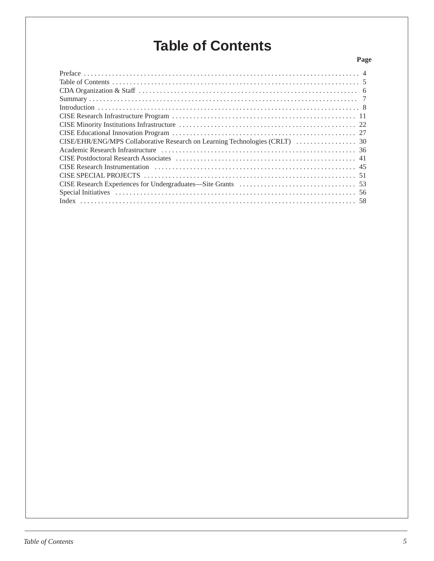# **Table of Contents**

### **Page**

| CISE Postdoctoral Research Associates (a) material content of the set of the set of the set of the set of the set of the set of the set of the set of the set of the set of the set of the set of the set of the set of the se |
|--------------------------------------------------------------------------------------------------------------------------------------------------------------------------------------------------------------------------------|
|                                                                                                                                                                                                                                |
|                                                                                                                                                                                                                                |
|                                                                                                                                                                                                                                |
|                                                                                                                                                                                                                                |
|                                                                                                                                                                                                                                |
|                                                                                                                                                                                                                                |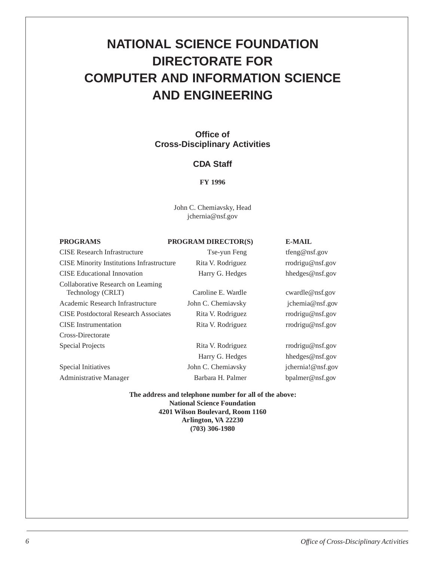# <span id="page-5-0"></span>**NATIONAL SCIENCE FOUNDATION DIRECTORATE FOR COMPUTER AND INFORMATION SCIENCE AND ENGINEERING**

### **Office of Cross-Disciplinary Activities**

### **CDA Staff**

### **FY 1996**

John C. Cherniavsky, Head jchernia@nsf.gov

### **PROGRAMS PROGRAM DIRECTOR(S) E-MAIL**

CISE Research Infrastructure Tse-yun Feng tfeng@nsf.gov CISE Minority Institutions Infrastructure Rita V. Rodriguez rrodrigu@nsf.gov CISE Educational Innovation **Harry G. Hedges** hhedges hhedges hhedges hhedges hhedges hhedges hhedges hedges hedges Collaborative Research on Learning Technology (CRLT) Caroline E. Wardle cwardle@nsf.gov Academic Research Infrastructure John C. Cherniavsky jchemia@nsf.gov CISE Postdoctoral Research Associates Rita V. Rodriguez rrodrigu@nsf.gov CISE Instrumentation Rita V. Rodriguez rrodrigu@nsf.gov Cross-Directorate Special Projects **Rita V. Rodriguez** rrodrigu@nsf.gov Special Initiatives John C. Cherniavsky ichernia!@nsf.gov

Administrative Manager Barbara H. Palmer bpalmer@nsf.gov

Harry G. Hedges hhedges@nsf.gov

**The address and telephone number for all of the above: National Science Foundation 4201 Wilson Boulevard, Room 1160 Arlington, VA 22230 (703) 306-1980**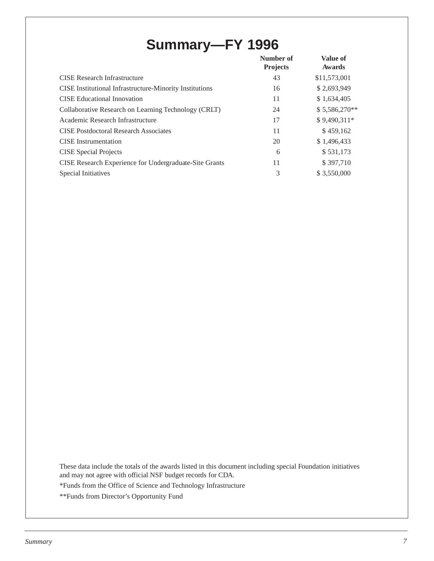# **Summary—FY 1996**

<span id="page-6-0"></span>

|                                                                | Number of<br><b>Projects</b> | <b>Value of</b><br><b>Awards</b> |
|----------------------------------------------------------------|------------------------------|----------------------------------|
| <b>CISE</b> Research Infrastructure                            | 43                           | \$11,573,001                     |
| <b>CISE</b> Institutional Infrastructure-Minority Institutions | 16                           | \$2,693,949                      |
| CISE Educational Innovation                                    | 11                           | \$1,634,405                      |
| Collaborative Research on Learning Technology (CRLT)           | 24                           | \$5,586,270**                    |
| Academic Research Infrastructure                               | 17                           | \$9,490,311*                     |
| <b>CISE Postdoctoral Research Associates</b>                   | 11                           | \$459,162                        |
| <b>CISE</b> Instrumentation                                    | 20                           | \$1,496,433                      |
| <b>CISE</b> Special Projects                                   | 6                            | \$531,173                        |
| CISE Research Experience for Undergraduate-Site Grants         | 11                           | \$397,710                        |
| Special Initiatives                                            | 3                            | \$3,550,000                      |

These data include the totals of the awards listed in this document including special Foundation initiatives and may not agree with official NSF budget records for CDA.

\*Funds from the Office of Science and Technology Infrastructure

\*\*Funds from Director's Opportunity Fund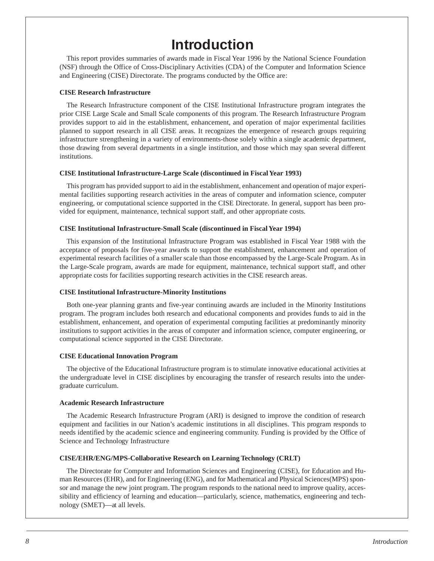# **Introduction**

<span id="page-7-0"></span>This report provides summaries of awards made in Fiscal Year 1996 by the National Science Foundation (NSF) through the Office of Cross-Disciplinary Activities (CDA) of the Computer and Information Science and Engineering (CISE) Directorate. The programs conducted by the Office are:

### **CISE Research Infrastructure**

The Research Infrastructure component of the CISE Institutional Infrastructure program integrates the prior CISE Large Scale and Small Scale components of this program. The Research Infrastructure Program provides support to aid in the establishment, enhancement, and operation of major experimental facilities planned to support research in all CISE areas. It recognizes the emergence of research groups requiring infrastructure strengthening in a variety of environments-those solely within a single academic department, those drawing from several departments in a single institution, and those which may span several different institutions.

### **CISE Institutional Infrastructure-Large Scale (discontinued in Fiscal Year 1993)**

This program has provided support to aid in the establishment, enhancement and operation of major experimental facilities supporting research activities in the areas of computer and information science, computer engineering, or computational science supported in the CISE Directorate. In general, support has been provided for equipment, maintenance, technical support staff, and other appropriate costs.

### **CISE Institutional Infrastructure-Small Scale (discontinued in Fiscal Year 1994)**

This expansion of the Institutional Infrastructure Program was established in Fiscal Year 1988 with the acceptance of proposals for five-year awards to support the establishment, enhancement and operation of experimental research facilities of a smaller scale than those encompassed by the Large-Scale Program. As in the Large-Scale program, awards are made for equipment, maintenance, technical support staff, and other appropriate costs for facilities supporting research activities in the CISE research areas.

### **CISE Institutional Infrastructure-Minority Institutions**

Both one-year planning grants and five-year continuing awards are included in the Minority Institutions program. The program includes both research and educational components and provides funds to aid in the establishment, enhancement, and operation of experimental computing facilities at predominantly minority institutions to support activities in the areas of computer and information science, computer engineering, or computational science supported in the CISE Directorate.

### **CISE Educational Innovation Program**

The objective of the Educational Infrastructure program is to stimulate innovative educational activities at the undergraduate level in CISE disciplines by encouraging the transfer of research results into the undergraduate curriculum.

### **Academic Research Infrastructure**

The Academic Research Infrastructure Program (ARI) is designed to improve the condition of research equipment and facilities in our Nation's academic institutions in all disciplines. This program responds to needs identified by the academic science and engineering community. Funding is provided by the Office of Science and Technology Infrastructure

### **CISE/EHR/ENG/MPS-Collaborative Research on Learning Technology (CRLT)**

The Directorate for Computer and Information Sciences and Engineering (CISE), for Education and Human Resources (EHR), and for Engineering (ENG), and for Mathematical and Physical Sciences(MPS) sponsor and manage the new joint program. The program responds to the national need to improve quality, accessibility and efficiency of learning and education—particularly, science, mathematics, engineering and technology (SMET)—at all levels.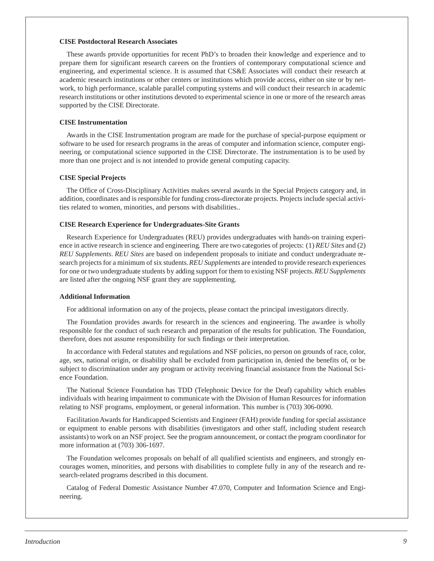### **CISE Postdoctoral Research Associates**

These awards provide opportunities for recent PhD's to broaden their knowledge and experience and to prepare them for significant research careers on the frontiers of contemporary computational science and engineering, and experimental science. It is assumed that CS&E Associates will conduct their research at academic research institutions or other centers or institutions which provide access, either on site or by network, to high performance, scalable parallel computing systems and will conduct their research in academic research institutions or other institutions devoted to experimental science in one or more of the research areas supported by the CISE Directorate.

### **CISE Instrumentation**

Awards in the CISE Instrumentation program are made for the purchase of special-purpose equipment or software to be used for research programs in the areas of computer and information science, computer engineering, or computational science supported in the CISE Directorate. The instrumentation is to be used by more than one project and is not intended to provide general computing capacity.

### **CISE Special Projects**

The Office of Cross-Disciplinary Activities makes several awards in the Special Projects category and, in addition, coordinates and is responsible for funding cross-directorate projects. Projects include special activities related to women, minorities, and persons with disabilities..

### **CISE Research Experience for Undergraduates-Site Grants**

Research Experience for Undergraduates (REU) provides undergraduates with hands-on training experience in active research in science and engineering. There are two categories of projects: (1) *REU Sites* and (2) *REU Supplements*. *REU Sites* are based on independent proposals to initiate and conduct undergraduate research projects for a minimum of six students. *REU Supplements* are intended to provide research experiences for one or two undergraduate students by adding support for them to existing NSF projects. *REU Supplements* are listed after the ongoing NSF grant they are supplementing.

### **Additional Information**

For additional information on any of the projects, please contact the principal investigators directly.

The Foundation provides awards for research in the sciences and engineering. The awardee is wholly responsible for the conduct of such research and preparation of the results for publication. The Foundation, therefore, does not assume responsibility for such findings or their interpretation.

In accordance with Federal statutes and regulations and NSF policies, no person on grounds of race, color, age, sex, national origin, or disability shall be excluded from participation in, denied the benefits of, or be subject to discrimination under any program or activity receiving financial assistance from the National Science Foundation.

The National Science Foundation has TDD (Telephonic Device for the Deaf) capability which enables individuals with hearing impairment to communicate with the Division of Human Resources for information relating to NSF programs, employment, or general information. This number is (703) 306-0090.

Facilitation Awards for Handicapped Scientists and Engineer (FAH) provide funding for special assistance or equipment to enable persons with disabilities (investigators and other staff, including student research assistants) to work on an NSF project. See the program announcement, or contact the program coordinator for more information at (703) 306-1697.

The Foundation welcomes proposals on behalf of all qualified scientists and engineers, and strongly encourages women, minorities, and persons with disabilities to complete fully in any of the research and research-related programs described in this document.

Catalog of Federal Domestic Assistance Number 47.070, Computer and Information Science and Engineering.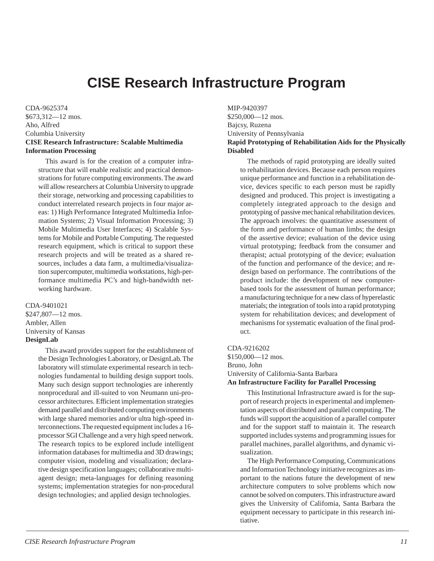# **CISE Research Infrastructure Program**

<span id="page-9-0"></span>CDA-9625374 \$673,312—12 mos. Aho, Alfred Columbia University **CISE Research Infrastructure: Scalable Multimedia Information Processing**

This award is for the creation of a computer infrastructure that will enable realistic and practical demonstrations for future computing environments. The award will allow researchers at Columbia University to upgrade their storage, networking and processing capabilities to conduct interrelated research projects in four major areas: 1) High Performance Integrated Multimedia Information Systems; 2) Visual Information Processing; 3) Mobile Multimedia User Interfaces; 4) Scalable Systems for Mobile and Portable Computing. The requested research equipment, which is critical to support these research projects and will be treated as a shared resources, includes a data farm, a multimedia/visualization supercomputer, multimedia workstations, high-performance multimedia PC's and high-bandwidth networking hardware.

CDA-9401021 \$247,807—12 mos. Ambler, Allen University of Kansas **DesignLab**

> This award provides support for the establishment of the Design Technologies Laboratory, or DesignLab. The laboratory will stimulate experimental research in technologies fundamental to building design support tools. Many such design support technologies are inherently nonprocedural and ill-suited to von Neumann uni-processor architectures. Efficient implementation strategies demand parallel and distributed computing environments with large shared memories and/or ultra high-speed interconnections. The requested equipment includes a 16 processor SGI Challenge and a very high speed network. The research topics to be explored include intelligent information databases for multimedia and 3D drawings; computer vision, modeling and visualization; declarative design specification languages; collaborative multiagent design; meta-languages for defining reasoning systems; implementation strategies for non-procedural design technologies; and applied design technologies.

MIP-9420397

\$250,000—12 mos. Bajcsy, Ruzena University of Pennsylvania

### **Rapid Prototyping of Rehabilitation Aids for the Physically Disabled**

The methods of rapid prototyping are ideally suited to rehabilitation devices. Because each person requires unique performance and function in a rehabilitation device, devices specific to each person must be rapidly designed and produced. This project is investigating a completely integrated approach to the design and prototyping of passive mechanical rehabilitation devices. The approach involves: the quantitative assessment of the form and performance of human limbs; the design of the assertive device; evaluation of the device using virtual prototyping; feedback from the consumer and therapist; actual prototyping of the device; evaluation of the function and performance of the device; and redesign based on performance. The contributions of the product include: the development of new computerbased tools for the assessment of human performance; a manufacturing technique for a new class of hyperelastic materials; the integration of tools into a rapid prototyping system for rehabilitation devices; and development of mechanisms for systematic evaluation of the final product.

### CDA-9216202

\$150,000—12 mos. Bruno, John University of California-Santa Barbara **An Infrastructure Facility for Parallel Processing**

This Institutional Infrastructure award is for the support of research projects in experimental and implementation aspects of distributed and parallel computing. The funds will support the acquisition of a parallel computer and for the support staff to maintain it. The research supported includes systems and programming issues for parallel machines, parallel algorithms, and dynamic visualization.

The High Performance Computing, Communications and Information Technology initiative recognizes as important to the nations future the development of new architecture computers to solve problems which now cannot be solved on computers. This infrastructure award gives the University of California, Santa Barbara the equipment necessary to participate in this research initiative.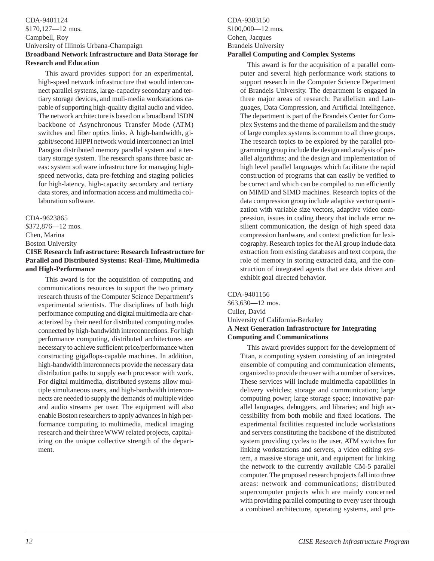### <span id="page-10-0"></span>CDA-9401124 \$170,127—12 mos. Campbell, Roy University of Illinois Urbana-Champaign **Broadband Network Infrastructure and Data Storage for Research and Education**

This award provides support for an experimental, high-speed network infrastructure that would interconnect parallel systems, large-capacity secondary and tertiary storage devices, and muli-media workstations capable of supporting high-quality digital audio and video. The network architecture is based on a broadband ISDN backbone of Asynchronous Transfer Mode (ATM) switches and fiber optics links. A high-bandwidth, gigabit/second HIPPI network would interconnect an Intel Paragon distributed memory parallel system and a tertiary storage system. The research spans three basic areas: system software infrastructure for managing highspeed networks, data pre-fetching and staging policies for high-latency, high-capacity secondary and tertiary data stores, and information access and multimedia collaboration software.

### CDA-9623865

\$372,876—12 mos. Chen, Marina

Boston University

### **CISE Research Infrastructure: Research Infrastructure for Parallel and Distributed Systems: Real-Time, Multimedia and High-Performance**

This award is for the acquisition of computing and communications resources to support the two primary research thrusts of the Computer Science Department's experimental scientists. The disciplines of both high performance computing and digital multimedia are characterized by their need for distributed computing nodes connected by high-bandwidth interconnections. For high performance computing, distributed architectures are necessary to achieve sufficient price/performance when constructing gigaflops-capable machines. In addition, high-bandwidth interconnects provide the necessary data distribution paths to supply each processor with work. For digital multimedia, distributed systems allow multiple simultaneous users, and high-bandwidth interconnects are needed to supply the demands of multiple video and audio streams per user. The equipment will also enable Boston researchers to apply advances in high performance computing to multimedia, medical imaging research and their three WWW related projects, capitalizing on the unique collective strength of the department.

### CDA-9303150 \$100,000—12 mos. Cohen, Jacques Brandeis University **Parallel Computing and Complex Systems**

This award is for the acquisition of a parallel computer and several high performance work stations to support research in the Computer Science Department of Brandeis University. The department is engaged in three major areas of research: Parallelism and Languages, Data Compression, and Artificial Intelligence. The department is part of the Brandeis Center for Complex Systems and the theme of parallelism and the study of large complex systems is common to all three groups. The research topics to be explored by the parallel programming group include the design and analysis of parallel algorithms; and the design and implementation of high level parallel languages which facilitate the rapid construction of programs that can easily be verified to be correct and which can be compiled to run efficiently on MIMD and SIMD machines. Research topics of the data compression group include adaptive vector quantization with variable size vectors, adaptive video compression, issues in coding theory that include error resilient communication, the design of high speed data compression hardware, and context prediction for lexicography. Research topics for the AI group include data extraction from existing databases and text corpora, the role of memory in storing extracted data, and the construction of integrated agents that are data driven and exhibit goal directed behavior.

CDA-9401156 \$63,630—12 mos. Culler, David University of California-Berkeley **A Next Generation Infrastructure for Integrating Computing and Communications**

This award provides support for the development of Titan, a computing system consisting of an integrated ensemble of computing and communication elements, organized to provide the user with a number of services. These services will include multimedia capabilities in delivery vehicles; storage and communication; large computing power; large storage space; innovative parallel languages, debuggers, and libraries; and high accessibility from both mobile and fixed locations. The experimental facilities requested include workstations and servers constituting the backbone of the distributed system providing cycles to the user, ATM switches for linking workstations and servers, a video editing system, a massive storage unit, and equipment for linking the network to the currently available CM-5 parallel computer. The proposed research projects fall into three areas: network and communications; distributed supercomputer projects which are mainly concerned with providing parallel computing to every user through a combined architecture, operating systems, and pro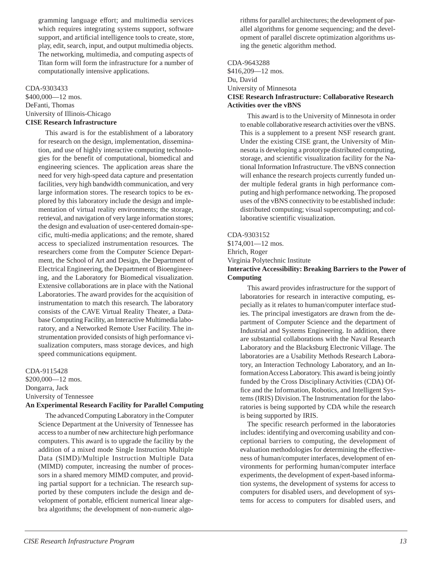<span id="page-11-0"></span>gramming language effort; and multimedia services which requires integrating systems support, software support, and artificial intelligence tools to create, store, play, edit, search, input, and output multimedia objects. The networking, multimedia, and computing aspects of Titan form will form the infrastructure for a number of computationally intensive applications.

### CDA-9303433

\$400,000—12 mos. DeFanti, Thomas University of Illinois-Chicago **CISE Research Infrastructure**

> This award is for the establishment of a laboratory for research on the design, implementation, dissemination, and use of highly interactive computing technologies for the benefit of computational, biomedical and engineering sciences. The application areas share the need for very high-speed data capture and presentation facilities, very high bandwidth communication, and very large information stores. The research topics to be explored by this laboratory include the design and implementation of virtual reality environments; the storage, retrieval, and navigation of very large information stores; the design and evaluation of user-centered domain-specific, multi-media applications; and the remote, shared access to specialized instrumentation resources. The researchers come from the Computer Science Department, the School of Art and Design, the Department of Electrical Engineering, the Department of Bioengineering, and the Laboratory for Biomedical visualization. Extensive collaborations are in place with the National Laboratories. The award provides for the acquisition of instrumentation to match this research. The laboratory consists of the CAVE Virtual Reality Theater, a Database Computing Facility, an Interactive Multimedia laboratory, and a Networked Remote User Facility. The instrumentation provided consists of high performance visualization computers, mass storage devices, and high speed communications equipment.

### CDA-9115428

\$200,000—12 mos. Dongarra, Jack University of Tennessee

### **An Experimental Research Facility for Parallel Computing**

The advanced Computing Laboratory in the Computer Science Department at the University of Tennessee has access to a number of new architecture high performance computers. This award is to upgrade the facility by the addition of a mixed mode Single Instruction Multiple Data (SIMD)/Multiple Instruction Multiple Data (MIMD) computer, increasing the number of processors in a shared memory MIMD computer, and providing partial support for a technician. The research supported by these computers include the design and development of portable, efficient numerical linear algebra algorithms; the development of non-numeric algorithms for parallel architectures; the development of parallel algorithms for genome sequencing; and the development of parallel discrete optimization algorithms using the genetic algorithm method.

### CDA-9643288 \$416,209—12 mos. Du, David University of Minnesota **CISE Research Infrastructure: Collaborative Research Activities over the vBNS**

This award is to the University of Minnesota in order to enable collaborative research activities over the vBNS. This is a supplement to a present NSF research grant. Under the existing CISE grant, the University of Minnesota is developing a prototype distributed computing, storage, and scientific visualization facility for the National Information Infrastructure. The vBNS connection will enhance the research projects currently funded under multiple federal grants in high performance computing and high performance networking. The proposed uses of the vBNS connectivity to be established include: distributed computing; visual supercomputing; and collaborative scientific visualization.

### CDA-9303152

\$174,001—12 mos. Ehrich, Roger Virginia Polytechnic Institute **Interactive Accessibility: Breaking Barriers to the Power of Computing**

This award provides infrastructure for the support of laboratories for research in interactive computing, especially as it relates to human/computer interface studies. The principal investigators are drawn from the department of Computer Science and the department of Industrial and Systems Engineering. In addition, there are substantial collaborations with the Naval Research Laboratory and the Blacksburg Electronic Village. The laboratories are a Usability Methods Research Laboratory, an Interaction Technology Laboratory, and an Information Access Laboratory. This award is being jointly funded by the Cross Disciplinary Activities (CDA) Office and the Information, Robotics, and Intelligent Systems (IRIS) Division. The Instrumentation for the laboratories is being supported by CDA while the research is being supported by IRIS.

The specific research performed in the laboratories includes: identifying and overcoming usability and conceptional barriers to computing, the development of evaluation methodologies for determining the effectiveness of human/computer interfaces, development of environments for performing human/computer interface experiments, the development of expert-based information systems, the development of systems for access to computers for disabled users, and development of systems for access to computers for disabled users, and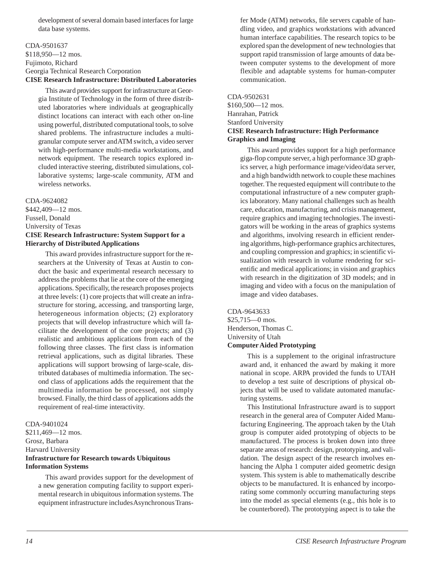<span id="page-12-0"></span>development of several domain based interfaces for large data base systems.

### CDA-9501637 \$118,950—12 mos. Fujimoto, Richard Georgia Technical Research Corporation **CISE Research Infrastructure: Distributed Laboratories**

This award provides support for infrastructure at Georgia Institute of Technology in the form of three distributed laboratories where individuals at geographically distinct locations can interact with each other on-line using powerful, distributed computational tools, to solve shared problems. The infrastructure includes a multigranular compute server and ATM switch, a video server with high-performance multi-media workstations, and network equipment. The research topics explored included interactive steering, distributed simulations, collaborative systems; large-scale community, ATM and wireless networks.

### CDA-9624082

\$442,409—12 mos. Fussell, Donald University of Texas

### **CISE Research Infrastructure: System Support for a Hierarchy of Distributed Applications**

This award provides infrastructure support for the researchers at the University of Texas at Austin to conduct the basic and experimental research necessary to address the problems that lie at the core of the emerging applications. Specifically, the research proposes projects at three levels: (1) core projects that will create an infrastructure for storing, accessing, and transporting large, heterogeneous information objects; (2) exploratory projects that will develop infrastructure which will facilitate the development of the core projects; and (3) realistic and ambitious applications from each of the following three classes. The first class is information retrieval applications, such as digital libraries. These applications will support browsing of large-scale, distributed databases of multimedia information. The second class of applications adds the requirement that the multimedia information be processed, not simply browsed. Finally, the third class of applications adds the requirement of real-time interactivity.

### CDA-9401024

\$211,469—12 mos. Grosz, Barbara Harvard University **Infrastructure for Research towards Ubiquitous Information Systems**

This award provides support for the development of a new generation computing facility to support experimental research in ubiquitous information systems. The equipment infrastructure includes Asynchronous Transfer Mode (ATM) networks, file servers capable of handling video, and graphics workstations with advanced human interface capabilities. The research topics to be explored span the development of new technologies that support rapid transmission of large amounts of data between computer systems to the development of more flexible and adaptable systems for human-computer communication.

### CDA-9502631

\$160,500—12 mos. Hanrahan, Patrick Stanford University **CISE Research Infrastructure: High Performance Graphics and Imaging**

This award provides support for a high performance giga-flop compute server, a high performance 3D graphics server, a high performance image/video/data server, and a high bandwidth network to couple these machines together. The requested equipment will contribute to the computational infrastructure of a new computer graphics laboratory. Many national challenges such as health care, education, manufacturing, and crisis management, require graphics and imaging technologies. The investigators will be working in the areas of graphics systems and algorithms, involving research in efficient rendering algorithms, high-performance graphics architectures, and coupling compression and graphics; in scientific visualization with research in volume rendering for scientific and medical applications; in vision and graphics with research in the digitization of 3D models; and in imaging and video with a focus on the manipulation of image and video databases.

### CDA-9643633

\$25,715—0 mos. Henderson, Thomas C. University of Utah **Computer Aided Prototyping**

> This is a supplement to the original infrastructure award and, it enhanced the award by making it more national in scope. ARPA provided the funds to UTAH to develop a test suite of descriptions of physical objects that will be used to validate automated manufacturing systems.

> This Institutional Infrastructure award is to support research in the general area of Computer Aided Manufacturing Engineering. The approach taken by the Utah group is computer aided prototyping of objects to be manufactured. The process is broken down into three separate areas of research: design, prototyping, and validation. The design aspect of the research involves enhancing the Alpha 1 computer aided geometric design system. This system is able to mathematically describe objects to be manufactured. It is enhanced by incorporating some commonly occurring manufacturing steps into the model as special elements (e.g., this hole is to be counterbored). The prototyping aspect is to take the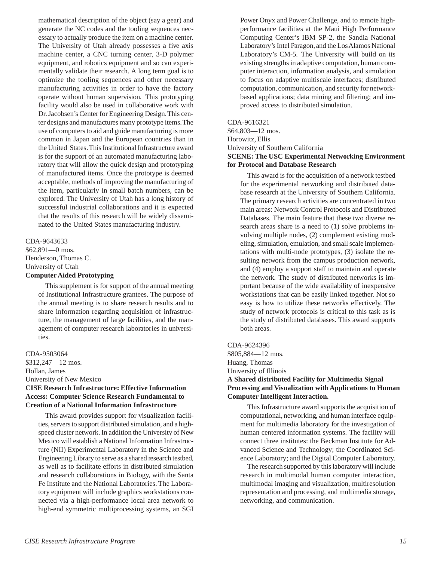<span id="page-13-0"></span>mathematical description of the object (say a gear) and generate the NC codes and the tooling sequences necessary to actually produce the item on a machine center. The University of Utah already possesses a five axis machine center, a CNC turning center, 3-D polymer equipment, and robotics equipment and so can experimentally validate their research. A long term goal is to optimize the tooling sequences and other necessary manufacturing activities in order to have the factory operate without human supervision. This prototyping facility would also be used in collaborative work with Dr. Jacobsen's Center for Engineering Design. This center designs and manufactures many prototype items. The use of computers to aid and guide manufacturing is more common in Japan and the European countries than in the United States. This Institutional Infrastructure award is for the support of an automated manufacturing laboratory that will allow the quick design and prototyping of manufactured items. Once the prototype is deemed acceptable, methods of improving the manufacturing of the item, particularly in small batch numbers, can be explored. The University of Utah has a long history of successful industrial collaborations and it is expected that the results of this research will be widely disseminated to the United States manufacturing industry.

### CDA-9643633

\$62,891—0 mos. Henderson, Thomas C. University of Utah **Computer Aided Prototyping**

> This supplement is for support of the annual meeting of Institutional Infrastructure grantees. The purpose of the annual meeting is to share research results and to share information regarding acquisition of infrastructure, the management of large facilities, and the management of computer research laboratories in universities.

CDA-9503064 \$312,247—12 mos. Hollan, James University of New Mexico **CISE Research Infrastructure: Effective Information Access: Computer Science Research Fundamental to Creation of a National Information Infrastructure**

This award provides support for visualization facilities, servers to support distributed simulation, and a highspeed cluster network. In addition the University of New Mexico will establish a National Information Infrastructure (NII) Experimental Laboratory in the Science and Engineering Library to serve as a shared research testbed, as well as to facilitate efforts in distributed simulation and research collaborations in Biology, with the Santa Fe Institute and the National Laboratories. The Laboratory equipment will include graphics workstations connected via a high-performance local area network to high-end symmetric multiprocessing systems, an SGI Power Onyx and Power Challenge, and to remote highperformance facilities at the Maui High Performance Computing Center's IBM SP-2, the Sandia National Laboratory's Intel Paragon, and the Los Alamos National Laboratory's CM-5. The University will build on its existing strengths in adaptive computation, human computer interaction, information analysis, and simulation to focus on adaptive multiscale interfaces; distributed computation, communication, and security for networkbased applications; data mining and filtering; and improved access to distributed simulation.

### CDA-9616321

\$64,803—12 mos. Horowitz, Ellis University of Southern California **SCENE: The USC Experimental Networking Environment for Protocol and Database Research**

This award is for the acquisition of a network testbed for the experimental networking and distributed database research at the University of Southern California. The primary research activities are concentrated in two main areas: Network Control Protocols and Distributed Databases. The main feature that these two diverse research areas share is a need to (1) solve problems involving multiple nodes, (2) complement existing modeling, simulation, emulation, and small scale implementations with multi-node prototypes, (3) isolate the resulting network from the campus production network, and (4) employ a support staff to maintain and operate the network. The study of distributed networks is important because of the wide availability of inexpensive workstations that can be easily linked together. Not so easy is how to utilize these networks effectively. The study of network protocols is critical to this task as is the study of distributed databases. This award supports both areas.

### CDA-9624396

\$805,884—12 mos. Huang, Thomas University of Illinois

### **A Shared distributed Facility for Multimedia Signal Processing and Visualization with Applications to Human Computer Intelligent Interaction.**

This Infrastructure award supports the acquisition of computational, networking, and human interface equipment for multimedia laboratory for the investigation of human centered information systems. The facility will connect three institutes: the Beckman Institute for Advanced Science and Technology; the Coordinated Science Laboratory; and the Digital Computer Laboratory.

The research supported by this laboratory will include research in multimodal human computer interaction, multimodal imaging and visualization, multiresolution representation and processing, and multimedia storage, networking, and communication.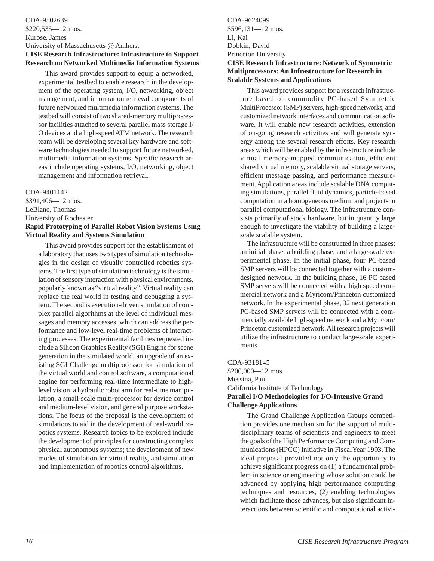### <span id="page-14-0"></span>CDA-9502639 \$220,535—12 mos. Kurose, James University of Massachusetts @ Amherst **CISE Research Infrastructure: Infrastructure to Support Research on Networked Multimedia Information Systems**

This award provides support to equip a networked, experimental testbed to enable research in the development of the operating system, I/O, networking, object management, and information retrieval components of future networked multimedia information systems. The testbed will consist of two shared-memory multiprocessor facilities attached to several parallel mass storage I/ O devices and a high-speed ATM network. The research team will be developing several key hardware and software technologies needed to support future networked, multimedia information systems. Specific research areas include operating systems, I/O, networking, object management and information retrieval.

### CDA-9401142

\$391,406—12 mos. LeBlanc, Thomas University of Rochester **Rapid Prototyping of Parallel Robot Vision Systems Using Virtual Reality and Systems Simulation**

This award provides support for the establishment of a laboratory that uses two types of simulation technologies in the design of visually controlled robotics systems. The first type of simulation technology is the simulation of sensory interaction with physical environments, popularly known as "virtual reality". Virtual reality can replace the real world in testing and debugging a system. The second is execution-driven simulation of complex parallel algorithms at the level of individual messages and memory accesses, which can address the performance and low-level real-time problems of interacting processes. The experimental facilities requested include a Silicon Graphics Reality (SGI) Engine for scene generation in the simulated world, an upgrade of an existing SGI Challenge multiprocessor for simulation of the virtual world and control software, a computational engine for performing real-time intermediate to highlevel vision, a hydraulic robot arm for real-time manipulation, a small-scale multi-processor for device control and medium-level vision, and general purpose workstations. The focus of the proposal is the development of simulations to aid in the development of real-world robotics systems. Research topics to be explored include the development of principles for constructing complex physical autonomous systems; the development of new modes of simulation for virtual reality, and simulation and implementation of robotics control algorithms.

### CDA-9624099 \$596,131—12 mos. Li, Kai Dobkin, David Princeton University **CISE Research Infrastructure: Network of Symmetric Multiprocessors: An Infrastructure for Research in Scalable Systems and Applications**

This award provides support for a research infrastructure based on commodity PC-based Symmetric MultiProcessor (SMP) servers, high-speed networks, and customized network interfaces and communication software. It will enable new research activities, extension of on-going research activities and will generate synergy among the several research efforts. Key research areas which will be enabled by the infrastructure include virtual memory-mapped communication, efficient shared virtual memory, scalable virtual storage servers, efficient message passing, and performance measurement. Application areas include scalable DNA computing simulations, parallel fluid dynamics, particle-based computation in a homogeneous medium and projects in parallel computational biology. The infrastructure consists primarily of stock hardware, but in quantity large enough to investigate the viability of building a largescale scalable system.

The infrastructure will be constructed in three phases: an initial phase, a building phase, and a large-scale experimental phase. In the initial phase, four PC-based SMP servers will be connected together with a customdesigned network. In the building phase, 16 PC based SMP servers will be connected with a high speed commercial network and a Myricom/Princeton customized network. In the experimental phase, 32 next generation PC-based SMP servers will be connected with a commercially available high-speed network and a Myricom/ Princeton customized network. All research projects will utilize the infrastructure to conduct large-scale experiments.

CDA-9318145 \$200,000—12 mos. Messina, Paul California Institute of Technology **Parallel I/O Methodologies for I/O-Intensive Grand Challenge Applications**

The Grand Challenge Application Groups competition provides one mechanism for the support of multidisciplinary teams of scientists and engineers to meet the goals of the High Performance Computing and Communications (HPCC) Initiative in Fiscal Year 1993. The ideal proposal provided not only the opportunity to achieve significant progress on (1) a fundamental problem in science or engineering whose solution could be advanced by applying high performance computing techniques and resources, (2) enabling technologies which facilitate those advances, but also significant interactions between scientific and computational activi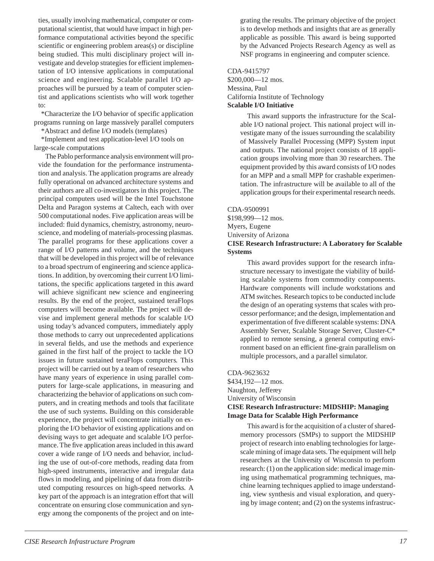<span id="page-15-0"></span>ties, usually involving mathematical, computer or computational scientist, that would have impact in high performance computational activities beyond the specific scientific or engineering problem areas(s) or discipline being studied. This multi disciplinary project will investigate and develop strategies for efficient implementation of I/O intensive applications in computational science and engineering. Scalable parallel I/O approaches will be pursued by a team of computer scientist and applications scientists who will work together to:

\*Characterize the I/O behavior of specific application programs running on large massively parallel computers

\*Abstract and define I/O models (templates)

\*Implement and test application-level I/O tools on large-scale computations

The Pablo performance analysis environment will provide the foundation for the performance instrumentation and analysis. The application programs are already fully operational on advanced architecture systems and their authors are all co-investigators in this project. The principal computers used will be the Intel Touchstone Delta and Paragon systems at Caltech, each with over 500 computational nodes. Five application areas will be included: fluid dynamics, chemistry, astronomy, neuroscience, and modeling of materials-processing plasmas. The parallel programs for these applications cover a range of I/O patterns and volume, and the techniques that will be developed in this project will be of relevance to a broad spectrum of engineering and science applications. In addition, by overcoming their current I/O limitations, the specific applications targeted in this award will achieve significant new science and engineering results. By the end of the project, sustained teraFlops computers will become available. The project will devise and implement general methods for scalable I/O using today's advanced computers, immediately apply those methods to carry out unprecedented applications in several fields, and use the methods and experience gained in the first half of the project to tackle the I/O issues in future sustained teraFlops computers. This project will be carried out by a team of researchers who have many years of experience in using parallel computers for large-scale applications, in measuring and characterizing the behavior of applications on such computers, and in creating methods and tools that facilitate the use of such systems. Building on this considerable experience, the project will concentrate initially on exploring the I/O behavior of existing applications and on devising ways to get adequate and scalable I/O performance. The five application areas included in this award cover a wide range of I/O needs and behavior, including the use of out-of-core methods, reading data from high-speed instruments, interactive and irregular data flows in modeling, and pipelining of data from distributed computing resources on high-speed networks. A key part of the approach is an integration effort that will concentrate on ensuring close communication and synergy among the components of the project and on integrating the results. The primary objective of the project is to develop methods and insights that are as generally applicable as possible. This award is being supported by the Advanced Projects Research Agency as well as NSF programs in engineering and computer science.

CDA-9415797 \$200,000—12 mos. Messina, Paul California Institute of Technology **Scalable I/O Initiative**

> This award supports the infrastructure for the Scalable I/O national project. This national project will investigate many of the issues surrounding the scalability of Massively Parallel Processing (MPP) System input and outputs. The national project consists of 18 application groups involving more than 30 researchers. The equipment provided by this award consists of I/O nodes for an MPP and a small MPP for crashable experimentation. The infrastructure will be available to all of the application groups for their experimental research needs.

CDA-9500991 \$198,999—12 mos. Myers, Eugene University of Arizona **CISE Research Infrastructure: A Laboratory for Scalable**

**Systems** This award provides support for the research infrastructure necessary to investigate the viability of building scalable systems from commodity components. Hardware components will include workstations and ATM switches. Research topics to be conducted include the design of an operating systems that scales with processor performance; and the design, implementation and experimentation of five different scalable systems: DNA Assembly Server, Scalable Storage Server, Cluster-C\* applied to remote sensing, a general computing environment based on an efficient fine-grain parallelism on

CDA-9623632 \$434,192—12 mos. Naughton, Jefferey University of Wisconsin **CISE Research Infrastructure: MIDSHIP: Managing Image Data for Scalable High Performance**

multiple processors, and a parallel simulator.

This award is for the acquisition of a cluster of sharedmemory processors (SMPs) to support the MIDSHIP project of research into enabling technologies for largescale mining of image data sets. The equipment will help researchers at the University of Wisconsin to perform research: (1) on the application side: medical image mining using mathematical programming techniques, machine learning techniques applied to image understanding, view synthesis and visual exploration, and querying by image content; and (2) on the systems infrastruc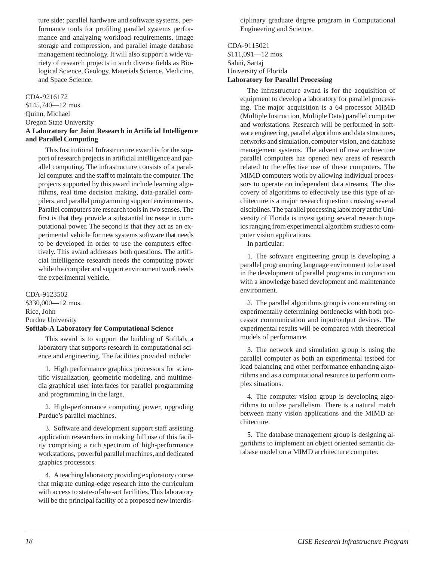<span id="page-16-0"></span>ture side: parallel hardware and software systems, performance tools for profiling parallel systems performance and analyzing workload requirements, image storage and compression, and parallel image database management technology. It will also support a wide variety of research projects in such diverse fields as Biological Science, Geology, Materials Science, Medicine, and Space Science.

### CDA-9216172

\$145,740—12 mos. Quinn, Michael Oregon State University **A Laboratory for Joint Research in Artificial Intelligence and Parallel Computing**

This Institutional Infrastructure award is for the support of research projects in artificial intelligence and parallel computing. The infrastructure consists of a parallel computer and the staff to maintain the computer. The projects supported by this award include learning algorithms, real time decision making, data-parallel compilers, and parallel programming support environments. Parallel computers are research tools in two senses. The first is that they provide a substantial increase in computational power. The second is that they act as an experimental vehicle for new systems software that needs to be developed in order to use the computers effectively. This award addresses both questions. The artificial intelligence research needs the computing power while the compiler and support environment work needs the experimental vehicle.

CDA-9123502 \$330,000—12 mos. Rice, John Purdue University **Softlab-A Laboratory for Computational Science**

This award is to support the building of Softlab, a laboratory that supports research in computational science and engineering. The facilities provided include:

1. High performance graphics processors for scientific visualization, geometric modeling, and multimedia graphical user interfaces for parallel programming and programming in the large.

2. High-performance computing power, upgrading Purdue's parallel machines.

3. Software and development support staff assisting application researchers in making full use of this facility comprising a rich spectrum of high-performance workstations, powerful parallel machines, and dedicated graphics processors.

4. A teaching laboratory providing exploratory course that migrate cutting-edge research into the curriculum with access to state-of-the-art facilities. This laboratory will be the principal facility of a proposed new interdisciplinary graduate degree program in Computational Engineering and Science.

### CDA-9115021 \$111,091—12 mos. Sahni, Sartaj University of Florida **Laboratory for Parallel Processing**

The infrastructure award is for the acquisition of equipment to develop a laboratory for parallel processing. The major acquisition is a 64 processor MIMD (Multiple Instruction, Multiple Data) parallel computer and workstations. Research will be performed in software engineering, parallel algorithms and data structures, networks and simulation, computer vision, and database management systems. The advent of new architecture parallel computers has opened new areas of research related to the effective use of these computers. The MIMD computers work by allowing individual processors to operate on independent data streams. The discovery of algorithms to effectively use this type of architecture is a major research question crossing several disciplines. The parallel processing laboratory at the University of Florida is investigating several research topics ranging from experimental algorithm studies to computer vision applications.

In particular:

1. The software engineering group is developing a parallel programming language environment to be used in the development of parallel programs in conjunction with a knowledge based development and maintenance environment.

2. The parallel algorithms group is concentrating on experimentally determining bottlenecks with both processor communication and input/output devices. The experimental results will be compared with theoretical models of performance.

3. The network and simulation group is using the parallel computer as both an experimental testbed for load balancing and other performance enhancing algorithms and as a computational resource to perform complex situations.

4. The computer vision group is developing algorithms to utilize parallelism. There is a natural match between many vision applications and the MIMD architecture.

5. The database management group is designing algorithms to implement an object oriented semantic database model on a MIMD architecture computer.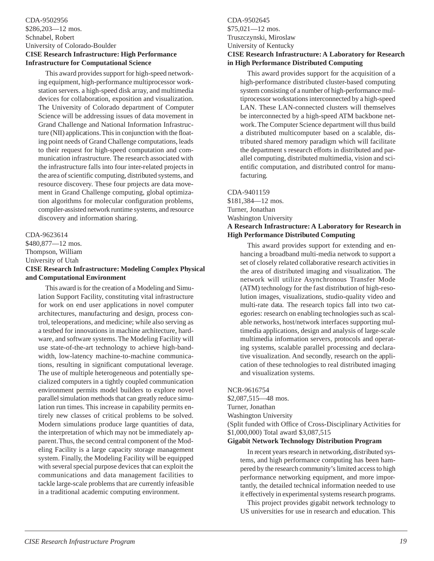### <span id="page-17-0"></span>CDA-9502956 \$286,203—12 mos. Schnabel, Robert University of Colorado-Boulder **CISE Research Infrastructure: High Performance Infrastructure for Computational Science**

This award provides support for high-speed networking equipment, high-performance multiprocessor workstation servers. a high-speed disk array, and multimedia devices for collaboration, exposition and visualization. The University of Colorado department of Computer Science will be addressing issues of data movement in Grand Challenge and National Information Infrastructure (NII) applications. This in conjunction with the floating point needs of Grand Challenge computations, leads to their request for high-speed computation and communication infrastructure. The research associated with the infrastructure falls into four inter-related projects in the area of scientific computing, distributed systems, and resource discovery. These four projects are data movement in Grand Challenge computing, global optimization algorithms for molecular configuration problems, compiler-assisted network runtime systems, and resource discovery and information sharing.

### CDA-9623614 \$480,877—12 mos. Thompson, William University of Utah **CISE Research Infrastructure: Modeling Complex Physical and Computational Environment**

This award is for the creation of a Modeling and Simulation Support Facility, constituting vital infrastructure for work on end user applications in novel computer architectures, manufacturing and design, process control, teleoperations, and medicine; while also serving as a testbed for innovations in machine architecture, hardware, and software systems. The Modeling Facility will use state-of-the-art technology to achieve high-bandwidth, low-latency machine-to-machine communications, resulting in significant computational leverage. The use of multiple heterogeneous and potentially specialized computers in a tightly coupled communication environment permits model builders to explore novel parallel simulation methods that can greatly reduce simulation run times. This increase in capability permits entirely new classes of critical problems to be solved. Modern simulations produce large quantities of data, the interpretation of which may not be immediately apparent. Thus, the second central component of the Modeling Facility is a large capacity storage management system. Finally, the Modeling Facility will be equipped with several special purpose devices that can exploit the communications and data management facilities to tackle large-scale problems that are currently infeasible in a traditional academic computing environment.

### CDA-9502645 \$75,021—12 mos. Truszczynski, Miroslaw University of Kentucky **CISE Research Infrastructure: A Laboratory for Research in High Performance Distributed Computing**

This award provides support for the acquisition of a high-performance distributed cluster-based computing system consisting of a number of high-performance multiprocessor workstations interconnected by a high-speed LAN. These LAN-connected clusters will themselves be interconnected by a high-speed ATM backbone network. The Computer Science department will thus build a distributed multicomputer based on a scalable, distributed shared memory paradigm which will facilitate the department s research efforts in distributed and parallel computing, distributed multimedia, vision and scientific computation, and distributed control for manufacturing.

### CDA-9401159

\$181,384—12 mos. Turner, Jonathan Washington University **A Research Infrastructure: A Laboratory for Research in High Performance Distributed Computing**

This award provides support for extending and enhancing a broadband multi-media network to support a set of closely related collaborative research activities in the area of distributed imaging and visualization. The network will utilize Asynchronous Transfer Mode (ATM) technology for the fast distribution of high-resolution images, visualizations, studio-quality video and multi-rate data. The research topics fall into two categories: research on enabling technologies such as scalable networks, host/network interfaces supporting multimedia applications, design and analysis of large-scale multimedia information servers, protocols and operating systems, scalable parallel processing and declarative visualization. And secondly, research on the application of these technologies to real distributed imaging and visualization systems.

NCR-9616754

\$2,087,515—48 mos. Turner, Jonathan Washington University (Split funded with Office of Cross-Disciplinary Activities for \$1,000,000) Total award \$3,087,515

### **Gigabit Network Technology Distribution Program**

In recent years research in networking, distributed systems, and high performance computing has been hampered by the research community's limited access to high performance networking equipment, and more importantly, the detailed technical information needed to use it effectively in experimental systems research programs.

This project provides gigabit network technology to US universities for use in research and education. This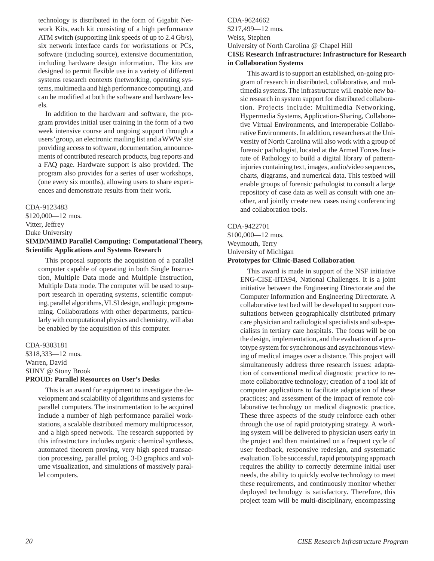<span id="page-18-0"></span>technology is distributed in the form of Gigabit Network Kits, each kit consisting of a high performance ATM switch (supporting link speeds of up to 2.4 Gb/s), six network interface cards for workstations or PCs, software (including source), extensive documentation, including hardware design information. The kits are designed to permit flexible use in a variety of different systems research contexts (networking, operating systems, multimedia and high performance computing), and can be modified at both the software and hardware levels.

In addition to the hardware and software, the program provides initial user training in the form of a two week intensive course and ongoing support through a users' group, an electronic mailing list and a WWW site providing access to software, documentation, announcements of contributed research products, bug reports and a FAQ page. Hardware support is also provided. The program also provides for a series of user workshops, (one every six months), allowing users to share experiences and demonstrate results from their work.

### CDA-9123483

\$120,000—12 mos. Vitter, Jeffrey Duke University

### **SIMD/MIMD Parallel Computing: Computational Theory, Scientific Applications and Systems Research**

This proposal supports the acquisition of a parallel computer capable of operating in both Single Instruction, Multiple Data mode and Multiple Instruction, Multiple Data mode. The computer will be used to support research in operating systems, scientific computing, parallel algorithms, VLSI design, and logic programming. Collaborations with other departments, particularly with computational physics and chemistry, will also be enabled by the acquisition of this computer.

### CDA-9303181 \$318,333—12 mos. Warren, David SUNY @ Stony Brook **PROUD: Parallel Resources on User's Desks**

This is an award for equipment to investigate the development and scalability of algorithms and systems for parallel computers. The instrumentation to be acquired include a number of high performance parallel workstations, a scalable distributed memory multiprocessor, and a high speed network. The research supported by this infrastructure includes organic chemical synthesis, automated theorem proving, very high speed transaction processing, parallel prolog, 3-D graphics and volume visualization, and simulations of massively parallel computers.

### CDA-9624662 \$217,499—12 mos. Weiss, Stephen University of North Carolina @ Chapel Hill **CISE Research Infrastructure: Infrastructure for Research in Collaboration Systems**

This award is to support an established, on-going program of research in distributed, collaborative, and multimedia systems. The infrastructure will enable new basic research in system support for distributed collaboration. Projects include: Multimedia Networking, Hypermedia Systems, Application-Sharing, Collaborative Virtual Environments, and Interoperable Collaborative Environments. In addition, researchers at the University of North Carolina will also work with a group of forensic pathologist, located at the Armed Forces Institute of Pathology to build a digital library of patterninjuries containing text, images, audio/video sequences, charts, diagrams, and numerical data. This testbed will enable groups of forensic pathologist to consult a large repository of case data as well as consult with one another, and jointly create new cases using conferencing and collaboration tools.

### CDA-9422701

### \$100,000—12 mos. Weymouth, Terry University of Michigan **Prototypes for Clinic-Based Collaboration**

This award is made in support of the NSF initiative ENG-CISE-IITA94, National Challenges. It is a joint initiative between the Engineering Directorate and the Computer Information and Engineering Directorate. A collaborative test bed will be developed to support consultations between geographically distributed primary care physician and radiological specialists and sub-specialists in tertiary care hospitals. The focus will be on the design, implementation, and the evaluation of a prototype system for synchronous and asynchronous viewing of medical images over a distance. This project will simultaneously address three research issues: adaptation of conventional medical diagnostic practice to remote collaborative technology; creation of a tool kit of computer applications to facilitate adaptation of these practices; and assessment of the impact of remote collaborative technology on medical diagnostic practice. These three aspects of the study reinforce each other through the use of rapid prototyping strategy. A working system will be delivered to physician users early in the project and then maintained on a frequent cycle of user feedback, responsive redesign, and systematic evaluation. To be successful, rapid prototyping approach requires the ability to correctly determine initial user needs, the ability to quickly evolve technology to meet these requirements, and continuously monitor whether deployed technology is satisfactory. Therefore, this project team will be multi-disciplinary, encompassing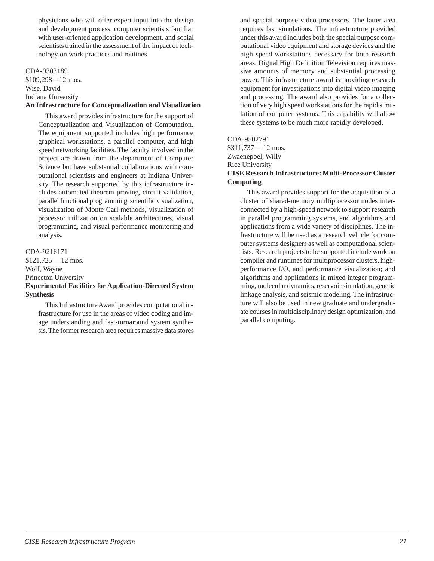<span id="page-19-0"></span>physicians who will offer expert input into the design and development process, computer scientists familiar with user-oriented application development, and social scientists trained in the assessment of the impact of technology on work practices and routines.

### CDA-9303189

\$109,298—12 mos. Wise, David Indiana University **An Infrastructure for Conceptualization and Visualization**

This award provides infrastructure for the support of Conceptualization and Visualization of Computation. The equipment supported includes high performance graphical workstations, a parallel computer, and high speed networking facilities. The faculty involved in the project are drawn from the department of Computer Science but have substantial collaborations with computational scientists and engineers at Indiana University. The research supported by this infrastructure includes automated theorem proving, circuit validation, parallel functional programming, scientific visualization, visualization of Monte Carl methods, visualization of processor utilization on scalable architectures, visual programming, and visual performance monitoring and analysis.

CDA-9216171 \$121,725 —12 mos. Wolf, Wayne Princeton University **Experimental Facilities for Application-Directed System Synthesis**

This Infrastructure Award provides computational infrastructure for use in the areas of video coding and image understanding and fast-turnaround system synthesis. The former research area requires massive data stores and special purpose video processors. The latter area requires fast simulations. The infrastructure provided under this award includes both the special purpose computational video equipment and storage devices and the high speed workstations necessary for both research areas. Digital High Definition Television requires massive amounts of memory and substantial processing power. This infrastructure award is providing research equipment for investigations into digital video imaging and processing. The award also provides for a collection of very high speed workstations for the rapid simulation of computer systems. This capability will allow these systems to be much more rapidly developed.

### CDA-9502791

\$311,737 —12 mos. Zwaenepoel, Willy Rice University **CISE Research Infrastructure: Multi-Processor Cluster Computing**

This award provides support for the acquisition of a cluster of shared-memory multiprocessor nodes interconnected by a high-speed network to support research in parallel programming systems, and algorithms and applications from a wide variety of disciplines. The infrastructure will be used as a research vehicle for computer systems designers as well as computational scientists. Research projects to be supported include work on compiler and runtimes for multiprocessor clusters, highperformance I/O, and performance visualization; and algorithms and applications in mixed integer programming, molecular dynamics, reservoir simulation, genetic linkage analysis, and seismic modeling. The infrastructure will also be used in new graduate and undergraduate courses in multidisciplinary design optimization, and parallel computing.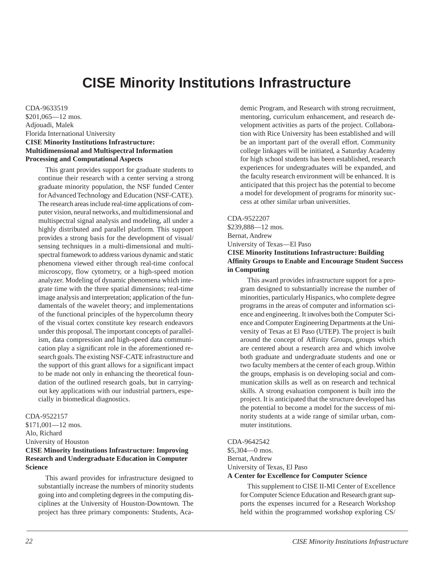# **CISE Minority Institutions Infrastructure**

<span id="page-20-0"></span>CDA-9633519 \$201,065—12 mos. Adjouadi, Malek Florida International University **CISE Minority Institutions Infrastructure: Multidimensional and Multispectral Information Processing and Computational Aspects**

This grant provides support for graduate students to continue their research with a center serving a strong graduate minority population, the NSF funded Center for Advanced Technology and Education (NSF-CATE). The research areas include real-time applications of computer vision, neural networks, and multidimensional and multispectral signal analysis and modeling, all under a highly distributed and parallel platform. This support provides a strong basis for the development of visual/ sensing techniques in a multi-dimensional and multispectral framework to address various dynamic and static phenomena viewed either through real-time confocal microscopy, flow cytometry, or a high-speed motion analyzer. Modeling of dynamic phenomena which integrate time with the three spatial dimensions; real-time image analysis and interpretation; application of the fundamentals of the wavelet theory; and implementations of the functional principles of the hypercolumn theory of the visual cortex constitute key research endeavors under this proposal. The important concepts of parallelism, data compression and high-speed data communication play a significant role in the aforementioned research goals. The existing NSF-CATE infrastructure and the support of this grant allows for a significant impact to be made not only in enhancing the theoretical foundation of the outlined research goals, but in carryingout key applications with our industrial partners, especially in biomedical diagnostics.

### CDA-9522157

\$171,001—12 mos. Alo, Richard University of Houston **CISE Minority Institutions Infrastructure: Improving Research and Undergraduate Education in Computer Science**

This award provides for infrastructure designed to substantially increase the numbers of minority students going into and completing degrees in the computing disciplines at the University of Houston-Downtown. The project has three primary components: Students, Academic Program, and Research with strong recruitment, mentoring, curriculum enhancement, and research development activities as parts of the project. Collaboration with Rice University has been established and will be an important part of the overall effort. Community college linkages will be initiated, a Saturday Academy for high school students has been established, research experiences for undergraduates will be expanded, and the faculty research environment will be enhanced. It is anticipated that this project has the potential to become a model for development of programs for minority success at other similar urban universities.

### CDA-9522207

\$239,888—12 mos. Bernat, Andrew University of Texas—El Paso **CISE Minority Institutions Infrastructure: Building**

### **Affinity Groups to Enable and Encourage Student Success in Computing**

This award provides infrastructure support for a program designed to substantially increase the number of minorities, particularly Hispanics, who complete degree programs in the areas of computer and information science and engineering. It involves both the Computer Science and Computer Engineering Departments at the University of Texas at El Paso (UTEP). The project is built around the concept of Affinity Groups, groups which are centered about a research area and which involve both graduate and undergraduate students and one or two faculty members at the center of each group. Within the groups, emphasis is on developing social and communication skills as well as on research and technical skills. A strong evaluation component is built into the project. It is anticipated that the structure developed has the potential to become a model for the success of minority students at a wide range of similar urban, commuter institutions.

### CDA-9642542

\$5,304—0 mos. Bernat, Andrew University of Texas, El Paso **A Center for Excellence for Computer Science**

This supplement to CISE II-MI Center of Excellence for Computer Science Education and Research grant supports the expenses incurred for a Research Workshop held within the programmed workshop exploring CS/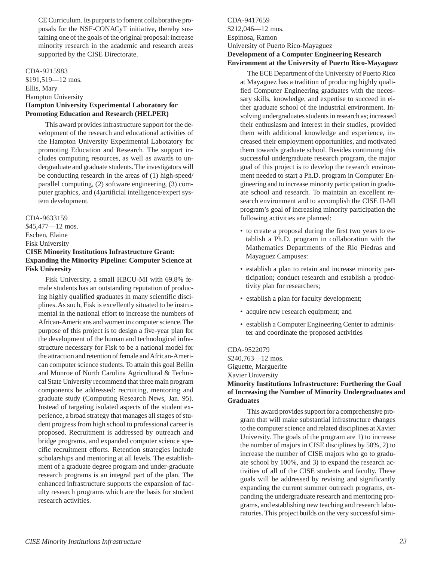<span id="page-21-0"></span>CE Curriculum. Its purports to foment collaborative proposals for the NSF-CONACyT initiative, thereby sustaining one of the goals of the original proposal: increase minority research in the academic and research areas supported by the CISE Directorate.

### CDA-9215983

\$191,519—12 mos. Ellis, Mary Hampton University **Hampton University Experimental Laboratory for Promoting Education and Research (HELPER)**

This award provides infrastructure support for the development of the research and educational activities of the Hampton University Experimental Laboratory for promoting Education and Research. The support includes computing resources, as well as awards to undergraduate and graduate students. The investigators will be conducting research in the areas of (1) high-speed/ parallel computing, (2) software engineering, (3) computer graphics, and (4)artificial intelligence/expert system development.

### CDA-9633159

\$45,477—12 mos. Eschen, Elaine

Fisk University

### **CISE Minority Institutions Infrastructure Grant: Expanding the Minority Pipeline: Computer Science at Fisk University**

Fisk University, a small HBCU-MI with 69.8% female students has an outstanding reputation of producing highly qualified graduates in many scientific disciplines. As such, Fisk is excellently situated to be instrumental in the national effort to increase the numbers of African-Americans and women in computer science. The purpose of this project is to design a five-year plan for the development of the human and technological infrastructure necessary for Fisk to be a national model for the attraction and retention of female and African-American computer science students. To attain this goal Bellin and Monroe of North Carolina Agricultural & Technical State University recommend that three main program components be addressed: recruiting, mentoring and graduate study (Computing Research News, Jan. 95). Instead of targeting isolated aspects of the student experience, a broad strategy that manages all stages of student progress from high school to professional career is proposed. Recruitment is addressed by outreach and bridge programs, and expanded computer science specific recruitment efforts. Retention strategies include scholarships and mentoring at all levels. The establishment of a graduate degree program and under-graduate research programs is an integral part of the plan. The enhanced infrastructure supports the expansion of faculty research programs which are the basis for student research activities.

CDA-9417659 \$212,046—12 mos. Espinosa, Ramon University of Puerto Rico-Mayaguez **Development of a Computer Engineering Research Environment at the University of Puerto Rico-Mayaguez**

The ECE Department of the University of Puerto Rico at Mayaguez has a tradition of producing highly qualified Computer Engineering graduates with the necessary skills, knowledge, and expertise to succeed in either graduate school of the industrial environment. Involving undergraduates students in research as; increased their enthusiasm and interest in their studies, provided them with additional knowledge and experience, increased their employment opportunities, and motivated them towards graduate school. Besides continuing this successful undergraduate research program, the major goal of this project is to develop the research environment needed to start a Ph.D. program in Computer Engineering and to increase minority participation in graduate school and research. To maintain an excellent research environment and to accomplish the CISE II-MI program's goal of increasing minority participation the following activities are planned:

- to create a proposal during the first two years to establish a Ph.D. program in collaboration with the Mathematics Departments of the Rio Piedras and Mayaguez Campuses:
- establish a plan to retain and increase minority participation; conduct research and establish a productivity plan for researchers;
- establish a plan for faculty development;
- acquire new research equipment; and
- establish a Computer Engineering Center to administer and coordinate the proposed activities

### CDA-9522079 \$240,763—12 mos. Giguette, Marguerite Xavier University **Minority Institutions Infrastructure: Furthering the Goal**

### **of Increasing the Number of Minority Undergraduates and Graduates**

This award provides support for a comprehensive program that will make substantial infrastructure changes to the computer science and related disciplines at Xavier University. The goals of the program are 1) to increase the number of majors in CISE disciplines by 50%, 2) to increase the number of CISE majors who go to graduate school by 100%, and 3) to expand the research activities of all of the CISE students and faculty. These goals will be addressed by revising and significantly expanding the current summer outreach programs, expanding the undergraduate research and mentoring programs, and establishing new teaching and research laboratories. This project builds on the very successful simi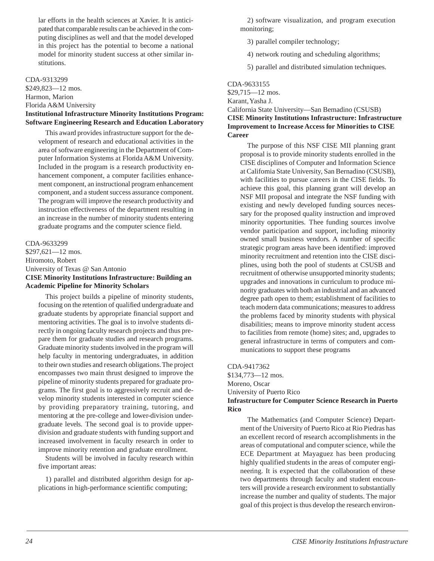<span id="page-22-0"></span>lar efforts in the health sciences at Xavier. It is anticipated that comparable results can be achieved in the computing disciplines as well and that the model developed in this project has the potential to become a national model for minority student success at other similar institutions.

### CDA-9313299

\$249,823—12 mos. Harmon, Marion Florida A&M University

### **Institutional Infrastructure Minority Institutions Program: Software Engineering Research and Education Laboratory**

This award provides infrastructure support for the development of research and educational activities in the area of software engineering in the Department of Computer Information Systems at Florida A&M University. Included in the program is a research productivity enhancement component, a computer facilities enhancement component, an instructional program enhancement component, and a student success assurance component. The program will improve the research productivity and instruction effectiveness of the department resulting in an increase in the number of minority students entering graduate programs and the computer science field.

CDA-9633299 \$297,621—12 mos. Hiromoto, Robert University of Texas @ San Antonio **CISE Minority Institutions Infrastructure: Building an Academic Pipeline for Minority Scholars**

This project builds a pipeline of minority students, focusing on the retention of qualified undergraduate and graduate students by appropriate financial support and mentoring activities. The goal is to involve students directly in ongoing faculty research projects and thus prepare them for graduate studies and research programs. Graduate minority students involved in the program will help faculty in mentoring undergraduates, in addition to their own studies and research obligations. The project encompasses two main thrust designed to improve the pipeline of minority students prepared for graduate programs. The first goal is to aggressively recruit and develop minority students interested in computer science by providing preparatory training, tutoring, and mentoring at the pre-college and lower-division undergraduate levels. The second goal is to provide upperdivision and graduate students with funding support and increased involvement in faculty research in order to improve minority retention and graduate enrollment.

Students will be involved in faculty research within five important areas:

1) parallel and distributed algorithm design for applications in high-performance scientific computing;

2) software visualization, and program execution monitoring;

- 3) parallel compiler technology;
- 4) network routing and scheduling algorithms;
- 5) parallel and distributed simulation techniques.

### CDA-9633155

\$29,715—12 mos.

# Karant, Yasha J.

### California State University—San Bernadino (CSUSB) **CISE Minority Institutions Infrastructure: Infrastructure Improvement to Increase Access for Minorities to CISE Career**

The purpose of this NSF CISE MII planning grant proposal is to provide minority students enrolled in the CISE disciplines of Computer and Information Science at California State University, San Bernadino (CSUSB), with facilities to pursue careers in the CISE fields. To achieve this goal, this planning grant will develop an NSF MII proposal and integrate the NSF funding with existing and newly developed funding sources necessary for the proposed quality instruction and improved minority opportunities. Thee funding sources involve vendor participation and support, including minority owned small business vendors. A number of specific strategic program areas have been identified: improved minority recruitment and retention into the CISE disciplines, using both the pool of students at CSUSB and recruitment of otherwise unsupported minority students; upgrades and innovations in curriculum to produce minority graduates with both an industrial and an advanced degree path open to them; establishment of facilities to teach modern data communications; measures to address the problems faced by minority students with physical disabilities; means to improve minority student access to facilities from remote (home) sites; and, upgrades to general infrastructure in terms of computers and communications to support these programs

### CDA-9417362 \$134,773—12 mos. Moreno, Oscar University of Puerto Rico **Infrastructure for Computer Science Research in Puerto**

**Rico**

The Mathematics (and Computer Science) Department of the University of Puerto Rico at Rio Piedras has an excellent record of research accomplishments in the areas of computational and computer science, while the ECE Department at Mayaguez has been producing highly qualified students in the areas of computer engineering. It is expected that the collaboration of these two departments through faculty and student encounters will provide a research environment to substantially increase the number and quality of students. The major goal of this project is thus develop the research environ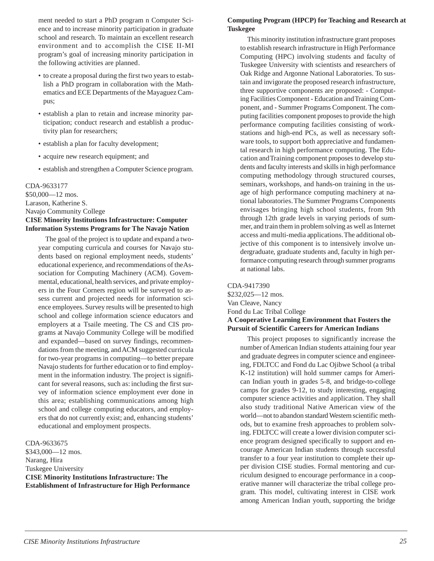<span id="page-23-0"></span>ment needed to start a PhD program n Computer Science and to increase minority participation in graduate school and research. To maintain an excellent research environment and to accomplish the CISE II-MI program's goal of increasing minority participation in the following activities are planned.

- to create a proposal during the first two years to establish a PhD program in collaboration with the Mathematics and ECE Departments of the Mayaguez Campus;
- establish a plan to retain and increase minority participation; conduct research and establish a productivity plan for researchers;
- establish a plan for faculty development;
- acquire new research equipment; and
- establish and strengthen a Computer Science program.

CDA-9633177 \$50,000—12 mos. Larason, Katherine S. Navajo Community College **CISE Minority Institutions Infrastructure: Computer Information Systems Programs for The Navajo Nation**

The goal of the project is to update and expand a twoyear computing curricula and courses for Navajo students based on regional employment needs, students' educational experience, and recommendations of the Association for Computing Machinery (ACM). Governmental, educational, health services, and private employers in the Four Corners region will be surveyed to assess current and projected needs for information science employees. Survey results will be presented to high school and college information science educators and employers at a Tsaile meeting. The CS and CIS programs at Navajo Community College will be modified and expanded—based on survey findings, recommendations from the meeting, and ACM suggested curricula for two-year programs in computing—to better prepare Navajo students for further education or to find employment in the information industry. The project is significant for several reasons, such as: including the first survey of information science employment ever done in this area; establishing communications among high school and college computing educators, and employers that do not currently exist; and, enhancing students' educational and employment prospects.

CDA-9633675

\$343,000—12 mos. Narang, Hira Tuskegee University **CISE Minority Institutions Infrastructure: The Establishment of Infrastructure for High Performance**

### **Computing Program (HPCP) for Teaching and Research at Tuskegee**

This minority institution infrastructure grant proposes to establish research infrastructure in High Performance Computing (HPC) involving students and faculty of Tuskegee University with scientists and researchers of Oak Ridge and Argonne National Laboratories. To sustain and invigorate the proposed research infrastructure, three supportive components are proposed: - Computing Facilities Component - Education and Training Component, and - Summer Programs Component. The computing facilities component proposes to provide the high performance computing facilities consisting of workstations and high-end PCs, as well as necessary software tools, to support both appreciative and fundamental research in high performance computing. The Education and Training component proposes to develop students and faculty interests and skills in high performance computing methodology through structured courses, seminars, workshops, and hands-on training in the usage of high performance computing machinery at national laboratories. The Summer Programs Components envisages bringing high school students, from 9th through 12th grade levels in varying periods of summer, and train them in problem solving as well as Internet access and multi-media applications. The additional objective of this component is to intensively involve undergraduate, graduate students and, faculty in high performance computing research through summer programs at national labs.

CDA-9417390 \$232,025—12 mos. Van Cleave, Nancy Fond du Lac Tribal College **A Cooperative Learning Environment that Fosters the Pursuit of Scientific Careers for American Indians**

This project proposes to significantly increase the number of American Indian students attaining four year and graduate degrees in computer science and engineering, FDLTCC and Fond du Lac Ojibwe School (a tribal K-12 institution) will hold summer camps for American Indian youth in grades 5-8, and bridge-to-college camps for grades 9-12, to study interesting, engaging computer science activities and application. They shall also study traditional Native American view of the world—not to abandon standard Western scientific methods, but to examine fresh approaches to problem solving. FDLTCC will create a lower division computer science program designed specifically to support and encourage American Indian students through successful transfer to a four year institution to complete their upper division CISE studies. Formal mentoring and curriculum designed to encourage performance in a cooperative manner will characterize the tribal college program. This model, cultivating interest in CISE work among American Indian youth, supporting the bridge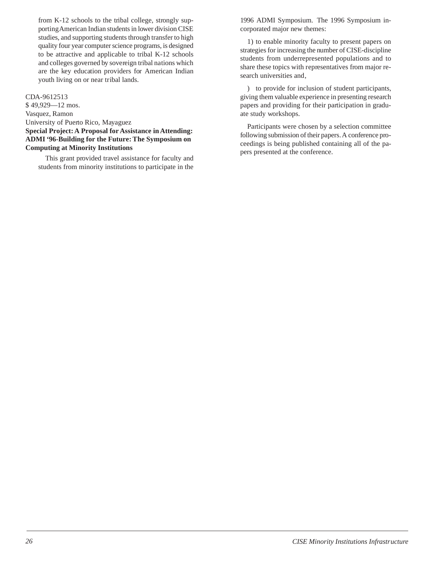<span id="page-24-0"></span>from K-12 schools to the tribal college, strongly supporting American Indian students in lower division CISE studies, and supporting students through transfer to high quality four year computer science programs, is designed to be attractive and applicable to tribal K-12 schools and colleges governed by sovereign tribal nations which are the key education providers for American Indian youth living on or near tribal lands.

### CDA-9612513

\$ 49,929—12 mos. Vasquez, Ramon University of Puerto Rico, Mayaguez **Special Project: A Proposal for Assistance in Attending: ADMI '96-Building for the Future: The Symposium on Computing at Minority Institutions**

This grant provided travel assistance for faculty and students from minority institutions to participate in the

1996 ADMI Symposium. The 1996 Symposium incorporated major new themes:

1) to enable minority faculty to present papers on strategies for increasing the number of CISE-discipline students from underrepresented populations and to share these topics with representatives from major research universities and,

) to provide for inclusion of student participants, giving them valuable experience in presenting research papers and providing for their participation in graduate study workshops.

Participants were chosen by a selection committee following submission of their papers. A conference proceedings is being published containing all of the papers presented at the conference.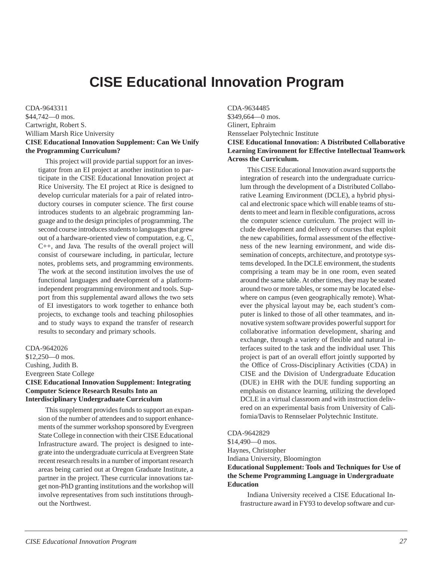# **CISE Educational Innovation Program**

<span id="page-25-0"></span>CDA-9643311 \$44,742—0 mos. Cartwright, Robert S. William Marsh Rice University **CISE Educational Innovation Supplement: Can We Unify the Programming Curriculum?**

This project will provide partial support for an investigator from an EI project at another institution to participate in the CISE Educational Innovation project at Rice University. The EI project at Rice is designed to develop curricular materials for a pair of related introductory courses in computer science. The first course introduces students to an algebraic programming language and to the design principles of programming. The second course introduces students to languages that grew out of a hardware-oriented view of computation, e.g. C, C++, and Java. The results of the overall project will consist of courseware including, in particular, lecture notes, problems sets, and programming environments. The work at the second institution involves the use of functional languages and development of a platformindependent programming environment and tools. Support from this supplemental award allows the two sets of EI investigators to work together to enhance both projects, to exchange tools and teaching philosophies and to study ways to expand the transfer of research results to secondary and primary schools.

CDA-9642026 \$12,250—0 mos. Cushing, Judith B. Evergreen State College **CISE Educational Innovation Supplement: Integrating Computer Science Research Results Into an Interdisciplinary Undergraduate Curriculum**

This supplement provides funds to support an expansion of the number of attendees and to support enhancements of the summer workshop sponsored by Evergreen State College in connection with their CISE Educational Infrastructure award. The project is designed to integrate into the undergraduate curricula at Evergreen State recent research results in a number of important research areas being carried out at Oregon Graduate Institute, a partner in the project. These curricular innovations target non-PhD granting institutions and the workshop will involve representatives from such institutions throughout the Northwest.

CDA-9634485 \$349,664—0 mos. Glinert, Ephraim Rensselaer Polytechnic Institute **CISE Educational Innovation: A Distributed Collaborative Learning Environment for Effective Intellectual Teamwork Across the Curriculum.**

This CISE Educational Innovation award supports the integration of research into the undergraduate curriculum through the development of a Distributed Collaborative Learning Environment (DCLE), a hybrid physical and electronic space which will enable teams of students to meet and learn in flexible configurations, across the computer science curriculum. The project will include development and delivery of courses that exploit the new capabilities, formal assessment of the effectiveness of the new learning environment, and wide dissemination of concepts, architecture, and prototype systems developed. In the DCLE environment, the students comprising a team may be in one room, even seated around the same table. At other times, they may be seated around two or more tables, or some may be located elsewhere on campus (even geographically remote). Whatever the physical layout may be, each student's computer is linked to those of all other teammates, and innovative system software provides powerful support for collaborative information development, sharing and exchange, through a variety of flexible and natural interfaces suited to the task and the individual user. This project is part of an overall effort jointly supported by the Office of Cross-Disciplinary Activities (CDA) in CISE and the Division of Undergraduate Education (DUE) in EHR with the DUE funding supporting an emphasis on distance learning, utilizing the developed DCLE in a virtual classroom and with instruction delivered on an experimental basis from University of California/Davis to Rennselaer Polytechnic Institute.

CDA-9642829

\$14,490—0 mos. Haynes, Christopher Indiana University, Bloomington **Educational Supplement: Tools and Techniques for Use of the Scheme Programming Language in Undergraduate Education**

Indiana University received a CISE Educational Infrastructure award in FY93 to develop software and cur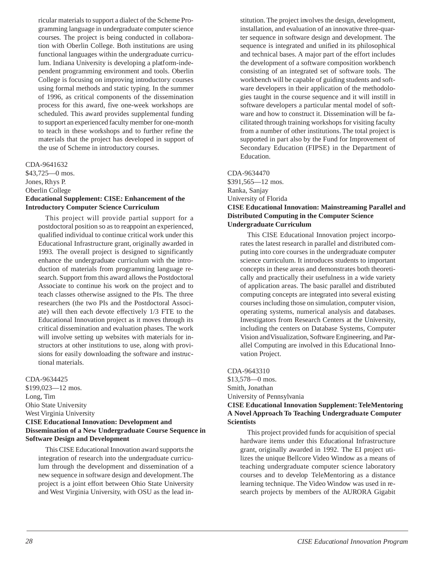<span id="page-26-0"></span>ricular materials to support a dialect of the Scheme Programming language in undergraduate computer science courses. The project is being conducted in collaboration with Oberlin College. Both institutions are using functional languages within the undergraduate curriculum. Indiana University is developing a platform-independent programming environment and tools. Oberlin College is focusing on improving introductory courses using formal methods and static typing. In the summer of 1996, as critical components of the dissemination process for this award, five one-week workshops are scheduled. This award provides supplemental funding to support an experienced faculty member for one-month to teach in these workshops and to further refine the materials that the project has developed in support of the use of Scheme in introductory courses.

### CDA-9641632

\$43,725—0 mos. Jones, Rhys P. Oberlin College **Educational Supplement: CISE: Enhancement of the Introductory Computer Science Curriculum**

This project will provide partial support for a postdoctoral position so as to reappoint an experienced, qualified individual to continue critical work under this Educational Infrastructure grant, originally awarded in 1993. The overall project is designed to significantly enhance the undergraduate curriculum with the introduction of materials from programming language research. Support from this award allows the Postdoctoral Associate to continue his work on the project and to teach classes otherwise assigned to the PIs. The three researchers (the two PIs and the Postdoctoral Associate) will then each devote effectively 1/3 FTE to the Educational Innovation project as it moves through its critical dissemination and evaluation phases. The work will involve setting up websites with materials for instructors at other institutions to use, along with provisions for easily downloading the software and instructional materials.

### CDA-9634425

\$199,023—12 mos. Long, Tim Ohio State University West Virginia University **CISE Educational Innovation: Development and Dissemination of a New Undergraduate Course Sequence in Software Design and Development**

This CISE Educational Innovation award supports the integration of research into the undergraduate curriculum through the development and dissemination of a new sequence in software design and development. The project is a joint effort between Ohio State University and West Virginia University, with OSU as the lead institution. The project involves the design, development, installation, and evaluation of an innovative three-quarter sequence in software design and development. The sequence is integrated and unified in its philosophical and technical bases. A major part of the effort includes the development of a software composition workbench consisting of an integrated set of software tools. The workbench will be capable of guiding students and software developers in their application of the methodologies taught in the course sequence and it will instill in software developers a particular mental model of software and how to construct it. Dissemination will be facilitated through training workshops for visiting faculty from a number of other institutions. The total project is supported in part also by the Fund for Improvement of Secondary Education (FIPSE) in the Department of Education.

### CDA-9634470

\$391,565—12 mos. Ranka, Sanjay University of Florida

### **CISE Educational Innovation: Mainstreaming Parallel and Distributed Computing in the Computer Science Undergraduate Curriculum**

This CISE Educational Innovation project incorporates the latest research in parallel and distributed computing into core courses in the undergraduate computer science curriculum. It introduces students to important concepts in these areas and demonstrates both theoretically and practically their usefulness in a wide variety of application areas. The basic parallel and distributed computing concepts are integrated into several existing courses including those on simulation, computer vision, operating systems, numerical analysis and databases. Investigators from Research Centers at the University, including the centers on Database Systems, Computer Vision and Visualization, Software Engineering, and Parallel Computing are involved in this Educational Innovation Project.

### CDA-9643310

\$13,578—0 mos. Smith, Jonathan University of Pennsylvania **CISE Educational Innovation Supplement: TeleMentoring**

### **A Novel Approach To Teaching Undergraduate Computer Scientists**

This project provided funds for acquisition of special hardware items under this Educational Infrastructure grant, originally awarded in 1992. The EI project utilizes the unique Bellcore Video Window as a means of teaching undergraduate computer science laboratory courses and to develop TeleMentoring as a distance learning technique. The Video Window was used in research projects by members of the AURORA Gigabit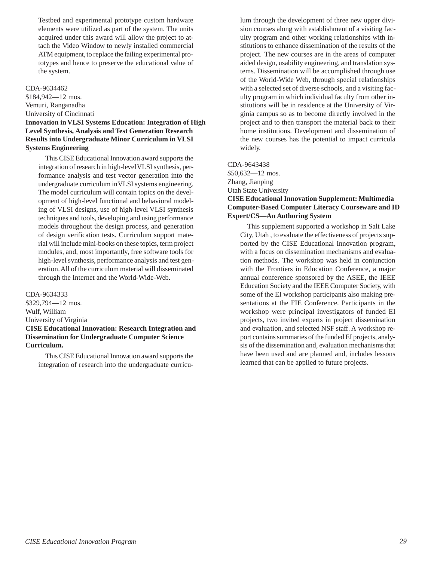<span id="page-27-0"></span>Testbed and experimental prototype custom hardware elements were utilized as part of the system. The units acquired under this award will allow the project to attach the Video Window to newly installed commercial ATM equipment, to replace the failing experimental prototypes and hence to preserve the educational value of the system.

### CDA-9634462

\$184,942—12 mos. Vemuri, Ranganadha

University of Cincinnati

### **Innovation in VLSI Systems Education: Integration of High Level Synthesis, Analysis and Test Generation Research Results into Undergraduate Minor Curriculum in VLSI Systems Engineering**

This CISE Educational Innovation award supports the integration of research in high-level VLSI synthesis, performance analysis and test vector generation into the undergraduate curriculum in VLSI systems engineering. The model curriculum will contain topics on the development of high-level functional and behavioral modeling of VLSI designs, use of high-level VLSI synthesis techniques and tools, developing and using performance models throughout the design process, and generation of design verification tests. Curriculum support material will include mini-books on these topics, term project modules, and, most importantly, free software tools for high-level synthesis, performance analysis and test generation. All of the curriculum material will disseminated through the Internet and the World-Wide-Web.

### CDA-9634333

\$329,794—12 mos. Wulf, William University of Virginia **CISE Educational Innovation: Research Integration and Dissemination for Undergraduate Computer Science Curriculum.**

This CISE Educational Innovation award supports the integration of research into the undergraduate curriculum through the development of three new upper division courses along with establishment of a visiting faculty program and other working relationships with institutions to enhance dissemination of the results of the project. The new courses are in the areas of computer aided design, usability engineering, and translation systems. Dissemination will be accomplished through use of the World-Wide Web, through special relationships with a selected set of diverse schools, and a visiting faculty program in which individual faculty from other institutions will be in residence at the University of Virginia campus so as to become directly involved in the project and to then transport the material back to their home institutions. Development and dissemination of the new courses has the potential to impact curricula widely.

### CDA-9643438

\$50,632—12 mos. Zhang, Jianping Utah State University **CISE Educational Innovation Supplement: Multimedia Computer-Based Computer Literacy Courseware and ID Expert/CS—An Authoring System**

This supplement supported a workshop in Salt Lake City, Utah , to evaluate the effectiveness of projects supported by the CISE Educational Innovation program, with a focus on dissemination mechanisms and evaluation methods. The workshop was held in conjunction with the Frontiers in Education Conference, a major annual conference sponsored by the ASEE, the IEEE Education Society and the IEEE Computer Society, with some of the EI workshop participants also making presentations at the FIE Conference. Participants in the workshop were principal investigators of funded EI projects, two invited experts in project dissemination and evaluation, and selected NSF staff. A workshop report contains summaries of the funded EI projects, analysis of the dissemination and, evaluation mechanisms that have been used and are planned and, includes lessons learned that can be applied to future projects.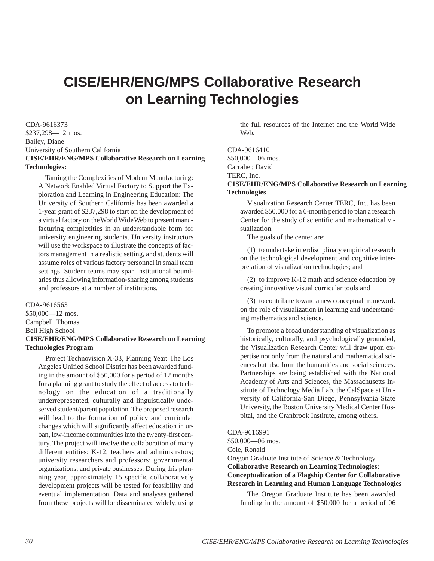# <span id="page-28-0"></span>**CISE/EHR/ENG/MPS Collaborative Research on Learning Technologies**

CDA-9616373 \$237,298—12 mos. Bailey, Diane University of Southern California **CISE/EHR/ENG/MPS Collaborative Research on Learning Technologies:**

Taming the Complexities of Modern Manufacturing: A Network Enabled Virtual Factory to Support the Exploration and Learning in Engineering Education: The University of Southern California has been awarded a 1-year grant of \$237,298 to start on the development of a virtual factory on the World Wide Web to present manufacturing complexities in an understandable form for university engineering students. University instructors will use the workspace to illustrate the concepts of factors management in a realistic setting, and students will assume roles of various factory personnel in small team settings. Student teams may span institutional boundaries thus allowing information-sharing among students and professors at a number of institutions.

CDA-9616563 \$50,000—12 mos. Campbell, Thomas Bell High School **CISE/EHR/ENG/MPS Collaborative Research on Learning Technologies Program**

Project Technovision X-33, Planning Year: The Los Angeles Unified School District has been awarded funding in the amount of \$50,000 for a period of 12 months for a planning grant to study the effect of access to technology on the education of a traditionally underrepresented, culturally and linguistically undeserved student/parent population. The proposed research will lead to the formation of policy and curricular changes which will significantly affect education in urban, low-income communities into the twenty-first century. The project will involve the collaboration of many different entities: K-12, teachers and administrators; university researchers and professors; governmental organizations; and private businesses. During this planning year, approximately 15 specific collaboratively development projects will be tested for feasibility and eventual implementation. Data and analyses gathered from these projects will be disseminated widely, using

the full resources of the Internet and the World Wide Web.

CDA-9616410 \$50,000—06 mos. Carraher, David

TERC, Inc.

### **CISE/EHR/ENG/MPS Collaborative Research on Learning Technologies**

Visualization Research Center TERC, Inc. has been awarded \$50,000 for a 6-month period to plan a research Center for the study of scientific and mathematical visualization.

The goals of the center are:

(1) to undertake interdisciplinary empirical research on the technological development and cognitive interpretation of visualization technologies; and

(2) to improve K-12 math and science education by creating innovative visual curricular tools and

(3) to contribute toward a new conceptual framework on the role of visualization in learning and understanding mathematics and science.

To promote a broad understanding of visualization as historically, culturally, and psychologically grounded, the Visualization Research Center will draw upon expertise not only from the natural and mathematical sciences but also from the humanities and social sciences. Partnerships are being established with the National Academy of Arts and Sciences, the Massachusetts Institute of Technology Media Lab, the CalSpace at University of California-San Diego, Pennsylvania State University, the Boston University Medical Center Hospital, and the Cranbrook Institute, among others.

CDA-9616991

\$50,000—06 mos. Cole, Ronald Oregon Graduate Institute of Science & Technology

**Collaborative Research on Learning Technologies: Conceptualization of a Flagship Center for Collaborative Research in Learning and Human Language Technologies**

The Oregon Graduate Institute has been awarded funding in the amount of \$50,000 for a period of 06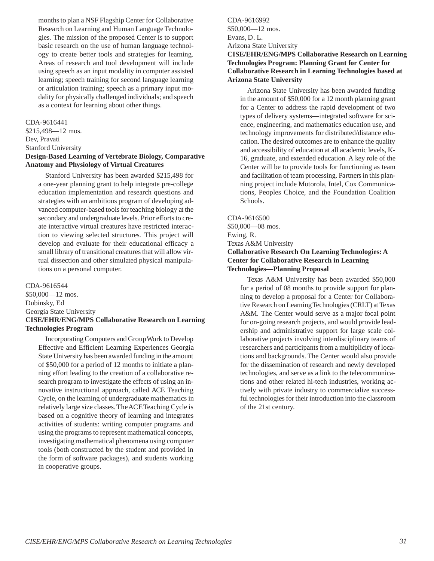<span id="page-29-0"></span>months to plan a NSF Flagship Center for Collaborative Research on Learning and Human Language Technologies. The mission of the proposed Center is to support basic research on the use of human language technology to create better tools and strategies for learning. Areas of research and tool development will include using speech as an input modality in computer assisted learning; speech training for second language learning or articulation training; speech as a primary input modality for physically challenged individuals; and speech as a context for learning about other things.

### CDA-9616441

\$215,498—12 mos. Dev, Pravati Stanford University **Design-Based Learning of Vertebrate Biology, Comparative Anatomy and Physiology of Virtual Creatures**

Stanford University has been awarded \$215,498 for a one-year planning grant to help integrate pre-college education implementation and research questions and strategies with an ambitious program of developing advanced computer-based tools for teaching biology at the secondary and undergraduate levels. Prior efforts to create interactive virtual creatures have restricted interaction to viewing selected structures. This project will develop and evaluate for their educational efficacy a small library of transitional creatures that will allow virtual dissection and other simulated physical manipulations on a personal computer.

### CDA-9616544

\$50,000—12 mos. Dubinsky, Ed Georgia State University **CISE/EHR/ENG/MPS Collaborative Research on Learning Technologies Program**

Incorporating Computers and Group Work to Develop Effective and Efficient Learning Experiences Georgia State University has been awarded funding in the amount of \$50,000 for a period of 12 months to initiate a planning effort leading to the creation of a collaborative research program to investigate the effects of using an innovative instructional approach, called ACE Teaching Cycle, on the learning of undergraduate mathematics in relatively large size classes. The ACE Teaching Cycle is based on a cognitive theory of learning and integrates activities of students: writing computer programs and using the programs to represent mathematical concepts, investigating mathematical phenomena using computer tools (both constructed by the student and provided in the form of software packages), and students working in cooperative groups.

CDA-9616992 \$50,000—12 mos. Evans, D. L. Arizona State University

**CISE/EHR/ENG/MPS Collaborative Research on Learning Technologies Program: Planning Grant for Center for Collaborative Research in Learning Technologies based at Arizona State University**

Arizona State University has been awarded funding in the amount of \$50,000 for a 12 month planning grant for a Center to address the rapid development of two types of delivery systems—integrated software for science, engineering, and mathematics education use, and technology improvements for distributed/distance education. The desired outcomes are to enhance the quality and accessibility of education at all academic levels, K-16, graduate, and extended education. A key role of the Center will be to provide tools for functioning as team and facilitation of team processing. Partners in this planning project include Motorola, Intel, Cox Communications, Peoples Choice, and the Foundation Coalition Schools.

### CDA-9616500

\$50,000—08 mos. Ewing, R. Texas A&M University **Collaborative Research On Learning Technologies: A Center for Collaborative Research in Learning Technologies—Planning Proposal**

Texas A&M University has been awarded \$50,000 for a period of 08 months to provide support for planning to develop a proposal for a Center for Collaborative Research on Learning Technologies (CRLT) at Texas A&M. The Center would serve as a major focal point for on-going research projects, and would provide leadership and administrative support for large scale collaborative projects involving interdisciplinary teams of researchers and participants from a multiplicity of locations and backgrounds. The Center would also provide for the dissemination of research and newly developed technologies, and serve as a link to the telecommunications and other related hi-tech industries, working actively with private industry to commercialize successful technologies for their introduction into the classroom of the 21st century.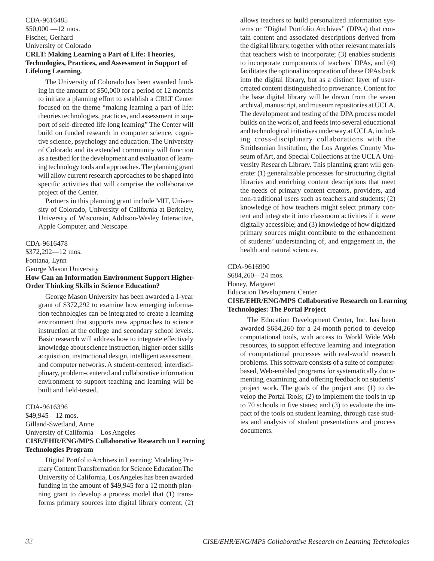### <span id="page-30-0"></span>CDA-9616485 \$50,000 —12 mos. Fischer, Gerhard University of Colorado **CRLT: Making Learning a Part of Life: Theories, Technologies, Practices, and Assessment in Support of Lifelong Learning.**

The University of Colorado has been awarded funding in the amount of \$50,000 for a period of 12 months to initiate a planning effort to establish a CRLT Center focused on the theme "making learning a part of life: theories technologies, practices, and assessment in support of self-directed life long learning" The Center will build on funded research in computer science, cognitive science, psychology and education. The University of Colorado and its extended community will function as a testbed for the development and evaluation of learning technology tools and approaches. The planning grant will allow current research approaches to be shaped into specific activities that will comprise the collaborative project of the Center.

Partners in this planning grant include MIT, University of Colorado, University of California at Berkeley, University of Wisconsin, Addison-Wesley Interactive, Apple Computer, and Netscape.

CDA-9616478 \$372,292—12 mos. Fontana, Lynn George Mason University **How Can an Information Environment Support Higher-Order Thinking Skills in Science Education?**

George Mason University has been awarded a 1-year grant of \$372,292 to examine how emerging information technologies can be integrated to create a learning environment that supports new approaches to science instruction at the college and secondary school levels. Basic research will address how to integrate effectively knowledge about science instruction, higher-order skills acquisition, instructional design, intelligent assessment, and computer networks. A student-centered, interdisciplinary, problem-centered and collaborative information environment to support teaching and learning will be built and field-tested.

### CDA-9616396

\$49,945—12 mos. Gilland-Swetland, Anne University of California—Los Angeles **CISE/EHR/ENG/MPS Collaborative Research on Learning Technologies Program**

Digital Portfolio Archives in Learning: Modeling Primary Content Transformation for Science Education The University of California, Los Angeles has been awarded funding in the amount of \$49,945 for a 12 month planning grant to develop a process model that (1) transforms primary sources into digital library content; (2) allows teachers to build personalized information systems or "Digital Portfolio Archives" (DPAs) that contain content and associated descriptions derived from the digital library, together with other relevant materials that teachers wish to incorporate; (3) enables students to incorporate components of teachers' DPAs, and (4) facilitates the optional incorporation of these DPAs back into the digital library, but as a distinct layer of usercreated content distinguished to provenance. Content for the base digital library will be drawn from the seven archival, manuscript, and museum repositories at UCLA. The development and testing of the DPA process model builds on the work of, and feeds into several educational and technological initiatives underway at UCLA, including cross-disciplinary collaborations with the Smithsonian Institution, the Los Angeles County Museum of Art, and Special Collections at the UCLA University Research Library. This planning grant will generate: (1) generalizable processes for structuring digital libraries and enriching content descriptions that meet the needs of primary content creators, providers, and non-traditional users such as teachers and students; (2) knowledge of how teachers might select primary content and integrate it into classroom activities if it were digitally accessible; and (3) knowledge of how digitized primary sources might contribute to the enhancement of students' understanding of, and engagement in, the health and natural sciences.

CDA-9616990 \$684,260—24 mos. Honey, Margaret Education Development Center **CISE/EHR/ENG/MPS Collaborative Research on Learning Technologies: The Portal Project**

The Education Development Center, Inc. has been awarded \$684,260 for a 24-month period to develop computational tools, with access to World Wide Web resources, to support effective learning and integration of computational processes with real-world research problems. This software consists of a suite of computerbased, Web-enabled programs for systematically documenting, examining, and offering feedback on students' project work. The goals of the project are: (1) to develop the Portal Tools; (2) to implement the tools in up to 70 schools in five states; and (3) to evaluate the impact of the tools on student learning, through case studies and analysis of student presentations and process documents.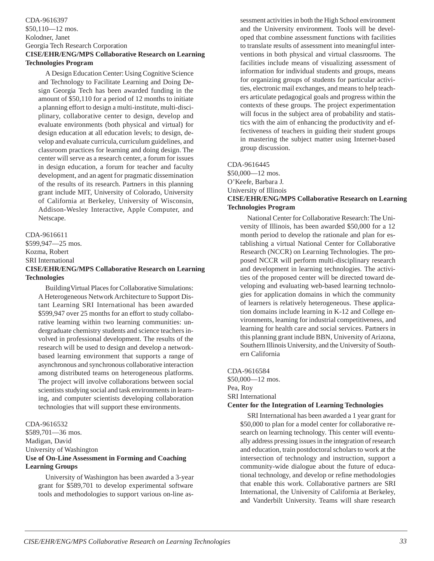### <span id="page-31-0"></span>CDA-9616397 \$50,110—12 mos. Kolodner, Janet Georgia Tech Research Corporation **CISE/EHR/ENG/MPS Collaborative Research on Learning Technologies Program**

A Design Education Center: Using Cognitive Science and Technology to Facilitate Learning and Doing Design Georgia Tech has been awarded funding in the amount of \$50,110 for a period of 12 months to initiate a planning effort to design a multi-institute, multi-disciplinary, collaborative center to design, develop and evaluate environments (both physical and virtual) for design education at all education levels; to design, develop and evaluate curricula, curriculum guidelines, and classroom practices for learning and doing design. The center will serve as a research center, a forum for issues in design education, a forum for teacher and faculty development, and an agent for pragmatic dissemination of the results of its research. Partners in this planning grant include MIT, University of Colorado, University of California at Berkeley, University of Wisconsin, Addison-Wesley Interactive, Apple Computer, and Netscape.

### CDA-9616611 \$599,947—25 mos. Kozma, Robert SRI International **CISE/EHR/ENG/MPS Collaborative Research on Learning Technologies**

Building Virtual Places for Collaborative Simulations: A Heterogeneous Network Architecture to Support Distant Learning SRI International has been awarded \$599,947 over 25 months for an effort to study collaborative learning within two learning communities: undergraduate chemistry students and science teachers involved in professional development. The results of the research will be used to design and develop a networkbased learning environment that supports a range of asynchronous and synchronous collaborative interaction among distributed teams on heterogeneous platforms. The project will involve collaborations between social scientists studying social and task environments in learning, and computer scientists developing collaboration technologies that will support these environments.

### CDA-9616532

\$589,701—36 mos. Madigan, David University of Washington **Use of On-Line Assessment in Forming and Coaching Learning Groups**

University of Washington has been awarded a 3-year grant for \$589,701 to develop experimental software tools and methodologies to support various on-line assessment activities in both the High School environment and the University environment. Tools will be developed that combine assessment functions with facilities to translate results of assessment into meaningful interventions in both physical and virtual classrooms. The facilities include means of visualizing assessment of information for individual students and groups, means for organizing groups of students for particular activities, electronic mail exchanges, and means to help teachers articulate pedagogical goals and progress within the contexts of these groups. The project experimentation will focus in the subject area of probability and statistics with the aim of enhancing the productivity and effectiveness of teachers in guiding their student groups in mastering the subject matter using Internet-based group discussion.

### CDA-9616445

\$50,000—12 mos. O'Keefe, Barbara J.

University of Illinois

### **CISE/EHR/ENG/MPS Collaborative Research on Learning Technologies Program**

National Center for Collaborative Research: The University of Illinois, has been awarded \$50,000 for a 12 month period to develop the rationale and plan for establishing a virtual National Center for Collaborative Research (NCCR) on Learning Technologies. The proposed NCCR will perform multi-disciplinary research and development in learning technologies. The activities of the proposed center will be directed toward developing and evaluating web-based learning technologies for application domains in which the community of learners is relatively heterogeneous. These application domains include learning in K-12 and College environments, learning for industrial competitiveness, and learning for health care and social services. Partners in this planning grant include BBN, University of Arizona, Southern Illinois University, and the University of Southern California

CDA-9616584 \$50,000—12 mos. Pea, Roy SRI International **Center for the Integration of Learning Technologies**

SRI International has been awarded a 1 year grant for \$50,000 to plan for a model center for collaborative research on learning technology. This center will eventually address pressing issues in the integration of research and education, train postdoctoral scholars to work at the intersection of technology and instruction, support a community-wide dialogue about the future of educational technology, and develop or refine methodologies that enable this work. Collaborative partners are SRI International, the University of California at Berkeley, and Vanderbilt University. Teams will share research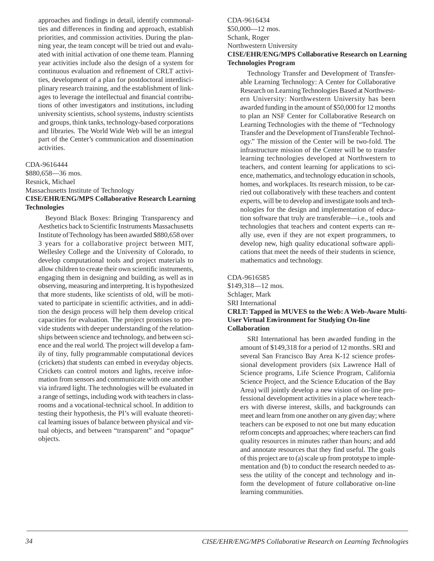<span id="page-32-0"></span>approaches and findings in detail, identify commonalties and differences in finding and approach, establish priorities, and commission activities. During the planning year, the team concept will be tried out and evaluated with initial activation of one theme team. Planning year activities include also the design of a system for continuous evaluation and refinement of CRLT activities, development of a plan for postdoctoral interdisciplinary research training, and the establishment of linkages to leverage the intellectual and financial contributions of other investigators and institutions, including university scientists, school systems, industry scientists and groups, think tanks, technology-based corporations and libraries. The World Wide Web will be an integral part of the Center's communication and dissemination activities.

### CDA-9616444

\$880,658—36 mos. Resnick, Michael Massachusetts Institute of Technology **CISE/EHR/ENG/MPS Collaborative Research Learning Technologies**

Beyond Black Boxes: Bringing Transparency and Aesthetics back to Scientific Instruments Massachusetts Institute of Technology has been awarded \$880,658 over 3 years for a collaborative project between MIT, Wellesley College and the University of Colorado, to develop computational tools and project materials to allow children to create their own scientific instruments, engaging them in designing and building, as well as in observing, measuring and interpreting. It is hypothesized that more students, like scientists of old, will be motivated to participate in scientific activities, and in addition the design process will help them develop critical capacities for evaluation. The project promises to provide students with deeper understanding of the relationships between science and technology, and between science and the real world. The project will develop a family of tiny, fully programmable computational devices (crickets) that students can embed in everyday objects. Crickets can control motors and lights, receive information from sensors and communicate with one another via infrared light. The technologies will be evaluated in a range of settings, including work with teachers in classrooms and a vocational-technical school. In addition to testing their hypothesis, the PI's will evaluate theoretical learning issues of balance between physical and virtual objects, and between "transparent" and "opaque" objects.

### CDA-9616434 \$50,000—12 mos. Schank, Roger Northwestern University **CISE/EHR/ENG/MPS Collaborative Research on Learning Technologies Program**

Technology Transfer and Development of Transferable Learning Technology: A Center for Collaborative Research on Learning Technologies Based at Northwestern University: Northwestern University has been awarded funding in the amount of \$50,000 for 12 months to plan an NSF Center for Collaborative Research on Learning Technologies with the theme of "Technology Transfer and the Development of Transferable Technology." The mission of the Center will be two-fold. The infrastructure mission of the Center will be to transfer learning technologies developed at Northwestern to teachers, and content learning for applications to science, mathematics, and technology education in schools, homes, and workplaces. Its research mission, to be carried out collaboratively with these teachers and content experts, will be to develop and investigate tools and technologies for the design and implementation of education software that truly are transferable—i.e., tools and technologies that teachers and content experts can really use, even if they are not expert programmers, to develop new, high quality educational software applications that meet the needs of their students in science, mathematics and technology.

CDA-9616585 \$149,318—12 mos. Schlager, Mark SRI International **CRLT: Tapped in MUVES to the Web: A Web-Aware Multi-User Virtual Environment for Studying On-line Collaboration**

SRI International has been awarded funding in the amount of \$149,318 for a period of 12 months. SRI and several San Francisco Bay Area K-12 science professional development providers (six Lawrence Hall of Science programs, Life Science Program, California Science Project, and the Science Education of the Bay Area) will jointly develop a new vision of on-line professional development activities in a place where teachers with diverse interest, skills, and backgrounds can meet and learn from one another on any given day; where teachers can be exposed to not one but many education reform concepts and approaches; where teachers can find quality resources in minutes rather than hours; and add and annotate resources that they find useful. The goals of this project are to (a) scale up from prototype to implementation and (b) to conduct the research needed to assess the utility of the concept and technology and inform the development of future collaborative on-line learning communities.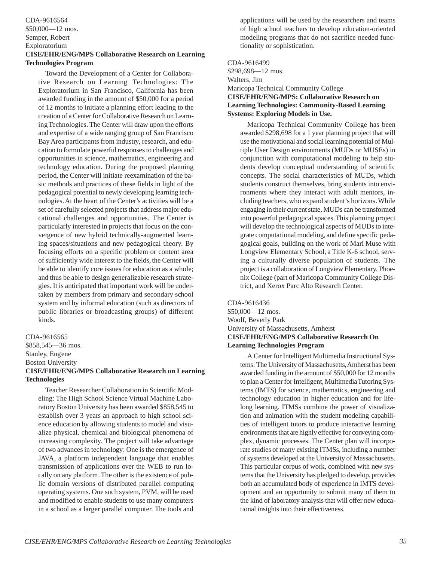### <span id="page-33-0"></span>CDA-9616564 \$50,000—12 mos. Semper, Robert Exploratorium

### **CISE/EHR/ENG/MPS Collaborative Research on Learning Technologies Program**

Toward the Development of a Center for Collaborative Research on Learning Technologies: The Exploratorium in San Francisco, California has been awarded funding in the amount of \$50,000 for a period of 12 months to initiate a planning effort leading to the creation of a Center for Collaborative Research on Learning Technologies. The Center will draw upon the efforts and expertise of a wide ranging group of San Francisco Bay Area participants from industry, research, and education to formulate powerful responses to challenges and opportunities in science, mathematics, engineering and technology education. During the proposed planning period, the Center will initiate reexamination of the basic methods and practices of these fields in light of the pedagogical potential to newly developing learning technologies. At the heart of the Center's activities will be a set of carefully selected projects that address major educational challenges and opportunities. The Center is particularly interested in projects that focus on the convergence of new hybrid technically-augmented learning spaces/situations and new pedagogical theory. By focusing efforts on a specific problem or content area of sufficiently wide interest to the fields, the Center will be able to identify core issues for education as a whole; and thus be able to design generalizable research strategies. It is anticipated that important work will be undertaken by members from primary and secondary school system and by informal education (such as directors of public libraries or broadcasting groups) of different kinds.

### CDA-9616565

\$858,545—36 mos. Stanley, Eugene Boston University

### **CISE/EHR/ENG/MPS Collaborative Research on Learning Technologies**

Teacher Researcher Collaboration in Scientific Modeling: The High School Science Virtual Machine Laboratory Boston University has been awarded \$858,545 to establish over 3 years an approach to high school science education by allowing students to model and visualize physical, chemical and biological phenomena of increasing complexity. The project will take advantage of two advances in technology: One is the emergence of JAVA, a platform independent language that enables transmission of applications over the WEB to run locally on any platform. The other is the existence of public domain versions of distributed parallel computing operating systems. One such system, PVM, will be used and modified to enable students to use many computers in a school as a larger parallel computer. The tools and

applications will be used by the researchers and teams of high school teachers to develop education-oriented modeling programs that do not sacrifice needed functionality or sophistication.

### CDA-9616499 \$298,698—12 mos. Walters, Jim Maricopa Technical Community College **CISE/EHR/ENG/MPS: Collaborative Research on Learning Technologies: Community-Based Learning Systems: Exploring Models in Use.**

Maricopa Technical Community College has been awarded \$298,698 for a 1 year planning project that will use the motivational and social learning potential of Multiple User Design environments (MUDs or MUSEs) in conjunction with computational modeling to help students develop conceptual understanding of scientific concepts. The social characteristics of MUDs, which students construct themselves, bring students into environments where they interact with adult mentors, including teachers, who expand student's horizons. While engaging in their current state, MUDs can be transformed into powerful pedagogical spaces. This planning project will develop the technological aspects of MUDs to integrate computational modeling, and define specific pedagogical goals, building on the work of Mari Muse with Longview Elementary School, a Title K-6 school, serving a culturally diverse population of students. The project is a collaboration of Longview Elementary, Phoenix College (part of Maricopa Community College District, and Xerox Parc Alto Research Center.

### CDA-9616436

\$50,000—12 mos. Woolf, Beverly Park University of Massachusetts, Amherst **CISE/EHR/ENG/MPS Collaborative Research On Learning Technologies Program**

A Center for Intelligent Multimedia Instructional Systems: The University of Massachusetts, Amherst has been awarded funding in the amount of \$50,000 for 12 months to plan a Center for Intelligent, Multimedia Tutoring Systems (IMTS) for science, mathematics, engineering and technology education in higher education and for lifelong learning. ITMSs combine the power of visualization and animation with the student modeling capabilities of intelligent tutors to produce interactive learning environments that are highly effective for conveying complex, dynamic processes. The Center plan will incorporate studies of many existing ITMSs, including a number of systems developed at the University of Massachusetts. This particular corpus of work, combined with new systems that the University has pledged to develop, provides both an accumulated body of experience in IMTS development and an opportunity to submit many of them to the kind of laboratory analysis that will offer new educational insights into their effectiveness.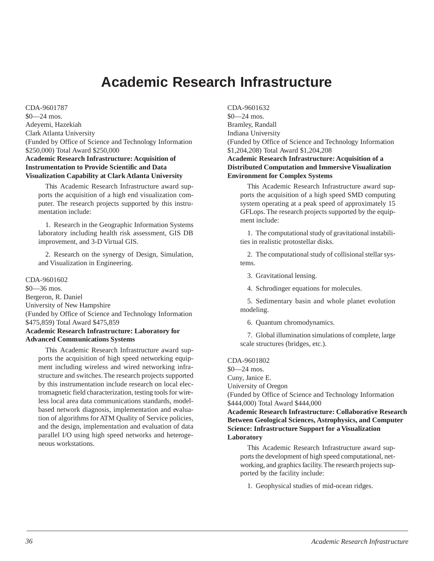# **Academic Research Infrastructure**

<span id="page-34-0"></span>CDA-9601787 \$0—24 mos. Adeyemi, Hazekiah Clark Atlanta University (Funded by Office of Science and Technology Information \$250,000) Total Award \$250,000 **Academic Research Infrastructure: Acquisition of Instrumentation to Provide Scientific and Data Visualization Capability at Clark Atlanta University**

This Academic Research Infrastructure award supports the acquisition of a high end visualization computer. The research projects supported by this instrumentation include:

1. Research in the Geographic Information Systems laboratory including health risk assessment, GIS DB improvement, and 3-D Virtual GIS.

2. Research on the synergy of Design, Simulation, and Visualization in Engineering.

CDA-9601602 \$0—36 mos. Bergeron, R. Daniel University of New Hampshire (Funded by Office of Science and Technology Information \$475,859) Total Award \$475,859 **Academic Research Infrastructure: Laboratory for Advanced Communications Systems**

This Academic Research Infrastructure award supports the acquisition of high speed networking equipment including wireless and wired networking infrastructure and switches. The research projects supported by this instrumentation include research on local electromagnetic field characterization, testing tools for wireless local area data communications standards, modelbased network diagnosis, implementation and evaluation of algorithms for ATM Quality of Service policies, and the design, implementation and evaluation of data parallel I/O using high speed networks and heterogeneous workstations.

CDA-9601632 \$0—24 mos. Bramley, Randall Indiana University (Funded by Office of Science and Technology Information \$1,204,208) Total Award \$1,204,208

### **Academic Research Infrastructure: Acquisition of a Distributed Computation and Immersive Visualization Environment for Complex Systems**

This Academic Research Infrastructure award supports the acquisition of a high speed SMD computing system operating at a peak speed of approximately 15 GFLops. The research projects supported by the equipment include:

1. The computational study of gravitational instabilities in realistic protostellar disks.

2. The computational study of collisional stellar systems.

3. Gravitational lensing.

4. Schrodinger equations for molecules.

5. Sedimentary basin and whole planet evolution modeling.

6. Quantum chromodynamics.

7. Global illumination simulations of complete, large scale structures (bridges, etc.).

### CDA-9601802

- \$0—24 mos. Cuny, Janice E.
- University of Oregon

(Funded by Office of Science and Technology Information \$444,000) Total Award \$444,000

**Academic Research Infrastructure: Collaborative Research Between Geological Sciences, Astrophysics, and Computer Science: Infrastructure Support for a Visualization Laboratory**

This Academic Research Infrastructure award supports the development of high speed computational, networking, and graphics facility. The research projects supported by the facility include:

1. Geophysical studies of mid-ocean ridges.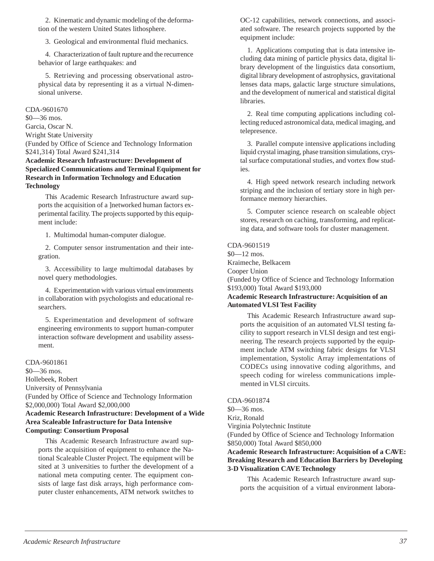<span id="page-35-0"></span>2. Kinematic and dynamic modeling of the deformation of the western United States lithosphere.

3. Geological and environmental fluid mechanics.

4. Characterization of fault rupture and the recurrence behavior of large earthquakes: and

5. Retrieving and processing observational astrophysical data by representing it as a virtual N-dimensional universe.

CDA-9601670 \$0—36 mos. Garcia, Oscar N. Wright State University (Funded by Office of Science and Technology Information \$241,314) Total Award \$241,314

### **Academic Research Infrastructure: Development of Specialized Communications and Terminal Equipment for Research in Information Technology and Education Technology**

This Academic Research Infrastructure award supports the acquisition of a ]networked human factors experimental facility. The projects supported by this equipment include:

1. Multimodal human-computer dialogue.

2. Computer sensor instrumentation and their integration.

3. Accessibility to large multimodal databases by novel query methodologies.

4. Experimentation with various virtual environments in collaboration with psychologists and educational researchers.

5. Experimentation and development of software engineering environments to support human-computer interaction software development and usability assessment.

### CDA-9601861

\$0—36 mos.

Hollebeek, Robert

University of Pennsylvania

(Funded by Office of Science and Technology Information \$2,000,000) Total Award \$2,000,000

**Academic Research Infrastructure: Development of a Wide Area Scaleable Infrastructure for Data Intensive Computing: Consortium Proposal**

This Academic Research Infrastructure award supports the acquisition of equipment to enhance the National Scaleable Cluster Project. The equipment will be sited at 3 universities to further the development of a national meta computing center. The equipment consists of large fast disk arrays, high performance computer cluster enhancements, ATM network switches to

OC-12 capabilities, network connections, and associated software. The research projects supported by the equipment include:

1. Applications computing that is data intensive including data mining of particle physics data, digital library development of the linguistics data consortium, digital library development of astrophysics, gravitational lenses data maps, galactic large structure simulations, and the development of numerical and statistical digital libraries.

2. Real time computing applications including collecting reduced astronomical data, medical imaging, and telepresence.

3. Parallel compute intensive applications including liquid crystal imaging, phase transition simulations, crystal surface computational studies, and vortex flow studies.

4. High speed network research including network striping and the inclusion of tertiary store in high performance memory hierarchies.

5. Computer science research on scaleable object stores, research on caching, transforming, and replicating data, and software tools for cluster management.

CDA-9601519 \$0—12 mos. Kraimeche, Belkacem Cooper Union (Funded by Office of Science and Technology Information \$193,000) Total Award \$193,000

### **Academic Research Infrastructure: Acquisition of an Automated VLSI Test Facility**

This Academic Research Infrastructure award supports the acquisition of an automated VLSI testing facility to support research in VLSI design and test engineering. The research projects supported by the equipment include ATM switching fabric designs for VLSI implementation, Systolic Array implementations of CODECs using innovative coding algorithms, and speech coding for wireless communications implemented in VLSI circuits.

CDA-9601874

\$0—36 mos. Kriz, Ronald

Virginia Polytechnic Institute

(Funded by Office of Science and Technology Information \$850,000) Total Award \$850,000

### **Academic Research Infrastructure: Acquisition of a CAVE: Breaking Research and Education Barriers by Developing 3-D Visualization CAVE Technology**

This Academic Research Infrastructure award supports the acquisition of a virtual environment labora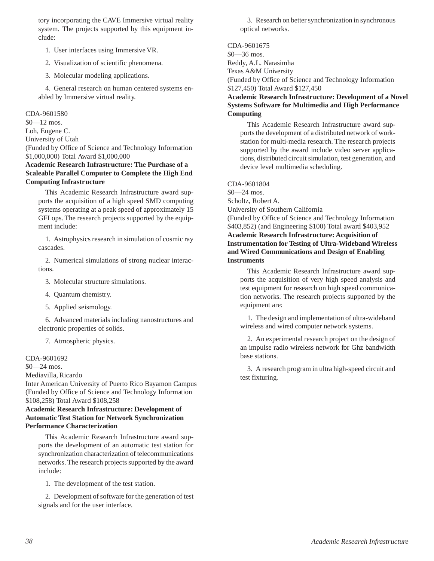<span id="page-36-0"></span>tory incorporating the CAVE Immersive virtual reality system. The projects supported by this equipment include:

- 1. User interfaces using Immersive VR.
- 2. Visualization of scientific phenomena.
- 3. Molecular modeling applications.

4. General research on human centered systems enabled by Immersive virtual reality.

CDA-9601580

\$0—12 mos.

Loh, Eugene C.

University of Utah

(Funded by Office of Science and Technology Information \$1,000,000) Total Award \$1,000,000

### **Academic Research Infrastructure: The Purchase of a Scaleable Parallel Computer to Complete the High End Computing Infrastructure**

This Academic Research Infrastructure award supports the acquisition of a high speed SMD computing systems operating at a peak speed of approximately 15 GFLops. The research projects supported by the equipment include:

1. Astrophysics research in simulation of cosmic ray cascades.

2. Numerical simulations of strong nuclear interactions.

3. Molecular structure simulations.

4. Quantum chemistry.

5. Applied seismology.

6. Advanced materials including nanostructures and electronic properties of solids.

7. Atmospheric physics.

### CDA-9601692

\$0—24 mos.

Mediavilla, Ricardo

Inter American University of Puerto Rico Bayamon Campus (Funded by Office of Science and Technology Information \$108,258) Total Award \$108,258

### **Academic Research Infrastructure: Development of Automatic Test Station for Network Synchronization Performance Characterization**

This Academic Research Infrastructure award supports the development of an automatic test station for synchronization characterization of telecommunications networks. The research projects supported by the award include:

1. The development of the test station.

2. Development of software for the generation of test signals and for the user interface.

3. Research on better synchronization in synchronous optical networks.

CDA-9601675 \$0—36 mos. Reddy, A.L. Narasimha Texas A&M University (Funded by Office of Science and Technology Information \$127,450) Total Award \$127,450 **Academic Research Infrastructure: Development of a Novel Systems Software for Multimedia and High Performance Computing**

This Academic Research Infrastructure award supports the development of a distributed network of workstation for multi-media research. The research projects supported by the award include video server applications, distributed circuit simulation, test generation, and device level multimedia scheduling.

### CDA-9601804

\$0—24 mos. Scholtz, Robert A.

University of Southern California

(Funded by Office of Science and Technology Information \$403,852) (and Engineering \$100) Total award \$403,952 **Academic Research Infrastructure: Acquisition of Instrumentation for Testing of Ultra-Wideband Wireless and Wired Communications and Design of Enabling Instruments**

This Academic Research Infrastructure award supports the acquisition of very high speed analysis and test equipment for research on high speed communication networks. The research projects supported by the equipment are:

1. The design and implementation of ultra-wideband wireless and wired computer network systems.

2. An experimental research project on the design of an impulse radio wireless network for Ghz bandwidth base stations.

3. A research program in ultra high-speed circuit and test fixturing.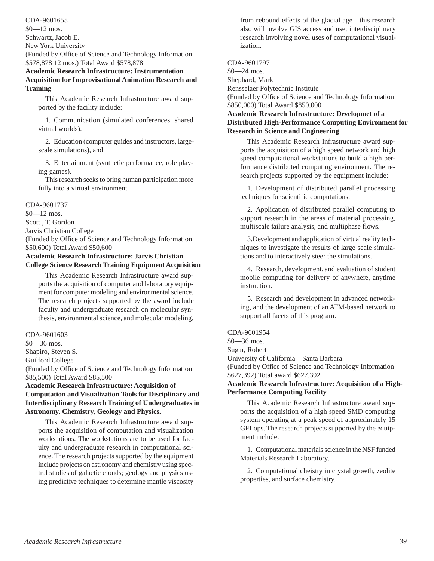<span id="page-37-0"></span>CDA-9601655 \$0—12 mos. Schwartz, Jacob E.

New York University

(Funded by Office of Science and Technology Information \$578,878 12 mos.) Total Award \$578,878

### **Academic Research Infrastructure: Instrumentation Acquisition for Improvisational Animation Research and Training**

This Academic Research Infrastructure award supported by the facility include:

1. Communication (simulated conferences, shared virtual worlds).

2. Education (computer guides and instructors, largescale simulations), and

3. Entertainment (synthetic performance, role playing games).

This research seeks to bring human participation more fully into a virtual environment.

### CDA-9601737

\$0—12 mos.

Scott , T. Gordon

Jarvis Christian College

(Funded by Office of Science and Technology Information \$50,600) Total Award \$50,600

### **Academic Research Infrastructure: Jarvis Christian College Science Research Training Equipment Acquisition**

This Academic Research Infrastructure award supports the acquisition of computer and laboratory equipment for computer modeling and environmental science. The research projects supported by the award include faculty and undergraduate research on molecular synthesis, environmental science, and molecular modeling.

### CDA-9601603

\$0—36 mos.

Shapiro, Steven S.

Guilford College

(Funded by Office of Science and Technology Information \$85,500) Total Award \$85,500

### **Academic Research Infrastructure: Acquisition of Computation and Visualization Tools for Disciplinary and Interdisciplinary Research Training of Undergraduates in Astronomy, Chemistry, Geology and Physics.**

This Academic Research Infrastructure award supports the acquisition of computation and visualization workstations. The workstations are to be used for faculty and undergraduate research in computational science. The research projects supported by the equipment include projects on astronomy and chemistry using spectral studies of galactic clouds; geology and physics using predictive techniques to determine mantle viscosity from rebound effects of the glacial age—this research also will involve GIS access and use; interdisciplinary research involving novel uses of computational visualization.

CDA-9601797

\$0—24 mos.

Shephard, Mark

Rensselaer Polytechnic Institute

(Funded by Office of Science and Technology Information \$850,000) Total Award \$850,000

### **Academic Research Infrastructure: Developmet of a Distributed High-Performance Computing Environment for Research in Science and Engineering**

This Academic Research Infrastructure award supports the acquisition of a high speed network and high speed computational workstations to build a high performance distributed computing environment. The research projects supported by the equipment include:

1. Development of distributed parallel processing techniques for scientific computations.

2. Application of distributed parallel computing to support research in the areas of material processing, multiscale failure analysis, and multiphase flows.

3.Development and application of virtual reality techniques to investigate the results of large scale simulations and to interactively steer the simulations.

4. Research, development, and evaluation of student mobile computing for delivery of anywhere, anytime instruction.

5. Research and development in advanced networking, and the development of an ATM-based network to support all facets of this program.

### CDA-9601954

\$0—36 mos. Sugar, Robert

University of California—Santa Barbara

(Funded by Office of Science and Technology Information \$627,392) Total award \$627,392

### **Academic Research Infrastructure: Acquisition of a High-Performance Computing Facility**

This Academic Research Infrastructure award supports the acquisition of a high speed SMD computing system operating at a peak speed of approximately 15 GFLops. The research projects supported by the equipment include:

1. Computational materials science in the NSF funded Materials Research Laboratory.

2. Computational cheistry in crystal growth, zeolite properties, and surface chemistry.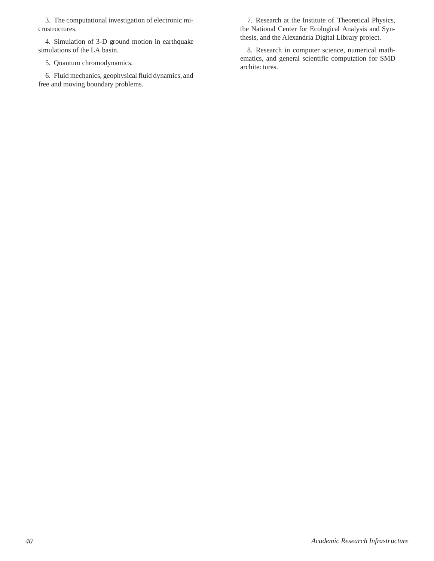3. The computational investigation of electronic microstructures.

4. Simulation of 3-D ground motion in earthquake simulations of the LA basin.

5. Quantum chromodynamics.

6. Fluid mechanics, geophysical fluid dynamics, and free and moving boundary problems.

7. Research at the Institute of Theoretical Physics, the National Center for Ecological Analysis and Synthesis, and the Alexandria Digital Library project.

8. Research in computer science, numerical mathematics, and general scientific computation for SMD architectures.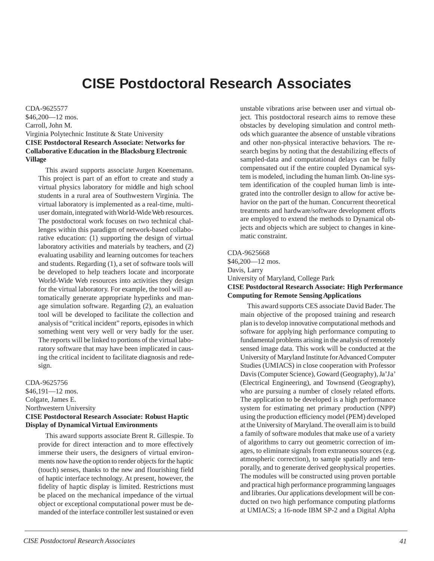# **CISE Postdoctoral Research Associates**

<span id="page-39-0"></span>CDA-9625577 \$46,200—12 mos. Carroll, John M. Virginia Polytechnic Institute & State University **CISE Postdoctoral Research Associate: Networks for Collaborative Education in the Blacksburg Electronic Village**

This award supports associate Jurgen Koenemann. This project is part of an effort to create and study a virtual physics laboratory for middle and high school students in a rural area of Southwestern Virginia. The virtual laboratory is implemented as a real-time, multiuser domain, integrated with World-Wide Web resources. The postdoctoral work focuses on two technical challenges within this paradigm of network-based collaborative education: (1) supporting the design of virtual laboratory activities and materials by teachers, and (2) evaluating usability and learning outcomes for teachers and students. Regarding (1), a set of software tools will be developed to help teachers locate and incorporate World-Wide Web resources into activities they design for the virtual laboratory. For example, the tool will automatically generate appropriate hyperlinks and manage simulation software. Regarding (2), an evaluation tool will be developed to facilitate the collection and analysis of "critical incident" reports, episodes in which something went very well or very badly for the user. The reports will be linked to portions of the virtual laboratory software that may have been implicated in causing the critical incident to facilitate diagnosis and redesign.

CDA-9625756

\$46,191—12 mos. Colgate, James E. Northwestern University **CISE Postdoctoral Research Associate: Robust Haptic Display of Dynamical Virtual Environments**

This award supports associate Brent R. Gillespie. To provide for direct interaction and to more effectively immerse their users, the designers of virtual environments now have the option to render objects for the haptic (touch) senses, thanks to the new and flourishing field of haptic interface technology. At present, however, the fidelity of haptic display is limited. Restrictions must be placed on the mechanical impedance of the virtual object or exceptional computational power must be demanded of the interface controller lest sustained or even

unstable vibrations arise between user and virtual object. This postdoctoral research aims to remove these obstacles by developing simulation and control methods which guarantee the absence of unstable vibrations and other non-physical interactive behaviors. The research begins by noting that the destabilizing effects of sampled-data and computational delays can be fully compensated out if the entire coupled Dynamical system is modeled, including the human limb. On-line system identification of the coupled human limb is integrated into the controller design to allow for active behavior on the part of the human. Concurrent theoretical treatments and hardware/software development efforts are employed to extend the methods to Dynamical objects and objects which are subject to changes in kinematic constraint.

### CDA-9625668

\$46,200—12 mos. Davis, Larry University of Maryland, College Park **CISE Postdoctoral Research Associate: High Performance Computing for Remote Sensing Applications**

This award supports CES associate David Bader. The main objective of the proposed training and research plan is to develop innovative computational methods and software for applying high performance computing to fundamental problems arising in the analysis of remotely sensed image data. This work will be conducted at the University of Maryland Institute for Advanced Computer Studies (UMIACS) in close cooperation with Professor Davis (Computer Science), Goward (Geography), Ja'Ja' (Electrical Engineering), and Townsend (Geography), who are pursuing a number of closely related efforts. The application to be developed is a high performance system for estimating net primary production (NPP) using the production efficiency model (PEM) developed at the University of Maryland. The overall aim is to build a family of software modules that make use of a variety of algorithms to carry out geometric correction of images, to eliminate signals from extraneous sources (e.g. atmospheric correction), to sample spatially and temporally, and to generate derived geophysical properties. The modules will be constructed using proven portable and practical high performance programming languages and libraries. Our applications development will be conducted on two high performance computing platforms at UMIACS; a 16-node IBM SP-2 and a Digital Alpha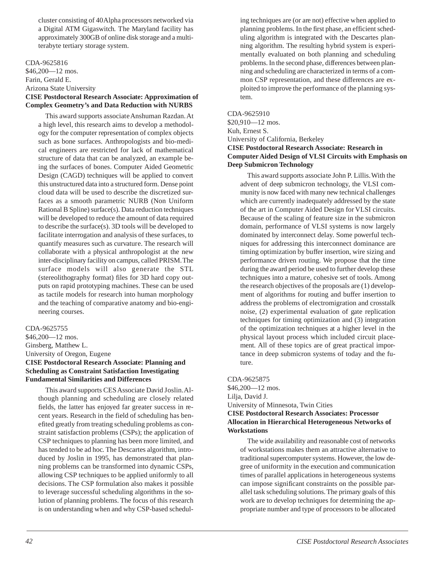<span id="page-40-0"></span>cluster consisting of 40 Alpha processors networked via a Digital ATM Gigaswitch. The Maryland facility has approximately 300GB of online disk storage and a multiterabyte tertiary storage system.

CDA-9625816 \$46,200—12 mos. Farin, Gerald E. Arizona State University **CISE Postdoctoral Research Associate: Approximation of Complex Geometry's and Data Reduction with NURBS**

This award supports associate Anshuman Razdan. At a high level, this research aims to develop a methodology for the computer representation of complex objects such as bone surfaces. Anthropologists and bio-medical engineers are restricted for lack of mathematical structure of data that can be analyzed, an example being the surfaces of bones. Computer Aided Geometric Design (CAGD) techniques will be applied to convert this unstructured data into a structured form. Dense point cloud data will be used to describe the discretized surfaces as a smooth parametric NURB (Non Uniform Rational B Spline) surface(s). Data reduction techniques will be developed to reduce the amount of data required to describe the surface(s). 3D tools will be developed to facilitate interrogation and analysis of these surfaces, to quantify measures such as curvature. The research will collaborate with a physical anthropologist at the new inter-disciplinary facility on campus, called PRISM. The surface models will also generate the STL (stereolithography format) files for 3D hard copy outputs on rapid prototyping machines. These can be used as tactile models for research into human morphology and the teaching of comparative anatomy and bio-engineering courses.

CDA-9625755 \$46,200—12 mos. Ginsberg, Matthew L. University of Oregon, Eugene **CISE Postdoctoral Research Associate: Planning and Scheduling as Constraint Satisfaction Investigating Fundamental Similarities and Differences**

This award supports CES Associate David Joslin. Although planning and scheduling are closely related fields, the latter has enjoyed far greater success in recent years. Research in the field of scheduling has benefited greatly from treating scheduling problems as constraint satisfaction problems (CSPs); the application of CSP techniques to planning has been more limited, and has tended to be ad hoc. The Descartes algorithm, introduced by Joslin in 1995, has demonstrated that planning problems can be transformed into dynamic CSPs, allowing CSP techniques to be applied uniformly to all decisions. The CSP formulation also makes it possible to leverage successful scheduling algorithms in the solution of planning problems. The focus of this research is on understanding when and why CSP-based scheduling techniques are (or are not) effective when applied to planning problems. In the first phase, an efficient scheduling algorithm is integrated with the Descartes planning algorithm. The resulting hybrid system is experimentally evaluated on both planning and scheduling problems. In the second phase, differences between planning and scheduling are characterized in terms of a common CSP representation, and these differences are exploited to improve the performance of the planning system.

CDA-9625910

\$20,910—12 mos. Kuh, Ernest S. University of California, Berkeley **CISE Postdoctoral Research Associate: Research in Computer Aided Design of VLSI Circuits with Emphasis on**

**Deep Submicron Technology**

This award supports associate John P. Lillis. With the advent of deep submicron technology, the VLSI community is now faced with many new technical challenges which are currently inadequately addressed by the state of the art in Computer Aided Design for VLSI circuits. Because of the scaling of feature size in the submicron domain, performance of VLSI systems is now largely dominated by interconnect delay. Some powerful techniques for addressing this interconnect dominance are timing optimization by buffer insertion, wire sizing and performance driven routing. We propose that the time during the award period be used to further develop these techniques into a mature, cohesive set of tools. Among the research objectives of the proposals are (1) development of algorithms for routing and buffer insertion to address the problems of electromigration and crosstalk noise, (2) experimental evaluation of gate replication techniques for timing optimization and (3) integration of the optimization techniques at a higher level in the physical layout process which included circuit placement. All of these topics are of great practical importance in deep submicron systems of today and the future.

CDA-9625875

\$46,200—12 mos. Lilja, David J. University of Minnesota, Twin Cities **CISE Postdoctoral Research Associates: Processor Allocation in Hierarchical Heterogeneous Networks of Workstations**

The wide availability and reasonable cost of networks of workstations makes them an attractive alternative to traditional supercomputer systems. However, the low degree of uniformity in the execution and communication times of parallel applications in heterogeneous systems can impose significant constraints on the possible parallel task scheduling solutions. The primary goals of this work are to develop techniques for determining the appropriate number and type of processors to be allocated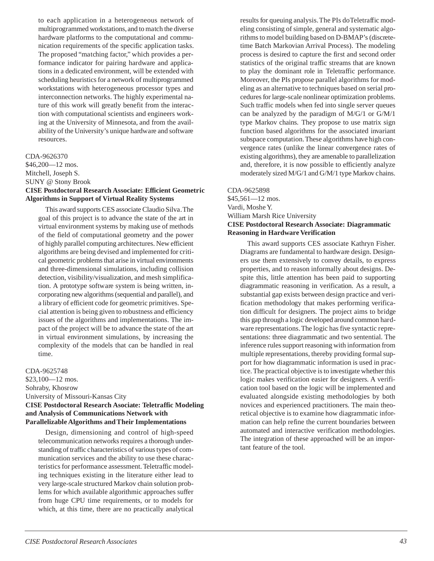<span id="page-41-0"></span>to each application in a heterogeneous network of multiprogrammed workstations, and to match the diverse hardware platforms to the computational and communication requirements of the specific application tasks. The proposed "matching factor," which provides a performance indicator for pairing hardware and applications in a dedicated environment, will be extended with scheduling heuristics for a network of multiprogrammed workstations with heterogeneous processor types and interconnection networks. The highly experimental nature of this work will greatly benefit from the interaction with computational scientists and engineers working at the University of Minnesota, and from the availability of the University's unique hardware and software resources.

### CDA-9626370

\$46,200—12 mos. Mitchell, Joseph S.

### SUNY @ Stony Brook

### **CISE Postdoctoral Research Associate: Efficient Geometric Algorithms in Support of Virtual Reality Systems**

This award supports CES associate Claudio Silva. The goal of this project is to advance the state of the art in virtual environment systems by making use of methods of the field of computational geometry and the power of highly parallel computing architectures. New efficient algorithms are being devised and implemented for critical geometric problems that arise in virtual environments and three-dimensional simulations, including collision detection, visibility/visualization, and mesh simplification. A prototype software system is being written, incorporating new algorithms (sequential and parallel), and a library of efficient code for geometric primitives. Special attention is being given to robustness and efficiency issues of the algorithms and implementations. The impact of the project will be to advance the state of the art in virtual environment simulations, by increasing the complexity of the models that can be handled in real time.

### CDA-9625748

\$23,100—12 mos. Sohraby, Khosrow University of Missouri-Kansas City **CISE Postdoctoral Research Asociate: Teletraffic Modeling and Analysis of Communications Network with Parallelizable Algorithms and Their Implementations**

Design, dimensioning and control of high-speed telecommunication networks requires a thorough understanding of traffic characteristics of various types of communication services and the ability to use these characteristics for performance assessment. Teletraffic modeling techniques existing in the literature either lead to very large-scale structured Markov chain solution problems for which available algorithmic approaches suffer from huge CPU time requirements, or to models for which, at this time, there are no practically analytical results for queuing analysis. The PIs do Teletraffic modeling consisting of simple, general and systematic algorithms to model building based on D-BMAP's (discretetime Batch Markovian Arrival Process). The modeling process is desired to capture the first and second order statistics of the original traffic streams that are known to play the dominant role in Teletraffic performance. Moreover, the PIs propose parallel algorithms for modeling as an alternative to techniques based on serial procedures for large-scale nonlinear optimization problems. Such traffic models when fed into single server queues can be analyzed by the paradigm of M/G/1 or G/M/1 type Markov chains. They propose to use matrix sign function based algorithms for the associated invariant subspace computation. These algorithms have high convergence rates (unlike the linear convergence rates of existing algorithms), they are amenable to parallelization and, therefore, it is now possible to efficiently analyze moderately sized M/G/1 and G/M/1 type Markov chains.

### CDA-9625898

\$45,561—12 mos. Vardi, Moshe Y. William Marsh Rice University **CISE Postdoctoral Research Associate: Diagrammatic Reasoning in Hardware Verification**

This award supports CES associate Kathryn Fisher. Diagrams are fundamental to hardware design. Designers use them extensively to convey details, to express properties, and to reason informally about designs. Despite this, little attention has been paid to supporting diagrammatic reasoning in verification. As a result, a substantial gap exists between design practice and verification methodology that makes performing verification difficult for designers. The project aims to bridge this gap through a logic developed around common hardware representations. The logic has five syntactic representations: three diagrammatic and two sentential. The inference rules support reasoning with information from multiple representations, thereby providing formal support for how diagrammatic information is used in practice. The practical objective is to investigate whether this logic makes verification easier for designers. A verification tool based on the logic will be implemented and evaluated alongside existing methodologies by both novices and experienced practitioners. The main theoretical objective is to examine how diagrammatic information can help refine the current boundaries between automated and interactive verification methodologies. The integration of these approached will be an important feature of the tool.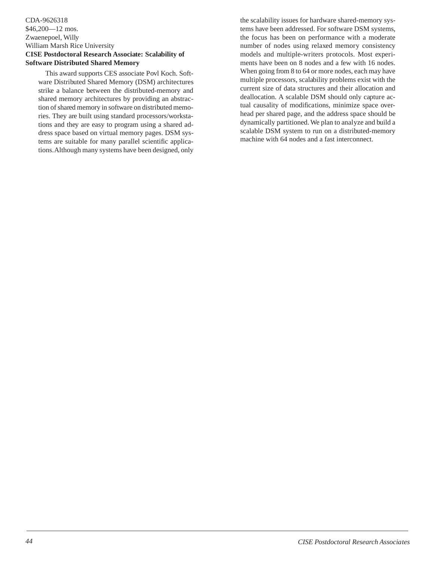### <span id="page-42-0"></span>CDA-9626318 \$46,200—12 mos. Zwaenepoel, Willy William Marsh Rice University **CISE Postdoctoral Research Associate: Scalability of Software Distributed Shared Memory**

This award supports CES associate Povl Koch. Software Distributed Shared Memory (DSM) architectures strike a balance between the distributed-memory and shared memory architectures by providing an abstraction of shared memory in software on distributed memories. They are built using standard processors/workstations and they are easy to program using a shared address space based on virtual memory pages. DSM systems are suitable for many parallel scientific applications. Although many systems have been designed, only the scalability issues for hardware shared-memory systems have been addressed. For software DSM systems, the focus has been on performance with a moderate number of nodes using relaxed memory consistency models and multiple-writers protocols. Most experiments have been on 8 nodes and a few with 16 nodes. When going from 8 to 64 or more nodes, each may have multiple processors, scalability problems exist with the current size of data structures and their allocation and deallocation. A scalable DSM should only capture actual causality of modifications, minimize space overhead per shared page, and the address space should be dynamically partitioned. We plan to analyze and build a scalable DSM system to run on a distributed-memory machine with 64 nodes and a fast interconnect.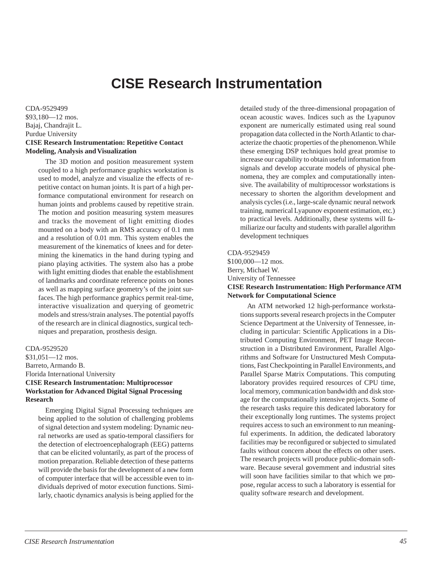# **CISE Research Instrumentation**

<span id="page-43-0"></span>CDA-9529499 \$93,180—12 mos. Bajaj, Chandrajit L. Purdue University **CISE Research Instrumentation: Repetitive Contact Modeling, Analysis and Visualization**

The 3D motion and position measurement system coupled to a high performance graphics workstation is used to model, analyze and visualize the effects of repetitive contact on human joints. It is part of a high performance computational environment for research on human joints and problems caused by repetitive strain. The motion and position measuring system measures and tracks the movement of light emitting diodes mounted on a body with an RMS accuracy of 0.1 mm and a resolution of 0.01 mm. This system enables the measurement of the kinematics of knees and for determining the kinematics in the hand during typing and piano playing activities. The system also has a probe with light emitting diodes that enable the establishment of landmarks and coordinate reference points on bones as well as mapping surface geometry's of the joint surfaces. The high performance graphics permit real-time, interactive visualization and querying of geometric models and stress/strain analyses. The potential payoffs of the research are in clinical diagnostics, surgical techniques and preparation, prosthesis design.

### CDA-9529520

\$31,051—12 mos. Barreto, Armando B. Florida International University **CISE Research Instrumentation: Multiprocessor Workstation for Advanced Digital Signal Processing Research**

Emerging Digital Signal Processing techniques are being applied to the solution of challenging problems of signal detection and system modeling: Dynamic neural networks are used as spatio-temporal classifiers for the detection of electroencephalograph (EEG) patterns that can be elicited voluntarily, as part of the process of motion preparation. Reliable detection of these patterns will provide the basis for the development of a new form of computer interface that will be accessible even to individuals deprived of motor execution functions. Similarly, chaotic dynamics analysis is being applied for the

detailed study of the three-dimensional propagation of ocean acoustic waves. Indices such as the Lyapunov exponent are numerically estimated using real sound propagation data collected in the North Atlantic to characterize the chaotic properties of the phenomenon. While these emerging DSP techniques hold great promise to increase our capability to obtain useful information from signals and develop accurate models of physical phenomena, they are complex and computationally intensive. The availability of multiprocessor workstations is necessary to shorten the algorithm development and analysis cycles (i.e., large-scale dynamic neural network training, numerical Lyapunov exponent estimation, etc.) to practical levels. Additionally, these systems will familiarize our faculty and students with parallel algorithm development techniques

### CDA-9529459

\$100,000—12 mos. Berry, Michael W. University of Tennessee **CISE Research Instrumentation: High Performance ATM Network for Computational Science**

An ATM networked 12 high-performance workstations supports several research projects in the Computer Science Department at the University of Tennessee, including in particular: Scientific Applications in a Distributed Computing Environment, PET Image Reconstruction in a Distributed Environment, Parallel Algorithms and Software for Unstructured Mesh Computations, Fast Checkpointing in Parallel Environments, and Parallel Sparse Matrix Computations. This computing laboratory provides required resources of CPU time, local memory, communication bandwidth and disk storage for the computationally intensive projects. Some of the research tasks require this dedicated laboratory for their exceptionally long runtimes. The systems project requires access to such an environment to run meaningful experiments. In addition, the dedicated laboratory facilities may be reconfigured or subjected to simulated faults without concern about the effects on other users. The research projects will produce public-domain software. Because several government and industrial sites will soon have facilities similar to that which we propose, regular access to such a laboratory is essential for quality software research and development.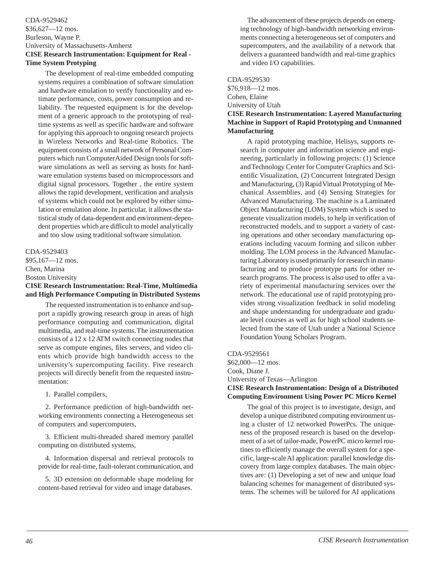### <span id="page-44-0"></span>CDA-9529462 \$36,627—12 mos. Burleson, Wayne P. University of Massachusetts-Amherst **CISE Research Instrumentation: Equipment for Real - Time System Protyping**

The development of real-time embedded computing systems requires a combination of software simulation and hardware emulation to verify functionality and estimate performance, costs, power consumption and reliability. The requested equipment is for the development of a generic approach to the prototyping of realtime systems as well as specific hardware and software for applying this approach to ongoing research projects in Wireless Networks and Real-time Robotics. The equipment consists of a small network of Personal Computers which run Computer Aided Design tools for software simulations as well as serving as hosts for hardware emulation systems based on microprocessors and digital signal processors. Together , the entire system allows the rapid development, verification and analysis of systems which could not be explored by either simulation or emulation alone. In particular, it allows the statistical study of data-dependent and environment-dependent properties which are difficult to model analytically and too slow using traditional software simulation.

CDA-9529403

\$95,167—12 mos.

Chen, Marina

Boston University

### **CISE Research Instrumentation: Real-Time, Multimedia and High Performance Computing in Distributed Systems**

The requested instrumentation is to enhance and support a rapidly growing research group in areas of high performance computing and communication, digital multimedia, and real-time systems. The instrumentation consists of a 12 x 12 ATM switch connecting nodes that serve as compute engines, files servers, and video clients which provide high bandwidth access to the university's supercomputing facility. Five research projects will directly benefit from the requested instrumentation:

1. Parallel compilers,

2. Performance prediction of high-bandwidth networking environments connecting a Heterogeneous set of computers and supercomputers,

3. Efficient multi-threaded shared memory parallel computing on distributed systems,

4. Information dispersal and retrieval protocols to provide for real-time, fault-tolerant communication, and

5. 3D extension on deformable shape modeling for content-based retrieval for video and image databases.

The advancement of these projects depends on emerging technology of high-bandwidth networking environments connecting a heterogeneous set of computers and supercomputers, and the availability of a network that delivers a guaranteed bandwidth and real-time graphics and video I/O capabilities.

CDA-9529530 \$76,918—12 mos. Cohen, Elaine University of Utah

### **CISE Research Instrumentation: Layered Manufacturing Machine in Support of Rapid Prototyping and Unmanned Manufacturing**

A rapid prototyping machine, Helisys, supports research in computer and information science and engineering, particularly in following projects: (1) Science and Technology Center for Computer Graphics and Scientific Visualization, (2) Concurrent Integrated Design and Manufacturing, (3) Rapid Virtual Prototyping of Mechanical Assemblies, and (4) Sensing Strategies for Advanced Manufacturing. The machine is a Laminated Object Manufacturing (LOM) System which is used to generate visualization models, to help in verification of reconstructed models, and to support a variety of casting operations and other secondary manufacturing operations including vacuum forming and silicon rubber molding. The LOM process in the Advanced Manufacturing Laboratory is used primarily for research in manufacturing and to produce prototype parts for other research programs. The process is also used to offer a variety of experimental manufacturing services over the network. The educational use of rapid prototyping provides strong visualization feedback in solid modeling and shape understanding for undergraduate and graduate level courses as well as for high school students selected from the state of Utah under a National Science Foundation Young Scholars Program.

CDA-9529561

\$62,000—12 mos. Cook, Diane J. University of Texas—Arlington **CISE Research Instrumentation: Design of a Distributed Computing Environment Using Power PC Micro Kernel**

The goal of this project is to investigate, design, and develop a unique distributed computing environment using a cluster of 12 networked PowerPcs. The uniqueness of the proposed research is based on the development of a set of tailor-made, PowerPC micro kernel routines to efficiently manage the overall system for a specific, large-scale AI application: parallel knowledge discovery from large complex databases. The main objectives are: (1) Developing a set of new and unique load balancing schemes for management of distributed systems. The schemes will be tailored for AI applications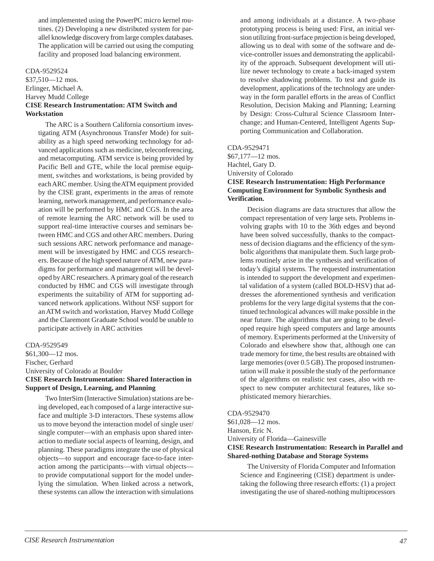<span id="page-45-0"></span>and implemented using the PowerPC micro kernel routines. (2) Developing a new distributed system for parallel knowledge discovery from large complex databases. The application will be carried out using the computing facility and proposed load balancing environment.

### CDA-9529524

\$37,510—12 mos. Erlinger, Michael A. Harvey Mudd College **CISE Research Instrumentation: ATM Switch and Workstation**

The ARC is a Southern California consortium investigating ATM (Asynchronous Transfer Mode) for suitability as a high speed networking technology for advanced applications such as medicine, teleconferencing, and metacomputing. ATM service is being provided by Pacific Bell and GTE, while the local premise equipment, switches and workstations, is being provided by each ARC member. Using the ATM equipment provided by the CISE grant, experiments in the areas of remote learning, network management, and performance evaluation will be performed by HMC and CGS. In the area of remote learning the ARC network will be used to support real-time interactive courses and seminars between HMC and CGS and other ARC members. During such sessions ARC network performance and management will be investigated by HMC and CGS researchers. Because of the high speed nature of ATM, new paradigms for performance and management will be developed by ARC researchers. A primary goal of the research conducted by HMC and CGS will investigate through experiments the suitability of ATM for supporting advanced network applications. Without NSF support for an ATM switch and workstation, Harvey Mudd College and the Claremont Graduate School would be unable to participate actively in ARC activities

### CDA-9529549

\$61,300—12 mos. Fischer, Gerhard University of Colorado at Boulder **CISE Research Instrumentation: Shared Interaction in Support of Design, Learning, and Planning**

Two InterSim (Interactive Simulation) stations are being developed, each composed of a large interactive surface and multiple 3-D interactors. These systems allow us to move beyond the interaction model of single user/ single computer—with an emphasis upon shared interaction to mediate social aspects of learning, design, and planning. These paradigms integrate the use of physical objects—to support and encourage face-to-face interaction among the participants—with virtual objects to provide computational support for the model underlying the simulation. When linked across a network, these systems can allow the interaction with simulations and among individuals at a distance. A two-phase prototyping process is being used: First, an initial version utilizing front-surface projection is being developed, allowing us to deal with some of the software and device-controller issues and demonstrating the applicability of the approach. Subsequent development will utilize newer technology to create a back-imaged system to resolve shadowing problems. To test and guide its development, applications of the technology are underway in the form parallel efforts in the areas of Conflict Resolution, Decision Making and Planning; Learning by Design: Cross-Cultural Science Classroom Interchange; and Human-Centered, Intelligent Agents Supporting Communication and Collaboration.

### CDA-9529471

\$67,177—12 mos. Hachtel, Gary D. University of Colorado **CISE Research Instrumentation: High Performance Computing Environment for Symbolic Synthesis and Verification.**

Decision diagrams are data structures that allow the compact representation of very large sets. Problems involving graphs with 10 to the 36th edges and beyond have been solved successfully, thanks to the compactness of decision diagrams and the efficiency of the symbolic algorithms that manipulate them. Such large problems routinely arise in the synthesis and verification of today's digital systems. The requested instrumentation is intended to support the development and experimental validation of a system (called BOLD-HSV) that addresses the aforementioned synthesis and verification problems for the very large digital systems that the continued technological advances will make possible in the near future. The algorithms that are going to be developed require high speed computers and large amounts of memory. Experiments performed at the University of Colorado and elsewhere show that, although one can trade memory for time, the best results are obtained with large memories (over 0.5 GB). The proposed instrumentation will make it possible the study of the performance of the algorithms on realistic test cases, also with respect to new computer architectural features, like sophisticated memory hierarchies.

### CDA-9529470

\$61,028—12 mos. Hanson, Eric N. University of Florida—Gainesville **CISE Research Instrumentation: Research in Parallel and Shared-nothing Database and Storage Systems**

The University of Florida Computer and Information Science and Engineering (CISE) department is undertaking the following three research efforts: (1) a project investigating the use of shared-nothing multiprocessors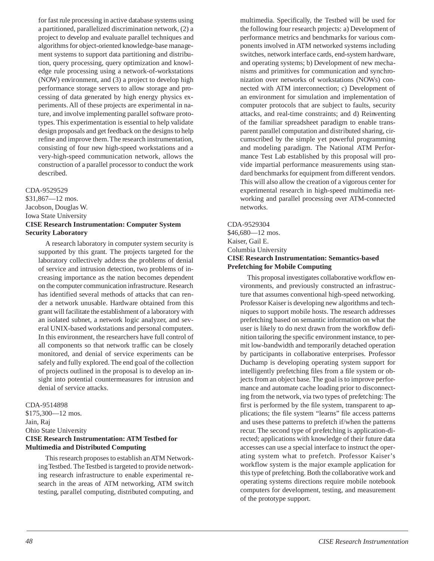<span id="page-46-0"></span>for fast rule processing in active database systems using a partitioned, parallelized discrimination network, (2) a project to develop and evaluate parallel techniques and algorithms for object-oriented knowledge-base management systems to support data partitioning and distribution, query processing, query optimization and knowledge rule processing using a network-of-workstations (NOW) environment, and (3) a project to develop high performance storage servers to allow storage and processing of data generated by high energy physics experiments. All of these projects are experimental in nature, and involve implementing parallel software prototypes. This experimentation is essential to help validate design proposals and get feedback on the designs to help refine and improve them. The research instrumentation, consisting of four new high-speed workstations and a very-high-speed communication network, allows the construction of a parallel processor to conduct the work described.

### CDA-9529529

\$31,867—12 mos. Jacobson, Douglas W. Iowa State University **CISE Research Instrumentation: Computer System Security Laboratory**

A research laboratory in computer system security is supported by this grant. The projects targeted for the laboratory collectively address the problems of denial of service and intrusion detection, two problems of increasing importance as the nation becomes dependent on the computer communication infrastructure. Research has identified several methods of attacks that can render a network unusable. Hardware obtained from this grant will facilitate the establishment of a laboratory with an isolated subnet, a network logic analyzer, and several UNIX-based workstations and personal computers. In this environment, the researchers have full control of all components so that network traffic can be closely monitored, and denial of service experiments can be safely and fully explored. The end goal of the collection of projects outlined in the proposal is to develop an insight into potential countermeasures for intrusion and denial of service attacks.

### CDA-9514898

\$175,300—12 mos. Jain, Raj Ohio State University **CISE Research Instrumentation: ATM Testbed for Multimedia and Distributed Computing**

This research proposes to establish an ATM Networking Testbed. The Testbed is targeted to provide networking research infrastructure to enable experimental research in the areas of ATM networking, ATM switch testing, parallel computing, distributed computing, and multimedia. Specifically, the Testbed will be used for the following four research projects: a) Development of performance metrics and benchmarks for various components involved in ATM networked systems including switches, network interface cards, end-system hardware, and operating systems; b) Development of new mechanisms and primitives for communication and synchronization over networks of workstations (NOWs) connected with ATM interconnection; c) Development of an environment for simulation and implementation of computer protocols that are subject to faults, security attacks, and real-time constraints; and d) Reinventing of the familiar spreadsheet paradigm to enable transparent parallel computation and distributed sharing, circumscribed by the simple yet powerful programming and modeling paradigm. The National ATM Performance Test Lab established by this proposal will provide impartial performance measurements using standard benchmarks for equipment from different vendors. This will also allow the creation of a vigorous center for experimental research in high-speed multimedia networking and parallel processing over ATM-connected networks.

### CDA-9529304 \$46,680—12 mos. Kaiser, Gail E. Columbia University **CISE Research Instrumentation: Semantics-based Prefetching for Mobile Computing**

This proposal investigates collaborative workflow environments, and previously constructed an infrastructure that assumes conventional high-speed networking. Professor Kaiser is developing new algorithms and techniques to support mobile hosts. The research addresses prefetching based on semantic information on what the user is likely to do next drawn from the workflow definition tailoring the specific environment instance, to permit low-bandwidth and temporarily detached operation by participants in collaborative enterprises. Professor Duchamp is developing operating system support for intelligently prefetching files from a file system or objects from an object base. The goal is to improve performance and automate cache loading prior to disconnecting from the network, via two types of prefetching: The first is performed by the file system, transparent to applications; the file system "learns" file access patterns and uses these patterns to prefetch if/when the patterns recur. The second type of prefetching is application-directed; applications with knowledge of their future data accesses can use a special interface to instruct the operating system what to prefetch. Professor Kaiser's workflow system is the major example application for this type of prefetching. Both the collaborative work and operating systems directions require mobile notebook computers for development, testing, and measurement of the prototype support.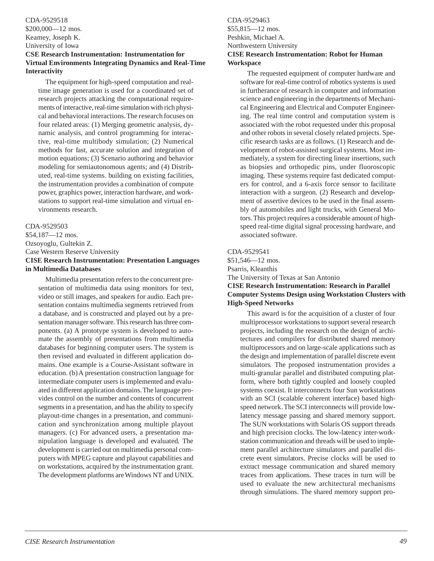### <span id="page-47-0"></span>CDA-9529518 \$200,000—12 mos. Kearney, Joseph K. University of Iowa

### **CSE Research Instrumentation: Instrumentation for Virtual Environments Integrating Dynamics and Real-Time Interactivity**

The equipment for high-speed computation and realtime image generation is used for a coordinated set of research projects attacking the computational requirements of interactive, real-time simulation with rich physical and behavioral interactions. The research focuses on four related areas: (1) Merging geometric analysis, dynamic analysis, and control programming for interactive, real-time multibody simulation; (2) Numerical methods for fast, accurate solution and integration of motion equations; (3) Scenario authoring and behavior modeling for semiautonomous agents; and (4) Distributed, real-time systems. building on existing facilities, the instrumentation provides a combination of compute power, graphics power, interaction hardware, and workstations to support real-time simulation and virtual environments research.

### CDA-9529503

\$54,187—12 mos. Ozsoyoglu, Gultekin Z. Case Western Reserve University **CISE Research Instrumentation: Presentation Languages in Multimedia Databases**

Multimedia presentation refers to the concurrent presentation of multimedia data using monitors for text, video or still images, and speakers for audio. Each presentation contains multimedia segments retrieved from a database, and is constructed and played out by a presentation manager software. This research has three components. (a) A prototype system is developed to automate the assembly of presentations from multimedia databases for beginning computer users. The system is then revised and evaluated in different application domains. One example is a Course-Assistant software in education. (b) A presentation construction language for intermediate computer users is implemented and evaluated in different application domains. The language provides control on the number and contents of concurrent segments in a presentation, and has the ability to specify playout-time changes in a presentation, and communication and synchronization among multiple playout managers. (c) For advanced users, a presentation manipulation language is developed and evaluated. The development is carried out on multimedia personal computers with MPEG capture and playout capabilities and on workstations, acquired by the instrumentation grant. The development platforms are Windows NT and UNIX.

### CDA-9529463 \$55,815—12 mos. Peshkin, Michael A. Northwestern University **CISE Research Instrumentation: Robot for Human Workspace**

The requested equipment of computer hardware and software for real-time control of robotics systems is used in furtherance of research in computer and information science and engineering in the departments of Mechanical Engineering and Electrical and Computer Engineering. The real time control and computation system is associated with the robot requested under this proposal and other robots in several closely related projects. Specific research tasks are as follows. (1) Research and development of robot-assisted surgical systems. Most immediately, a system for directing linear insertions, such as biopsies and orthopedic pins, under fluoroscopic imaging. These systems require fast dedicated computers for control, and a 6-axis force sensor to facilitate interaction with a surgeon. (2) Research and development of assertive devices to be used in the final assembly of automobiles and light trucks, with General Motors. This project requires a considerable amount of highspeed real-time digital signal processing hardware, and associated software.

### CDA-9529541

\$51,546—12 mos. Psarris, Kleanthis The University of Texas at San Antonio **CISE Research Instrumentation: Research in Parallel**

# **Computer Systems Design using Workstation Clusters with High-Speed Networks**

This award is for the acquisition of a cluster of four multiprocessor workstations to support several research projects, including the research on the design of architectures and compilers for distributed shared memory multiprocessors and on large-scale applications such as the design and implementation of parallel discrete event simulators. The proposed instrumentation provides a multi-granular parallel and distributed computing platform, where both tightly coupled and loosely coupled systems coexist. It interconnects four Sun workstations with an SCI (scalable coherent interface) based highspeed network. The SCI interconnects will provide lowlatency message passing and shared memory support. The SUN workstations with Solaris OS support threads and high precision clocks. The low-latency inter-workstation communication and threads will be used to implement parallel architecture simulators and parallel discrete event simulators. Precise clocks will be used to extract message communication and shared memory traces from applications. These traces in turn will be used to evaluate the new architectural mechanisms through simulations. The shared memory support pro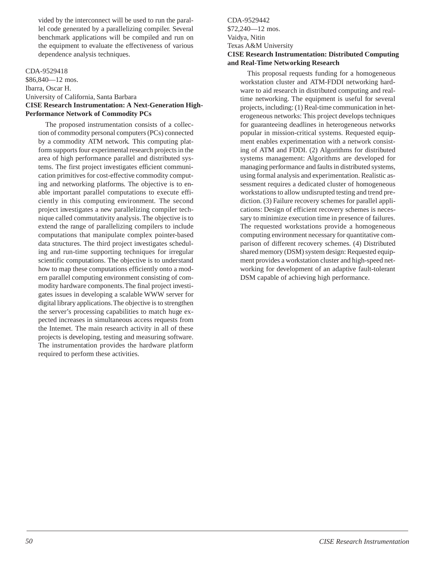<span id="page-48-0"></span>vided by the interconnect will be used to run the parallel code generated by a parallelizing compiler. Several benchmark applications will be compiled and run on the equipment to evaluate the effectiveness of various dependence analysis techniques.

### CDA-9529418

\$86,840—12 mos. Ibarra, Oscar H. University of California, Santa Barbara **CISE Research Instrumentation: A Next-Generation High-Performance Network of Commodity PCs**

The proposed instrumentation consists of a collection of commodity personal computers (PCs) connected by a commodity ATM network. This computing platform supports four experimental research projects in the area of high performance parallel and distributed systems. The first project investigates efficient communication primitives for cost-effective commodity computing and networking platforms. The objective is to enable important parallel computations to execute efficiently in this computing environment. The second project investigates a new parallelizing compiler technique called commutativity analysis. The objective is to extend the range of parallelizing compilers to include computations that manipulate complex pointer-based data structures. The third project investigates scheduling and run-time supporting techniques for irregular scientific computations. The objective is to understand how to map these computations efficiently onto a modern parallel computing environment consisting of commodity hardware components. The final project investigates issues in developing a scalable WWW server for digital library applications. The objective is to strengthen the server's processing capabilities to match huge expected increases in simultaneous access requests from the Internet. The main research activity in all of these projects is developing, testing and measuring software. The instrumentation provides the hardware platform required to perform these activities.

CDA-9529442 \$72,240—12 mos. Vaidya, Nitin Texas A&M University **CISE Research Instrumentation: Distributed Computing and Real-Time Networking Research**

This proposal requests funding for a homogeneous workstation cluster and ATM-FDDI networking hardware to aid research in distributed computing and realtime networking. The equipment is useful for several projects, including: (1) Real-time communication in heterogeneous networks: This project develops techniques for guaranteeing deadlines in heterogeneous networks popular in mission-critical systems. Requested equipment enables experimentation with a network consisting of ATM and FDDI. (2) Algorithms for distributed systems management: Algorithms are developed for managing performance and faults in distributed systems, using formal analysis and experimentation. Realistic assessment requires a dedicated cluster of homogeneous workstations to allow undisrupted testing and trend prediction. (3) Failure recovery schemes for parallel applications: Design of efficient recovery schemes is necessary to minimize execution time in presence of failures. The requested workstations provide a homogeneous computing environment necessary for quantitative comparison of different recovery schemes. (4) Distributed shared memory (DSM) system design: Requested equipment provides a workstation cluster and high-speed networking for development of an adaptive fault-tolerant DSM capable of achieving high performance.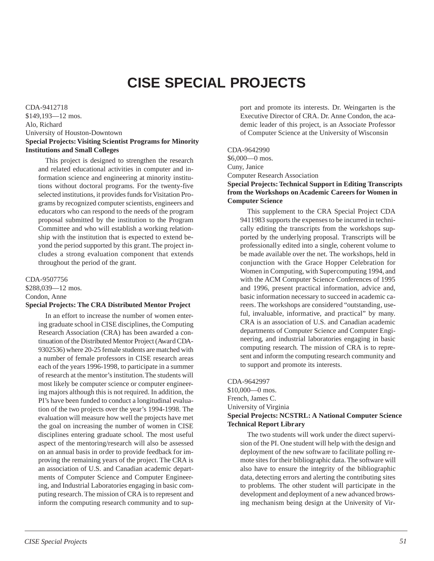# **CISE SPECIAL PROJECTS**

<span id="page-49-0"></span>CDA-9412718 \$149,193—12 mos. Alo, Richard University of Houston-Downtown **Special Projects: Visiting Scientist Programs for Minority Institutions and Small Colleges**

This project is designed to strengthen the research and related educational activities in computer and information science and engineering at minority institutions without doctoral programs. For the twenty-five selected institutions, it provides funds for Visitation Programs by recognized computer scientists, engineers and educators who can respond to the needs of the program proposal submitted by the institution to the Program Committee and who will establish a working relationship with the institution that is expected to extend beyond the period supported by this grant. The project includes a strong evaluation component that extends throughout the period of the grant.

CDA-9507756 \$288,039—12 mos. Condon, Anne **Special Projects: The CRA Distributed Mentor Project**

In an effort to increase the number of women entering graduate school in CISE disciplines, the Computing Research Association (CRA) has been awarded a continuation of the Distributed Mentor Project (Award CDA-9302536) where 20-25 female students are matched with a number of female professors in CISE research areas each of the years 1996-1998, to participate in a summer of research at the mentor's institution. The students will most likely be computer science or computer engineering majors although this is not required. In addition, the PI's have been funded to conduct a longitudinal evaluation of the two projects over the year's 1994-1998. The evaluation will measure how well the projects have met the goal on increasing the number of women in CISE disciplines entering graduate school. The most useful aspect of the mentoring/research will also be assessed on an annual basis in order to provide feedback for improving the remaining years of the project. The CRA is an association of U.S. and Canadian academic departments of Computer Science and Computer Engineering, and Industrial Laboratories engaging in basic computing research. The mission of CRA is to represent and inform the computing research community and to support and promote its interests. Dr. Weingarten is the Executive Director of CRA. Dr. Anne Condon, the academic leader of this project, is an Associate Professor of Computer Science at the University of Wisconsin

CDA-9642990 \$6,000—0 mos. Cuny, Janice Computer Research Association **Special Projects: Technical Support in Editing Transcripts**

### **from the Workshops on Academic Careers for Women in Computer Science**

This supplement to the CRA Special Project CDA 9411983 supports the expenses to be incurred in technically editing the transcripts from the workshops supported by the underlying proposal. Transcripts will be professionally edited into a single, coherent volume to be made available over the net. The workshops, held in conjunction with the Grace Hopper Celebration for Women in Computing, with Supercomputing 1994, and with the ACM Computer Science Conferences of 1995 and 1996, present practical information, advice and, basic information necessary to succeed in academic careers. The workshops are considered "outstanding, useful, invaluable, informative, and practical" by many. CRA is an association of U.S. and Canadian academic departments of Computer Science and Computer Engineering, and industrial laboratories engaging in basic computing research. The mission of CRA is to represent and inform the computing research community and to support and promote its interests.

CDA-9642997 \$10,000—0 mos. French, James C. University of Virginia **Special Projects: NCSTRL: A National Computer Science Technical Report Library**

The two students will work under the direct supervision of the PI. One student will help with the design and deployment of the new software to facilitate polling remote sites for their bibliographic data. The software will also have to ensure the integrity of the bibliographic data, detecting errors and alerting the contributing sites to problems. The other student will participate in the development and deployment of a new advanced browsing mechanism being design at the University of Vir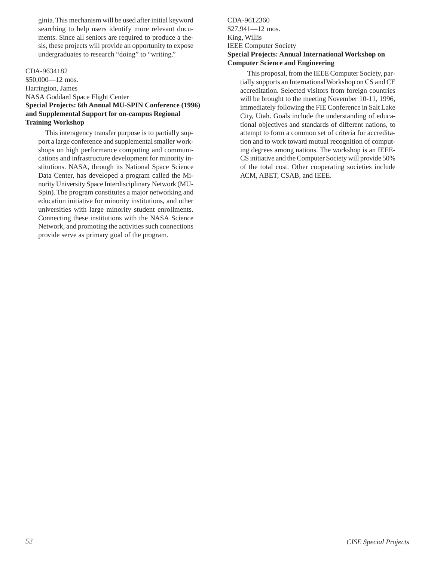<span id="page-50-0"></span>ginia. This mechanism will be used after initial keyword searching to help users identify more relevant documents. Since all seniors are required to produce a thesis, these projects will provide an opportunity to expose undergraduates to research "doing" to "writing."

### CDA-9634182

\$50,000—12 mos. Harrington, James NASA Goddard Space Flight Center **Special Projects: 6th Annual MU-SPIN Conference (1996) and Supplemental Support for on-campus Regional Training Workshop**

This interagency transfer purpose is to partially support a large conference and supplemental smaller workshops on high performance computing and communications and infrastructure development for minority institutions. NASA, through its National Space Science Data Center, has developed a program called the Minority University Space Interdisciplinary Network (MU-Spin). The program constitutes a major networking and education initiative for minority institutions, and other universities with large minority student enrollments. Connecting these institutions with the NASA Science Network, and promoting the activities such connections provide serve as primary goal of the program.

CDA-9612360 \$27,941—12 mos. King, Willis IEEE Computer Society **Special Projects: Annual International Workshop on Computer Science and Engineering**

This proposal, from the IEEE Computer Society, partially supports an International Workshop on CS and CE accreditation. Selected visitors from foreign countries will be brought to the meeting November 10-11, 1996, immediately following the FIE Conference in Salt Lake City, Utah. Goals include the understanding of educational objectives and standards of different nations, to attempt to form a common set of criteria for accreditation and to work toward mutual recognition of computing degrees among nations. The workshop is an IEEE-CS initiative and the Computer Society will provide 50% of the total cost. Other cooperating societies include ACM, ABET, CSAB, and IEEE.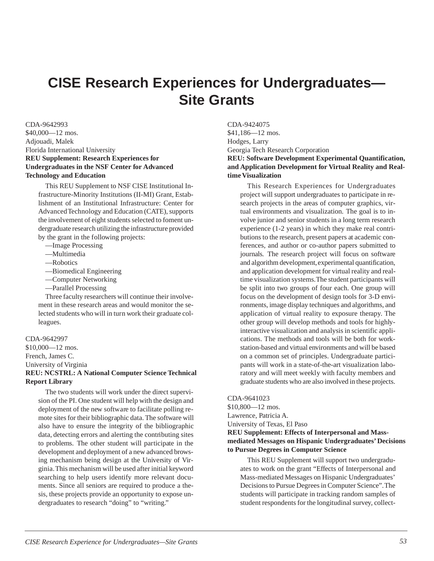# <span id="page-51-0"></span>**CISE Research Experiences for Undergraduates— Site Grants**

CDA-9642993

\$40,000—12 mos. Adjouadi, Malek Florida International University **REU Supplement: Research Experiences for Undergraduates in the NSF Center for Advanced Technology and Education**

This REU Supplement to NSF CISE Institutional Infrastructure-Minority Institutions (II-MI) Grant, Establishment of an Institutional Infrastructure: Center for Advanced Technology and Education (CATE), supports the involvement of eight students selected to foment undergraduate research utilizing the infrastructure provided by the grant in the following projects:

- —Image Processing
- —Multimedia
- —Robotics
- —Biomedical Engineering
- —Computer Networking
- —Parallel Processing

Three faculty researchers will continue their involvement in these research areas and would monitor the selected students who will in turn work their graduate colleagues.

### CDA-9642997

\$10,000—12 mos. French, James C. University of Virginia **REU: NCSTRL: A National Computer Science Technical Report Library**

The two students will work under the direct supervision of the PI. One student will help with the design and deployment of the new software to facilitate polling remote sites for their bibliographic data. The software will also have to ensure the integrity of the bibliographic data, detecting errors and alerting the contributing sites to problems. The other student will participate in the development and deployment of a new advanced browsing mechanism being design at the University of Virginia. This mechanism will be used after initial keyword searching to help users identify more relevant documents. Since all seniors are required to produce a thesis, these projects provide an opportunity to expose undergraduates to research "doing" to "writing."

CDA-9424075 \$41,186—12 mos. Hodges, Larry Georgia Tech Research Corporation **REU: Software Development Experimental Quantification, and Application Development for Virtual Reality and Realtime Visualization**

This Research Experiences for Undergraduates project will support undergraduates to participate in research projects in the areas of computer graphics, virtual environments and visualization. The goal is to involve junior and senior students in a long term research experience (1-2 years) in which they make real contributions to the research, present papers at academic conferences, and author or co-author papers submitted to journals. The research project will focus on software and algorithm development, experimental quantification, and application development for virtual reality and realtime visualization systems. The student participants will be split into two groups of four each. One group will focus on the development of design tools for 3-D environments, image display techniques and algorithms, and application of virtual reality to exposure therapy. The other group will develop methods and tools for highlyinteractive visualization and analysis in scientific applications. The methods and tools will be both for workstation-based and virtual environments and will be based on a common set of principles. Undergraduate participants will work in a state-of-the-art visualization laboratory and will meet weekly with faculty members and graduate students who are also involved in these projects.

CDA-9641023 \$10,800—12 mos. Lawrence, Patricia A. University of Texas, El Paso **REU Supplement: Effects of Interpersonal and Massmediated Messages on Hispanic Undergraduates' Decisions to Pursue Degrees in Computer Science**

This REU Supplement will support two undergraduates to work on the grant "Effects of Interpersonal and Mass-mediated Messages on Hispanic Undergraduates' Decisions to Pursue Degrees in Computer Science". The students will participate in tracking random samples of student respondents for the longitudinal survey, collect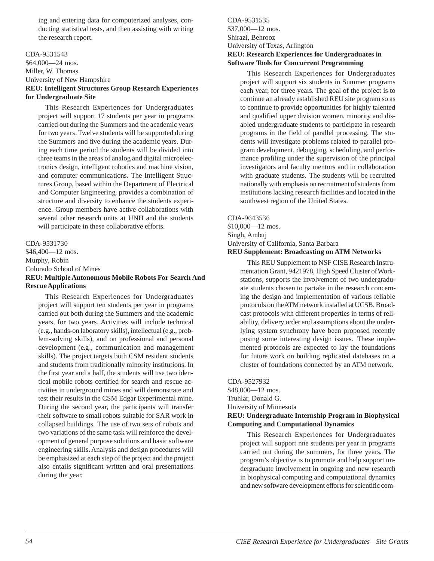<span id="page-52-0"></span>ing and entering data for computerized analyses, conducting statistical tests, and then assisting with writing the research report.

### CDA-9531543

\$64,000—24 mos. Miller, W. Thomas University of New Hampshire **REU: Intelligent Structures Group Research Experiences for Undergraduate Site**

This Research Experiences for Undergraduates project will support 17 students per year in programs carried out during the Summers and the academic years for two years. Twelve students will be supported during the Summers and five during the academic years. During each time period the students will be divided into three teams in the areas of analog and digital microelectronics design, intelligent robotics and machine vision, and computer communications. The Intelligent Structures Group, based within the Department of Electrical and Computer Engineering, provides a combination of structure and diversity to enhance the students experience. Group members have active collaborations with several other research units at UNH and the students will participate in these collaborative efforts.

CDA-9531730 \$46,400—12 mos. Murphy, Robin Colorado School of Mines **REU: Multiple Autonomous Mobile Robots For Search And Rescue Applications**

This Research Experiences for Undergraduates project will support ten students per year in programs carried out both during the Summers and the academic years, for two years. Activities will include technical (e.g., hands-on laboratory skills), intellectual (e.g., problem-solving skills), and on professional and personal development (e.g., communication and management skills). The project targets both CSM resident students and students from traditionally minority institutions. In the first year and a half, the students will use two identical mobile robots certified for search and rescue activities in underground mines and will demonstrate and test their results in the CSM Edgar Experimental mine. During the second year, the participants will transfer their software to small robots suitable for SAR work in collapsed buildings. The use of two sets of robots and two variations of the same task will reinforce the development of general purpose solutions and basic software engineering skills. Analysis and design procedures will be emphasized at each step of the project and the project also entails significant written and oral presentations during the year.

CDA-9531535 \$37,000—12 mos. Shirazi, Behrooz University of Texas, Arlington **REU: Research Experiences for Undergraduates in Software Tools for Concurrent Programming**

This Research Experiences for Undergraduates project will support six students in Summer programs each year, for three years. The goal of the project is to continue an already established REU site program so as to continue to provide opportunities for highly talented and qualified upper division women, minority and disabled undergraduate students to participate in research programs in the field of parallel processing. The students will investigate problems related to parallel program development, debugging, scheduling, and performance profiling under the supervision of the principal investigators and faculty mentors and in collaboration with graduate students. The students will be recruited nationally with emphasis on recruitment of students from institutions lacking research facilities and located in the southwest region of the United States.

CDA-9643536 \$10,000—12 mos. Singh, Ambuj University of California, Santa Barbara **REU Supplement: Broadcasting on ATM Networks**

This REU Supplement to NSF CISE Research Instrumentation Grant, 9421978, High Speed Cluster of Workstations, supports the involvement of two undergraduate students chosen to partake in the research concerning the design and implementation of various reliable protocols on the ATM network installed at UCSB. Broadcast protocols with different properties in terms of reliability, delivery order and assumptions about the underlying system synchrony have been proposed recently posing some interesting design issues. These implemented protocols are expected to lay the foundations for future work on building replicated databases on a cluster of foundations connected by an ATM network.

CDA-9527932

\$48,000—12 mos. Truhlar, Donald G. University of Minnesota **REU: Undergraduate Internship Program in Biophysical Computing and Computational Dynamics**

This Research Experiences for Undergraduates project will support nne students per year in programs carried out during the summers, for three years. The program's objective is to promote and help support undergraduate involvement in ongoing and new research in biophysical computing and computational dynamics and new software development efforts for scientific com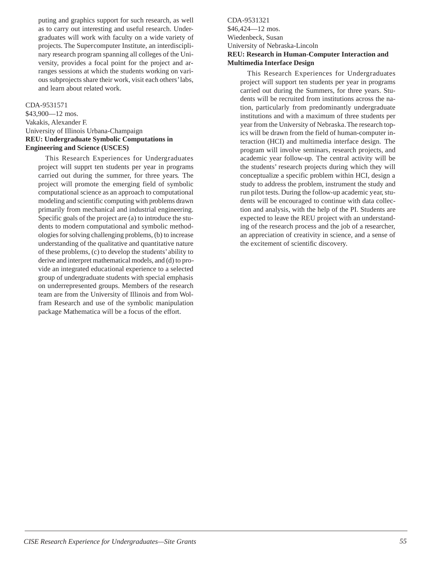<span id="page-53-0"></span>puting and graphics support for such research, as well as to carry out interesting and useful research. Undergraduates will work with faculty on a wide variety of projects. The Supercomputer Institute, an interdisciplinary research program spanning all colleges of the University, provides a focal point for the project and arranges sessions at which the students working on various subprojects share their work, visit each others' labs, and learn about related work.

### CDA-9531571

\$43,900—12 mos. Vakakis, Alexander F. University of Illinois Urbana-Champaign **REU: Undergraduate Symbolic Computations in Engineering and Science (USCES)**

This Research Experiences for Undergraduates project will supprt ten students per year in programs carried out during the summer, for three years. The project will promote the emerging field of symbolic computational science as an approach to computational modeling and scientific computing with problems drawn primarily from mechanical and industrial engineering. Specific goals of the project are (a) to introduce the students to modern computational and symbolic methodologies for solving challenging problems, (b) to increase understanding of the qualitative and quantitative nature of these problems, (c) to develop the students' ability to derive and interpret mathematical models, and (d) to provide an integrated educational experience to a selected group of undergraduate students with special emphasis on underrepresented groups. Members of the research team are from the University of Illinois and from Wolfram Research and use of the symbolic manipulation package Mathematica will be a focus of the effort.

### CDA-9531321 \$46,424—12 mos. Wiedenbeck, Susan University of Nebraska-Lincoln **REU: Research in Human-Computer Interaction and Multimedia Interface Design**

This Research Experiences for Undergraduates project will support ten students per year in programs carried out during the Summers, for three years. Students will be recruited from institutions across the nation, particularly from predominantly undergraduate institutions and with a maximum of three students per year from the University of Nebraska. The research topics will be drawn from the field of human-computer interaction (HCI) and multimedia interface design. The program will involve seminars, research projects, and academic year follow-up. The central activity will be the students' research projects during which they will conceptualize a specific problem within HCI, design a study to address the problem, instrument the study and run pilot tests. During the follow-up academic year, students will be encouraged to continue with data collection and analysis, with the help of the PI. Students are expected to leave the REU project with an understanding of the research process and the job of a researcher, an appreciation of creativity in science, and a sense of the excitement of scientific discovery.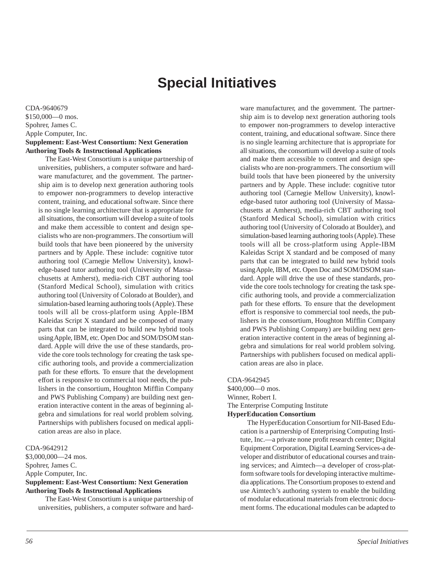# **Special Initiatives**

<span id="page-54-0"></span>CDA-9640679 \$150,000—0 mos. Spohrer, James C. Apple Computer, Inc. **Supplement: East-West Consortium: Next Generation Authoring Tools & Instructional Applications**

The East-West Consortium is a unique partnership of universities, publishers, a computer software and hardware manufacturer, and the government. The partnership aim is to develop next generation authoring tools to empower non-programmers to develop interactive content, training, and educational software. Since there is no single learning architecture that is appropriate for all situations, the consortium will develop a suite of tools and make them accessible to content and design specialists who are non-programmers. The consortium will build tools that have been pioneered by the university partners and by Apple. These include: cognitive tutor authoring tool (Carnegie Mellow University), knowledge-based tutor authoring tool (University of Massachusetts at Amherst), media-rich CBT authoring tool (Stanford Medical School), simulation with critics authoring tool (University of Colorado at Boulder), and simulation-based learning authoring tools (Apple). These tools will all be cross-platform using Apple-IBM Kaleidas Script X standard and be composed of many parts that can be integrated to build new hybrid tools using Apple, IBM, etc. Open Doc and SOM/DSOM standard. Apple will drive the use of these standards, provide the core tools technology for creating the task specific authoring tools, and provide a commercialization path for these efforts. To ensure that the development effort is responsive to commercial tool needs, the publishers in the consortium, Houghton Mifflin Company and PWS Publishing Company) are building next generation interactive content in the areas of beginning algebra and simulations for real world problem solving. Partnerships with publishers focused on medical application areas are also in place.

CDA-9642912

\$3,000,000—24 mos. Spohrer, James C. Apple Computer, Inc. **Supplement: East-West Consortium: Next Generation Authoring Tools & Instructional Applications**

The East-West Consortium is a unique partnership of universities, publishers, a computer software and hardware manufacturer, and the government. The partnership aim is to develop next generation authoring tools to empower non-programmers to develop interactive content, training, and educational software. Since there is no single learning architecture that is appropriate for all situations, the consortium will develop a suite of tools and make them accessible to content and design specialists who are non-programmers. The consortium will build tools that have been pioneered by the university partners and by Apple. These include: cognitive tutor authoring tool (Carnegie Mellow University), knowledge-based tutor authoring tool (University of Massachusetts at Amherst), media-rich CBT authoring tool (Stanford Medical School), simulation with critics authoring tool (University of Colorado at Boulder), and simulation-based learning authoring tools (Apple). These tools will all be cross-platform using Apple-IBM Kaleidas Script X standard and be composed of many parts that can be integrated to build new hybrid tools using Apple, IBM, etc. Open Doc and SOM/DSOM standard. Apple will drive the use of these standards, provide the core tools technology for creating the task specific authoring tools, and provide a commercialization path for these efforts. To ensure that the development effort is responsive to commercial tool needs, the publishers in the consortium, Houghton Mifflin Company and PWS Publishing Company) are building next generation interactive content in the areas of beginning algebra and simulations for real world problem solving. Partnerships with publishers focused on medical application areas are also in place.

CDA-9642945 \$400,000—0 mos.

Winner, Robert I. The Enterprise Computing Institute **HyperEducation Consortium**

> The HyperEducation Consortium for NII-Based Education is a partnership of Enterprising Computing Institute, Inc.—a private none profit research center; Digital Equipment Corporation, Digital Learning Services-a developer and distributor of educational courses and training services; and Aimtech—a developer of cross-platform software tools for developing interactive multimedia applications. The Consortium proposes to extend and use Aimtech's authoring system to enable the building of modular educational materials from electronic document forms. The educational modules can be adapted to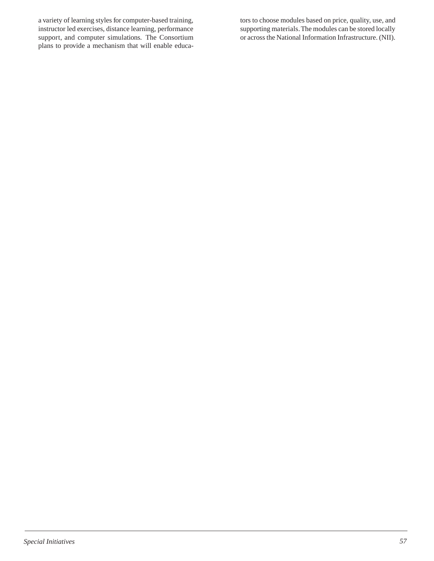a variety of learning styles for computer-based training, instructor led exercises, distance learning, performance support, and computer simulations. The Consortium plans to provide a mechanism that will enable educators to choose modules based on price, quality, use, and supporting materials. The modules can be stored locally or across the National Information Infrastructure. (NII).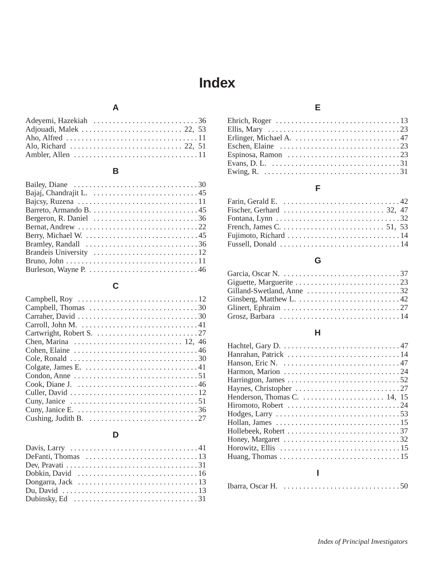# **Index**

# **A**

<span id="page-56-0"></span>

### **B**

| Bajcsy, Ruzena $\ldots \ldots \ldots \ldots \ldots \ldots \ldots \ldots \ldots \ldots 11$ |
|-------------------------------------------------------------------------------------------|
|                                                                                           |
|                                                                                           |
|                                                                                           |
|                                                                                           |
|                                                                                           |
|                                                                                           |
|                                                                                           |
|                                                                                           |
|                                                                                           |

# **C**

| Carroll, John M. $\dots\dots\dots\dots\dots\dots\dots\dots\dots\dots41$                        |
|------------------------------------------------------------------------------------------------|
|                                                                                                |
|                                                                                                |
|                                                                                                |
| Cole, Ronald $\ldots \ldots \ldots \ldots \ldots \ldots \ldots \ldots \ldots \ldots \ldots 30$ |
|                                                                                                |
|                                                                                                |
|                                                                                                |
|                                                                                                |
| Cuny, Janice $\dots \dots \dots \dots \dots \dots \dots \dots \dots \dots \dots 51$            |
|                                                                                                |
| Cushing, Judith B. $\dots \dots \dots \dots \dots \dots \dots \dots \dots \dots 27$            |

# **D**

| Dubinsky, Ed $\dots \dots \dots \dots \dots \dots \dots \dots \dots \dots \dots \dots 31$ |
|-------------------------------------------------------------------------------------------|

# **E**

| Ehrich, Roger $\dots \dots \dots \dots \dots \dots \dots \dots \dots \dots \dots 13$            |  |
|-------------------------------------------------------------------------------------------------|--|
|                                                                                                 |  |
| Erlinger, Michael A. $\ldots \ldots \ldots \ldots \ldots \ldots \ldots \ldots 47$               |  |
| Eschen, Elaine $\dots \dots \dots \dots \dots \dots \dots \dots \dots \dots \dots \dots 23$     |  |
| Espinosa, Ramon $\dots \dots \dots \dots \dots \dots \dots \dots \dots \dots \dots 23$          |  |
| Evans, D. L. $\dots \dots \dots \dots \dots \dots \dots \dots \dots \dots \dots \dots \dots 31$ |  |
| Ewing, R. $\ldots \ldots \ldots \ldots \ldots \ldots \ldots \ldots \ldots \ldots \ldots \ldots$ |  |

# **F**

| Farin, Gerald E. $\dots \dots \dots \dots \dots \dots \dots \dots \dots \dots \dots 42$    |  |
|--------------------------------------------------------------------------------------------|--|
| Fischer, Gerhard $\ldots \ldots \ldots \ldots \ldots \ldots \ldots \ldots$ 32, 47          |  |
| Fontana, Lynn $\dots \dots \dots \dots \dots \dots \dots \dots \dots \dots \dots \dots 32$ |  |
|                                                                                            |  |
|                                                                                            |  |
| Fussell, Donald $\ldots \ldots \ldots \ldots \ldots \ldots \ldots \ldots \ldots \ldots 14$ |  |

# **G**

| Gilland-Swetland, Anne $\dots \dots \dots \dots \dots \dots \dots \dots$ 32           |
|---------------------------------------------------------------------------------------|
| Ginsberg, Matthew L. $\dots \dots \dots \dots \dots \dots \dots \dots \dots \dots 42$ |
|                                                                                       |
|                                                                                       |

### **H**

| Henderson, Thomas C. $\dots \dots \dots \dots \dots \dots \dots \dots 14$ , 15                   |
|--------------------------------------------------------------------------------------------------|
|                                                                                                  |
| Hodges, Larry $\dots \dots \dots \dots \dots \dots \dots \dots \dots \dots \dots \dots 53$       |
|                                                                                                  |
|                                                                                                  |
| Honey, Margaret $\dots \dots \dots \dots \dots \dots \dots \dots \dots \dots \dots 32$           |
| Horowitz, Ellis $\dots \dots \dots \dots \dots \dots \dots \dots \dots \dots \dots \dots 15$     |
| Huang, Thomas $\dots \dots \dots \dots \dots \dots \dots \dots \dots \dots \dots \dots \dots 15$ |
|                                                                                                  |
|                                                                                                  |

| Ibarra, Oscar H. $\dots\dots\dots\dots\dots\dots\dots\dots\dots\dots\dots50$ |  |
|------------------------------------------------------------------------------|--|
|                                                                              |  |